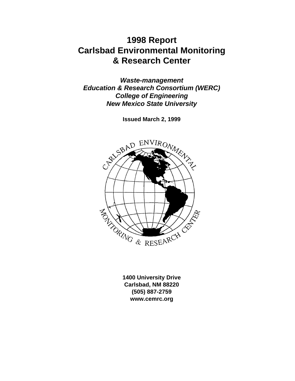# **1998 Report Carlsbad Environmental Monitoring & Research Center**

*Waste-management Education & Research Consortium (WERC) College of Engineering New Mexico State University*

**Issued March 2, 1999**



**1400 University Drive Carlsbad, NM 88220 (505) 887-2759 www.cemrc.org**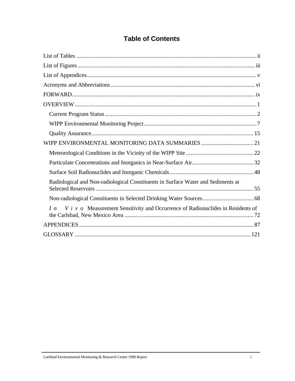# **Table of Contents**

| Radiological and Non-radiological Constituents in Surface Water and Sediments at             |
|----------------------------------------------------------------------------------------------|
|                                                                                              |
| $V$ i v $o$ Measurement Sensitivity and Occurrence of Radionuclides in Residents of<br>$I_n$ |
|                                                                                              |
|                                                                                              |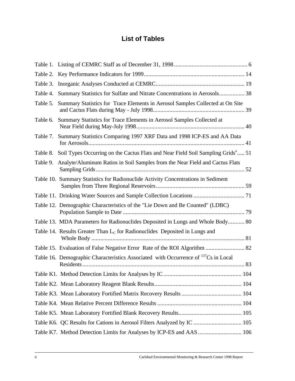# **List of Tables**

| Table 3. |                                                                                                      |  |
|----------|------------------------------------------------------------------------------------------------------|--|
| Table 4. | Summary Statistics for Sulfate and Nitrate Concentrations in Aerosols 38                             |  |
| Table 5. | Summary Statistics for Trace Elements in Aerosol Samples Collected at On Site                        |  |
| Table 6. | Summary Statistics for Trace Elements in Aerosol Samples Collected at                                |  |
| Table 7. | Summary Statistics Comparing 1997 XRF Data and 1998 ICP-ES and AA Data                               |  |
|          | Table 8. Soil Types Occurring on the Cactus Flats and Near Field Soil Sampling Grids <sup>a</sup> 51 |  |
| Table 9. | Analyte/Aluminum Ratios in Soil Samples from the Near Field and Cactus Flats                         |  |
|          | Table 10. Summary Statistics for Radionuclide Activity Concentrations in Sediment                    |  |
|          | Table 11. Drinking Water Sources and Sample Collection Locations  71                                 |  |
|          | Table 12. Demographic Characteristics of the "Lie Down and Be Counted" (LDBC)                        |  |
|          | Table 13. MDA Parameters for Radionuclides Deposited in Lungs and Whole Body 80                      |  |
|          | Table 14. Results Greater Than $L_c$ for Radionuclides Deposited in Lungs and                        |  |
|          |                                                                                                      |  |
|          | Table 16. Demographic Characteristics Associated with Occurrence of <sup>137</sup> Cs in Local       |  |
|          |                                                                                                      |  |
|          |                                                                                                      |  |
|          |                                                                                                      |  |
|          |                                                                                                      |  |
|          |                                                                                                      |  |
|          | Table K6. QC Results for Cations in Aerosol Filters Analyzed by IC  105                              |  |
|          | Table K7. Method Detection Limits for Analyses by ICP-ES and AAS  106                                |  |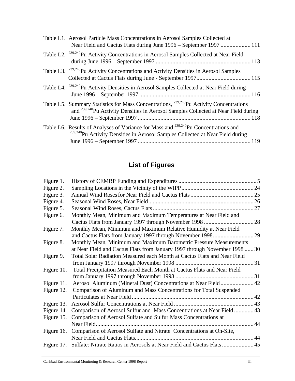| Table L1. Aerosol Particle Mass Concentrations in Aerosol Samples Collected at<br>Near Field and Cactus Flats during June 1996 – September 1997  111                                                  |
|-------------------------------------------------------------------------------------------------------------------------------------------------------------------------------------------------------|
| Table L2. <sup>239,240</sup> Pu Activity Concentrations in Aerosol Samples Collected at Near Field                                                                                                    |
| Table L3. <sup>239,240</sup> Pu Activity Concentrations and Activity Densities in Aerosol Samples                                                                                                     |
| Table L4. <sup>239,240</sup> Pu Activity Densities in Aerosol Samples Collected at Near Field during                                                                                                  |
| Table L5. Summary Statistics for Mass Concentrations, <sup>239,240</sup> Pu Activity Concentrations<br>and <sup>239,240</sup> Pu Activity Densities in Aerosol Samples Collected at Near Field during |
| Table L6. Results of Analyses of Variance for Mass and <sup>239,240</sup> Pu Concentrations and<br><sup>239,240</sup> Pu Activity Densities in Aerosol Samples Collected at Near Field during         |

# **List of Figures**

| Figure 1.  |                                                                                 |    |
|------------|---------------------------------------------------------------------------------|----|
| Figure 2.  |                                                                                 |    |
| Figure 3.  |                                                                                 |    |
| Figure 4.  |                                                                                 |    |
| Figure 5.  |                                                                                 |    |
| Figure 6.  | Monthly Mean, Minimum and Maximum Temperatures at Near Field and                |    |
|            | Cactus Flats from January 1997 through November 1998                            | 28 |
| Figure 7.  | Monthly Mean, Minimum and Maximum Relative Humidity at Near Field               |    |
|            | and Cactus Flats from January 1997 through November 1998                        | 29 |
| Figure 8.  | Monthly Mean, Minimum and Maximum Barometric Pressure Measurements              |    |
|            | at Near Field and Cactus Flats from January 1997 through November 1998  30      |    |
| Figure 9.  | Total Solar Radiation Measured each Month at Cactus Flats and Near Field        |    |
|            |                                                                                 |    |
| Figure 10. | Total Precipitation Measured Each Month at Cactus Flats and Near Field          |    |
|            |                                                                                 |    |
| Figure 11. | Aerosol Aluminum (Mineral Dust) Concentrations at Near Field 42                 |    |
| Figure 12. | Comparison of Aluminum and Mass Concentrations for Total Suspended              |    |
|            |                                                                                 |    |
| Figure 13. |                                                                                 |    |
| Figure 14. | Comparison of Aerosol Sulfur and Mass Concentrations at Near Field 43           |    |
| Figure 15. | Comparison of Aerosol Sulfate and Sulfur Mass Concentrations at                 |    |
|            | Near Field.                                                                     | 44 |
|            | Figure 16. Comparison of Aerosol Sulfate and Nitrate Concentrations at On-Site, |    |
|            |                                                                                 |    |
| Figure 17. |                                                                                 |    |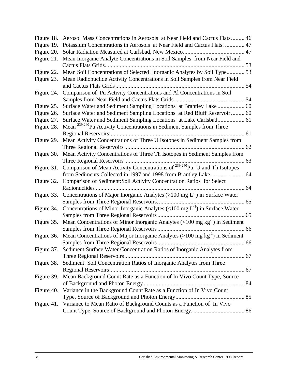| Figure 18. | Aerosol Mass Concentrations in Aerosols at Near Field and Cactus Flats 46               |  |
|------------|-----------------------------------------------------------------------------------------|--|
| Figure 19. | Potassium Concentrations in Aerosols at Near Field and Cactus Flats.  47                |  |
| Figure 20. |                                                                                         |  |
| Figure 21. | Mean Inorganic Analyte Concentrations in Soil Samples from Near Field and               |  |
|            |                                                                                         |  |
| Figure 22. | Mean Soil Concentrations of Selected Inorganic Analytes by Soil Type 53                 |  |
| Figure 23. | Mean Radionuclide Activity Concentrations in Soil Samples from Near Field               |  |
|            |                                                                                         |  |
| Figure 24. | Comparison of Pu Activity Concentrations and Al Concentrations in Soil                  |  |
|            |                                                                                         |  |
| Figure 25. |                                                                                         |  |
| Figure 26. | Surface Water and Sediment Sampling Locations at Red Bluff Reservoir 60                 |  |
| Figure 27. | Surface Water and Sediment Sampling Locations at Lake Carlsbad 61                       |  |
| Figure 28. | Mean <sup>239,240</sup> Pu Activity Concentrations in Sediment Samples from Three       |  |
|            |                                                                                         |  |
| Figure 29. | Mean Activity Concentrations of Three U Isotopes in Sediment Samples from               |  |
|            |                                                                                         |  |
| Figure 30. | Mean Activity Concentrations of Three Th Isotopes in Sediment Samples from              |  |
|            |                                                                                         |  |
| Figure 31. | Comparison of Mean Activity Concentrations of <sup>239,240</sup> Pu, U and Th Isotopes  |  |
|            | from Sediments Collected in 1997 and 1998 from Brantley Lake 64                         |  |
| Figure 32. | Comparison of Sediment:Soil Activity Concentration Ratios for Select                    |  |
|            | . 64                                                                                    |  |
| Figure 33. | Concentrations of Major Inorganic Analytes (>100 mg $L^{-1}$ ) in Surface Water         |  |
|            |                                                                                         |  |
| Figure 34. | Concentrations of Minor Inorganic Analytes (<100 mg $L^{-1}$ ) in Surface Water         |  |
|            |                                                                                         |  |
| Figure 35. | Mean Concentrations of Minor Inorganic Analytes $(<100 \text{ mg kg}^{-1})$ in Sediment |  |
|            |                                                                                         |  |
| Figure 36. | Mean Concentrations of Major Inorganic Analytes $(>100 \text{ mg kg}^{-1})$ in Sediment |  |
|            |                                                                                         |  |
|            | Figure 37. Sediment: Surface Water Concentration Ratios of Inorganic Analytes from      |  |
|            |                                                                                         |  |
| Figure 38. | Sediment: Soil Concentration Ratios of Inorganic Analytes from Three                    |  |
|            |                                                                                         |  |
| Figure 39. | Mean Background Count Rate as a Function of In Vivo Count Type, Source                  |  |
|            |                                                                                         |  |
| Figure 40. | Variance in the Background Count Rate as a Function of In Vivo Count                    |  |
|            |                                                                                         |  |
|            | Figure 41. Variance to Mean Ratio of Background Counts as a Function of In Vivo         |  |
|            |                                                                                         |  |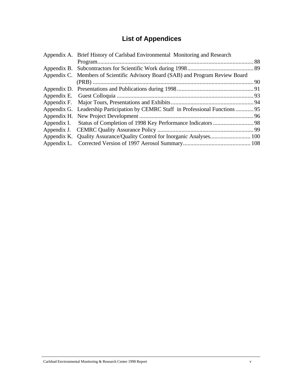# **List of Appendices**

| Appendix A. Brief History of Carlsbad Environmental Monitoring and Research      |  |  |
|----------------------------------------------------------------------------------|--|--|
|                                                                                  |  |  |
|                                                                                  |  |  |
| Appendix C. Members of Scientific Advisory Board (SAB) and Program Review Board  |  |  |
|                                                                                  |  |  |
|                                                                                  |  |  |
|                                                                                  |  |  |
|                                                                                  |  |  |
| Appendix G. Leadership Participation by CEMRC Staff in Professional Functions 95 |  |  |
|                                                                                  |  |  |
|                                                                                  |  |  |
|                                                                                  |  |  |
|                                                                                  |  |  |
|                                                                                  |  |  |
|                                                                                  |  |  |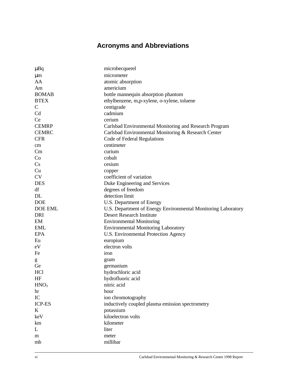# **Acronyms and Abbreviations**

| $\mu$ Bq         | microbecquerel                                                |
|------------------|---------------------------------------------------------------|
| $\mu$ m          | micrometer                                                    |
| AA               | atomic absorption                                             |
| Am               | americium                                                     |
| <b>BOMAB</b>     | bottle mannequin absorption phantom                           |
| <b>BTEX</b>      | ethylbenzene, m,p-xylene, o-xylene, toluene                   |
| $\mathsf{C}$     | centigrade                                                    |
| C <sub>d</sub>   | cadmium                                                       |
| <b>Ce</b>        | cerium                                                        |
| <b>CEMRP</b>     | Carlsbad Environmental Monitoring and Research Program        |
| <b>CEMRC</b>     | Carlsbad Environmental Monitoring & Research Center           |
| <b>CFR</b>       | Code of Federal Regulations                                   |
| cm               | centimeter                                                    |
| Cm               | curium                                                        |
| Co               | cobalt                                                        |
| Cs               | cesium                                                        |
| Cu               | copper                                                        |
| <b>CV</b>        | coefficient of variation                                      |
| <b>DES</b>       | Duke Engineering and Services                                 |
| df               | degrees of freedom                                            |
| DL               | detection limit                                               |
| <b>DOE</b>       | U.S. Department of Energy                                     |
| DOE EML          | U.S. Department of Energy Environmental Monitoring Laboratory |
| <b>DRI</b>       | <b>Desert Research Institute</b>                              |
| EM               | <b>Environmental Monitoring</b>                               |
| <b>EML</b>       | <b>Environmental Monitoring Laboratory</b>                    |
| <b>EPA</b>       | U.S. Environmental Protection Agency                          |
| Eu               | europium                                                      |
| eV               | electron volts                                                |
| Fe               | iron                                                          |
| g                | gram                                                          |
| Ge               | germanium                                                     |
| <b>HCl</b>       | hydrochloric acid                                             |
| HF               | hydrofluoric acid                                             |
| HNO <sub>3</sub> | nitric acid                                                   |
| hr               | hour                                                          |
| IC               | ion chromotography                                            |
| <b>ICP-ES</b>    | inductively coupled plasma emission spectrometry              |
| $\bf K$          | potassium                                                     |
| keV              | kiloelectron volts                                            |
| km               | kilometer                                                     |
| L                | liter                                                         |
| m                | meter                                                         |
| mb               | millibar                                                      |
|                  |                                                               |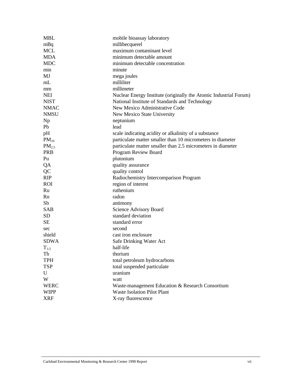| <b>MBL</b>        | mobile bioassay laboratory                                        |  |  |  |  |
|-------------------|-------------------------------------------------------------------|--|--|--|--|
| mBq               | millibecquerel                                                    |  |  |  |  |
| <b>MCL</b>        | maximum contaminant level                                         |  |  |  |  |
| <b>MDA</b>        | minimum detectable amount                                         |  |  |  |  |
| <b>MDC</b>        | minimum detectable concentration                                  |  |  |  |  |
| min               | minute                                                            |  |  |  |  |
| MJ                | mega joules                                                       |  |  |  |  |
| mL                | milliliter                                                        |  |  |  |  |
| mm                | millimeter                                                        |  |  |  |  |
| <b>NEI</b>        | Nuclear Energy Institute (originally the Atomic Industrial Forum) |  |  |  |  |
| <b>NIST</b>       | National Institute of Standards and Technology                    |  |  |  |  |
| <b>NMAC</b>       | New Mexico Administrative Code                                    |  |  |  |  |
| <b>NMSU</b>       | New Mexico State University                                       |  |  |  |  |
| Np                | neptunium                                                         |  |  |  |  |
| Pb                | lead                                                              |  |  |  |  |
| pH                | scale indicating acidity or alkalinity of a substance             |  |  |  |  |
| $PM_{10}$         | particulate matter smaller than 10 micrometers in diameter        |  |  |  |  |
| PM <sub>2.5</sub> | particulate matter smaller than 2.5 micrometers in diameter       |  |  |  |  |
| <b>PRB</b>        | Program Review Board                                              |  |  |  |  |
| Pu                | plutonium                                                         |  |  |  |  |
| QA                | quality assurance                                                 |  |  |  |  |
| QC                | quality control                                                   |  |  |  |  |
| <b>RIP</b>        | Radiochemistry Intercomparison Program                            |  |  |  |  |
| <b>ROI</b>        | region of interest                                                |  |  |  |  |
| Ru                | ruthenium                                                         |  |  |  |  |
| Rn                | radon                                                             |  |  |  |  |
| Sb                | antimony                                                          |  |  |  |  |
| <b>SAB</b>        | Science Advisory Board                                            |  |  |  |  |
| <b>SD</b>         | standard deviation                                                |  |  |  |  |
| SE                | standard error                                                    |  |  |  |  |
| sec               | second                                                            |  |  |  |  |
| shield            | cast iron enclosure                                               |  |  |  |  |
| <b>SDWA</b>       | Safe Drinking Water Act                                           |  |  |  |  |
| $T_{1/2}$         | half-life                                                         |  |  |  |  |
| Th                | thorium                                                           |  |  |  |  |
| <b>TPH</b>        | total petroleum hydrocarbons                                      |  |  |  |  |
| <b>TSP</b>        | total suspended particulate                                       |  |  |  |  |
| U                 | uranium                                                           |  |  |  |  |
| W                 | watt                                                              |  |  |  |  |
| <b>WERC</b>       | Waste-management Education & Research Consortium                  |  |  |  |  |
| <b>WIPP</b>       | <b>Waste Isolation Pilot Plant</b>                                |  |  |  |  |
| <b>XRF</b>        | X-ray fluorescence                                                |  |  |  |  |
|                   |                                                                   |  |  |  |  |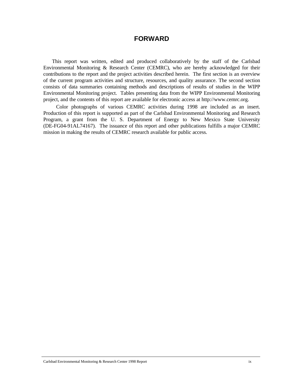## **FORWARD**

This report was written, edited and produced collaboratively by the staff of the Carlsbad Environmental Monitoring & Research Center (CEMRC), who are hereby acknowledged for their contributions to the report and the project activities described herein. The first section is an overview of the current program activities and structure, resources, and quality assurance. The second section consists of data summaries containing methods and descriptions of results of studies in the WIPP Environmental Monitoring project. Tables presenting data from the WIPP Environmental Monitoring project, and the contents of this report are available for electronic access at http://www.cemrc.org.

 Color photographs of various CEMRC activities during 1998 are included as an insert. Production of this report is supported as part of the Carlsbad Environmental Monitoring and Research Program, a grant from the U. S. Department of Energy to New Mexico State University (DE-FG04-91AL74167). The issuance of this report and other publications fulfills a major CEMRC mission in making the results of CEMRC research available for public access.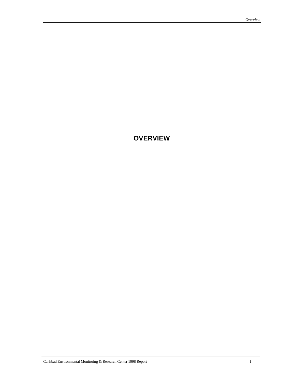# **OVERVIEW**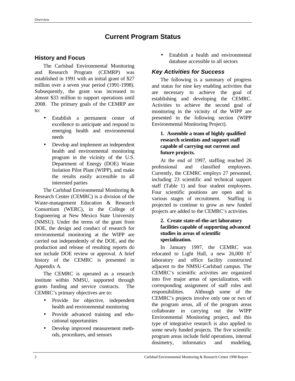# **Current Program Status**

## **History and Focus**

The Carlsbad Environmental Monitoring and Research Program (CEMRP) was established in 1991 with an initial grant of \$27 million over a seven year period (1991-1998). Subsequently, the grant was increased to almost \$33 million to support operations until 2008. The primary goals of the CEMRP are to:

- Establish a permanent center of excellence to anticipate and respond to emerging health and environmental needs
- Develop and implement an independent health and environmental monitoring program in the vicinity of the U.S. Department of Energy (DOE) Waste Isolation Pilot Plant (WIPP), and make the results easily accessible to all interested parties

The Carlsbad Environmental Monitoring & Research Center (CEMRC) is a division of the Waste-management Education & Research Consortium (WERC), in the College of Engineering at New Mexico State University (NMSU). Under the terms of the grant from DOE, the design and conduct of research for environmental monitoring at the WIPP are carried out independently of the DOE, and the production and release of resulting reports do not include DOE review or approval. A brief history of the CEMRC is presented in Appendix A.

The CEMRC is operated as a research institute within NMSU, supported through grants funding and service contracts. The CEMRC's primary objectives are to:

- Provide for objective, independent health and environmental monitoring
- Provide advanced training and educational opportunities
- Develop improved measurement methods, procedures, and sensors

Establish a health and environmental database accessible to all sectors

## *Key Activities for Success*

The following is a summary of progress and status for nine key enabling activities that are necessary to achieve the goal of establishing and developing the CEMRC. Activities to achieve the second goal of monitoring in the vicinity of the WIPP are presented in the following section (WIPP Environmental Monitoring Project).

#### **1. Assemble a team of highly qualified research scientists and support staff capable of carrying out current and future projects.**

At the end of 1997, staffing reached 26 professional and classified employees. Currently, the CEMRC employs 27 personnel, including 23 scientific and technical support staff (Table 1) and four student employees. Four scientific positions are open and in various stages of recruitment. Staffing is projected to continue to grow as new funded projects are added to the CEMRC's activities.

#### **2. Create state-of-the-art laboratory facilities capable of supporting advanced studies in areas of scientific specialization.**

In January 1997, the CEMRC was relocated to Light Hall, a new  $26,000 \text{ ft}^2$ laboratory and office facility constructed adjacent to the NMSU-Carlsbad campus. The CEMRC's scientific activities are organized into five major areas of specialization, with corresponding assignment of staff roles and responsibilities. Although some of the CEMRC's projects involve only one or two of the program areas, all of the program areas collaborate in carrying out the WIPP Environmental Monitoring project, and this type of integrative research is also applied to some newly funded projects. The five scientific program areas include field operations, internal dosimetry, informatics and modeling,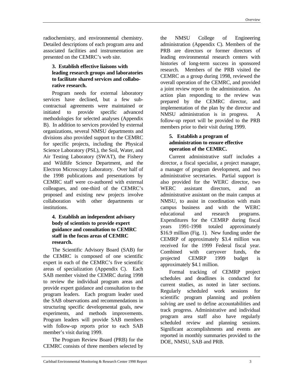radiochemistry, and environmental chemistry. Detailed descriptions of each program area and associated facilities and instrumentation are presented on the CEMRC's web site.

#### **3. Establish effective liaisons with leading research groups and laboratories to facilitate shared services and collaborative research.**

Program needs for external laboratory services have declined, but a few subcontractual agreements were maintained or initiated to provide specific advanced methodologies for selected analyses (Appendix B). In addition to services provided by external organizations, several NMSU departments and divisions also provided support to the CEMRC for specific projects, including the Physical Science Laboratory (PSL), the Soil, Water, and Air Testing Laboratory (SWAT), the Fishery and Wildlife Science Department, and the Electron Microscopy Laboratory. Over half of the 1998 publications and presentations by CEMRC staff were co-authored with external colleagues, and one-third of the CEMRC's proposed and existing new projects involve collaboration with other departments or institutions.

#### **4. Establish an independent advisory body of scientists to provide expert guidance and consultation to CEMRC staff in the focus areas of CEMRC research.**

The Scientific Advisory Board (SAB) for the CEMRC is composed of one scientific expert in each of the CEMRC's five scientific areas of specialization (Appendix C). Each SAB member visited the CEMRC during 1998 to review the individual program areas and provide expert guidance and consultation to the program leaders. Each program leader used the SAB observations and recommendations in structuring specific developmental goals, new experiments, and methods improvements. Program leaders will provide SAB members with follow-up reports prior to each SAB member's visit during 1999.

The Program Review Board (PRB) for the CEMRC consists of three members selected by the NMSU College of Engineering administration (Appendix C). Members of the PRB are directors or former directors of leading environmental research centers with histories of long-term success in sponsored research. Members of the PRB visited the CEMRC as a group during 1998, reviewed the overall operation of the CEMRC, and provided a joint review report to the administration. An action plan responding to the review was prepared by the CEMRC director, and implementation of the plan by the director and NMSU administration is in progress. A follow-up report will be provided to the PRB members prior to their visit during 1999.

#### **5. Establish a program of administration to ensure effective operation of the CEMRC.**

Current administrative staff includes a director, a fiscal specialist, a project manager, a manager of program development, and two administrative secretaries. Partial support is also provided for the WERC director, two WERC assistant directors, and an administrative assistant on the main campus at NMSU, to assist in coordination with main campus business and with the WERC educational and research programs. Expenditures for the CEMRP during fiscal years 1991-1998 totaled approximately \$16.9 million (Fig. 1). New funding under the CEMRP of approximately \$3.4 million was received for the 1999 Federal fiscal year. Combined with carryover funds, the projected CEMRP 1999 budget is approximately \$4.1 million.

Formal tracking of CEMRP project schedules and deadlines is conducted for current studies, as noted in later sections. Regularly scheduled work sessions for scientific program planning and problem solving are used to define accountabilities and track progress. Administrative and individual program area staff also have regularly scheduled review and planning sessions. Significant accomplishments and events are reported in monthly summaries provided to the DOE, NMSU, SAB and PRB.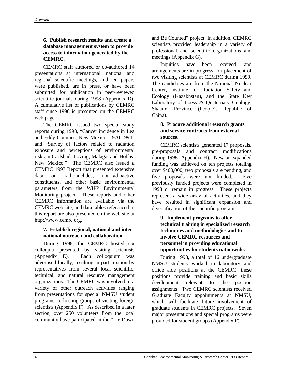#### **6. Publish research results and create a database management system to provide access to information generated by the CEMRC.**

CEMRC staff authored or co-authored 14 presentations at international, national and regional scientific meetings, and ten papers were published, are in press, or have been submitted for publication in peer-reviewed scientific journals during 1998 (Appendix D). A cumulative list of publications by CEMRC staff since 1996 is presented on the CEMRC web page.

The CEMRC issued two special study reports during 1998, "Cancer incidence in Lea and Eddy Counties, New Mexico, 1970-1994" and "Survey of factors related to radiation exposure and perceptions of environmental risks in Carlsbad, Loving, Malaga, and Hobbs, New Mexico." The CEMRC also issued a CEMRC 1997 Report that presented extensive data on radionuclides, non-radioactive constituents, and other basic environmental parameters from the WIPP Environmental Monitoring project. These reports and other CEMRC information are available via the CEMRC web site, and data tables referenced in this report are also presented on the web site at http://www.cemrc.org.

#### **7. Establish regional, national and international outreach and collaboration.**

During 1998, the CEMRC hosted six colloquia presented by visiting scientists (Appendix E). Each colloquium was advertised locally, resulting in participation by representatives from several local scientific, technical, and natural resource management organizations. The CEMRC was involved in a variety of other outreach activities ranging from presentations for special NMSU student programs, to hosting groups of visiting foreign scientists (Appendix F). As described in a later section, over 250 volunteers from the local community have participated in the "Lie Down

and Be Counted" project. In addition, CEMRC scientists provided leadership in a variety of professional and scientific organizations and meetings (Appendix G).

Inquiries have been received, and arrangements are in progress, for placement of two visiting scientists at CEMRC during 1999. The candidates are from the National Nuclear Center, Institute for Radiation Safety and Ecology (Kazakhstan), and the State Key Laboratory of Loess & Quaternary Geology, Shaanxi Province (People's Republic of China).

### **8. Procure additional research grants and service contracts from external sources.**

CEMRC scientists generated 17 proposals, pre-proposals and contract modifications during 1998 (Appendix H). New or expanded funding was achieved on ten projects totaling over \$400,000, two proposals are pending, and five proposals were not funded. Five previously funded projects were completed in 1998 or remain in progress. These projects represent a wide array of activities, and they have resulted in significant expansion and diversification of the scientific program.

#### **9. Implement programs to offer technical training in specialized research techniques and methodologies and to involve CEMRC resources and personnel in providing educational opportunities for students nationwide.**

During 1998, a total of 16 undergraduate NMSU students worked in laboratory and office aide positions at the CEMRC; these positions provide training and basic skills development relevant to the position assignments. Two CEMRC scientists received Graduate Faculty appointments at NMSU, which will facilitate future involvement of graduate students in CEMRC projects. Seven major presentations and special programs were provided for student groups (Appendix F).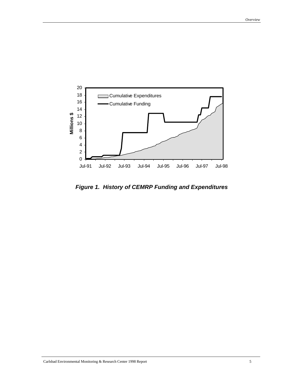

*Figure 1. History of CEMRP Funding and Expenditures*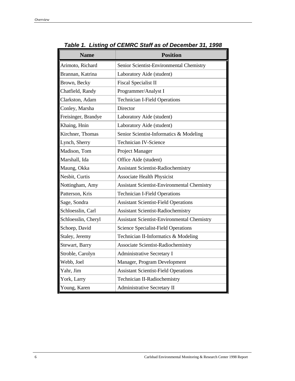| <b>Name</b>         | <b>Position</b>                                    |
|---------------------|----------------------------------------------------|
| Arimoto, Richard    | Senior Scientist-Environmental Chemistry           |
| Brannan, Katrina    | Laboratory Aide (student)                          |
| Brown, Becky        | <b>Fiscal Specialist II</b>                        |
| Chatfield, Randy    | Programmer/Analyst I                               |
| Clarkston, Adam     | <b>Technician I-Field Operations</b>               |
| Conley, Marsha      | Director                                           |
| Freisinger, Brandye | Laboratory Aide (student)                          |
| Khaing, Hnin        | Laboratory Aide (student)                          |
| Kirchner, Thomas    | Senior Scientist-Informatics & Modeling            |
| Lynch, Sherry       | <b>Technician IV-Science</b>                       |
| Madison, Tom        | Project Manager                                    |
| Marshall, Ida       | Office Aide (student)                              |
| Maung, Okka         | Assistant Scientist-Radiochemistry                 |
| Nesbit, Curtis      | <b>Associate Health Physicist</b>                  |
| Nottingham, Amy     | <b>Assistant Scientist-Environmental Chemistry</b> |
| Patterson, Kris     | <b>Technician I-Field Operations</b>               |
| Sage, Sondra        | <b>Assistant Scientist-Field Operations</b>        |
| Schloesslin, Carl   | <b>Assistant Scientist-Radiochemistry</b>          |
| Schloesslin, Cheryl | <b>Assistant Scientist-Environmental Chemistry</b> |
| Schoep, David       | Science Specialist-Field Operations                |
| Staley, Jeremy      | Technician II-Informatics & Modeling               |
| Stewart, Barry      | Associate Scientist-Radiochemistry                 |
| Stroble, Carolyn    | Administrative Secretary I                         |
| Webb, Joel          | Manager, Program Development                       |
| Yahr, Jim           | <b>Assistant Scientist-Field Operations</b>        |
| York, Larry         | Technician II-Radiochemistry                       |
| Young, Karen        | Administrative Secretary II                        |

*Table 1. Listing of CEMRC Staff as of December 31, 1998*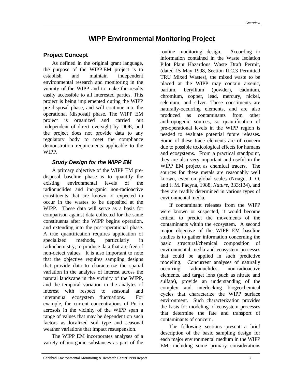# **WIPP Environmental Monitoring Project**

## **Project Concept**

As defined in the original grant language, the purpose of the WIPP EM project is to establish and maintain independent environmental research and monitoring in the vicinity of the WIPP and to make the results easily accessible to all interested parties. This project is being implemented during the WIPP pre-disposal phase, and will continue into the operational (disposal) phase. The WIPP EM project is organized and carried out independent of direct oversight by DOE, and the project does not provide data to any regulatory body to meet the compliance demonstration requirements applicable to the WIPP.

### *Study Design for the WIPP EM*

A primary objective of the WIPP EM predisposal baseline phase is to quantify the existing environmental levels of the radionuclides and inorganic non-radioactive constituents that are known or expected to occur in the wastes to be deposited at the WIPP. These data will serve as a basis for comparison against data collected for the same constituents after the WIPP begins operation, and extending into the post-operational phase. A true quantification requires application of specialized methods, particularly in radiochemistry, to produce data that are free of non-detect values. It is also important to note that the objective requires sampling designs that provide data to characterize the spatial variation in the analytes of interest across the natural landscape in the vicinity of the WIPP, and the temporal variation in the analytes of interest with respect to seasonal and interannual ecosystem fluctuations. For example, the current concentrations of Pu in aerosols in the vicinity of the WIPP span a range of values that may be dependent on such factors as localized soil type and seasonal weather variations that impact resuspension.

The WIPP EM incorporates analyses of a variety of inorganic substances as part of the

routine monitoring design. According to information contained in the Waste Isolation Pilot Plant Hazardous Waste Draft Permit, (dated 15 May 1998, Section II.C.3 Permitted TRU Mixed Wastes), the mixed waste to be placed at the WIPP may contain arsenic, barium, beryllium (powder), cadmium, chromium, copper, lead, mercury, nickel, selenium, and silver. These constituents are naturally-occurring elements, and are also produced as contaminants from other anthropogenic sources, so quantification of pre-operational levels in the WIPP region is needed to evaluate potential future releases. Some of these trace elements are of concern due to possible toxicological effects for humans and ecosystems. From a practical standpoint, they are also very important and useful in the WIPP EM project as chemical tracers. The sources for these metals are reasonably well known, even on global scales (Nriagu, J. O. and J. M. Pacyna, 1988, *Nature*, 333:134), and they are readily determined in various types of environmental media.

If contaminant releases from the WIPP were known or suspected, it would become critical to predict the movements of the contaminants within the ecosystem. A second major objective of the WIPP EM baseline studies is to gather information concerning the basic structural/chemical composition of environmental media and ecosystem processes that could be applied in such predictive modeling. Concurrent analyses of naturally occurring radionuclides, non-radioactive elements, and target ions (such as nitrate and sulfate), provide an understanding of the complex and interlocking biogeochemical cycles that characterize the WIPP surface environment. Such characterization provides the basis for modeling of ecosystem processes that determine the fate and transport of contaminants of concern.

The following sections present a brief description of the basic sampling design for each major environmental medium in the WIPP EM, including some primary considerations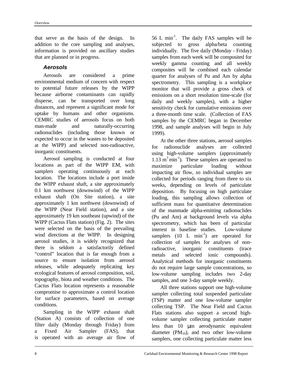that serve as the basis of the design. In addition to the core sampling and analyses, information is provided on ancillary studies that are planned or in progress.

#### *Aerosols*

Aerosols are considered a prime environmental medium of concern with respect to potential future releases by the WIPP because airborne contaminants can rapidly disperse, can be transported over long distances, and represent a significant mode for uptake by humans and other organisms. CEMRC studies of aerosols focus on both man-made and naturally-occurring radionuclides (including those known or expected to occur in the wastes to be deposited at the WIPP) and selected non-radioactive, inorganic constituents.

Aerosol sampling is conducted at four locations as part of the WIPP EM, with samplers operating continuously at each location. The locations include a port inside the WIPP exhaust shaft, a site approximately 0.1 km northwest (downwind) of the WIPP exhaust shaft (On Site station), a site approximately 1 km northwest (downwind) of the WIPP (Near Field station), and a site approximately 19 km southeast (upwind) of the WIPP (Cactus Flats station) (Fig. 2). The sites were selected on the basis of the prevailing wind directions at the WIPP. In designing aerosol studies, it is widely recognized that there is seldom a satisfactorily defined "control" location that is far enough from a source to ensure isolation from aerosol releases, while adequately replicating key ecological features of aerosol composition, soil, topography, biota and weather conditions. The Cactus Flats location represents a reasonable compromise to approximate a control location for surface parameters, based on average conditions.

Sampling in the WIPP exhaust shaft (Station A) consists of collection of one filter daily (Monday through Friday) from a Fixed Air Sampler (FAS), that is operated with an average air flow of

56 L min-1. The daily FAS samples will be subjected to gross alpha/beta counting individually. The five daily (Monday - Friday) samples from each week will be composited for weekly gamma counting and all weekly composites will be combined each calendar quarter for analyses of Pu and Am by alpha spectrometry. This sampling is a workplace monitor that will provide a gross check of emissions on a short resolution time-scale (for daily and weekly samples), with a higher sensitivity check for cumulative emissions over a three-month time scale. (Collection of FAS samples by the CEMRC began in December 1998, and sample analyses will begin in July 1999).

At the other three stations, aerosol samples for radionuclide analyses are collected using high-volume samplers (approximately  $1.13 \text{ m}^3 \text{min}^{-1}$ ). These samplers are operated to maximize particulate loading without impacting air flow, so individual samples are collected for periods ranging from three to six weeks, depending on levels of particulate deposition. By focusing on high particulate loading, this sampling allows collection of sufficient mass for quantitative determination of the manmade alpha-emitting radionuclides (Pu and Am) at background levels via alpha spectrometry, which has been of particular interest in baseline studies. Low-volume samplers  $(10 \text{ L min}^{-1})$  are operated for collection of samples for analyses of nonradioactive, inorganic constituents (trace metals and selected ionic compounds). Analytical methods for inorganic constituents do not require large sample concentrations, so low-volume sampling includes two 2-day samples, and one 3-day sample weekly.

All three stations support one high-volume sampler collecting total suspended particulate (TSP) matter and one low-volume sampler collecting TSP. The Near Field and Cactus Flats stations also support a second highvolume sampler collecting particulate matter less than 10 μm aerodynamic equivalent diameter  $(PM_{10})$ , and two other low-volume samplers, one collecting particulate matter less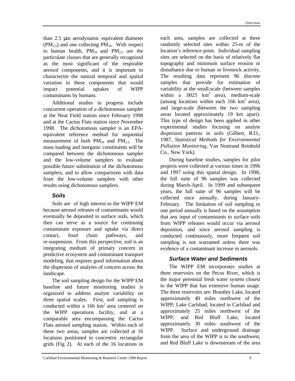than 2.5 μm aerodynamic equivalent diameter  $(PM_{2.5})$  and one collecting  $PM_{10}$ . With respect to human health,  $PM_{10}$  and  $PM_{2.5}$  are the particulate classes that are generally recognized as the most significant of the respirable aerosol components, and it is important to characterize the natural temporal and spatial variation in these components that would impact potential uptakes of WIPP contaminants by humans.

Additional studies in progress include concurrent operation of a dichotomous sampler at the Near Field station since February 1998 and at the Cactus Flats station since November 1998. The dichotomous sampler is an EPAequivalent reference method for sequential measurement of both  $PM_{10}$  and  $PM_{2.5}$ . The mass loading and inorganic constituents will be compared between the dichotomous sampler and the low-volume samplers to evaluate possible future substitution of the dichotomous samplers, and to allow comparisons with data from the low-volume samplers with other results using dichotomous samplers.

#### *Soils*

Soils are of high interest to the WIPP EM because aerosol releases of contaminants would eventually be deposited in surface soils, which then can serve as a source for continuing contaminant exposure and uptake via direct contact, food chain pathways, and re-suspension. From this perspective, soil is an integrating medium of primary concern in predictive ecosystem and contaminant transport modeling, that requires good information about the dispersion of analytes of concern across the landscape.

The soil sampling design for the WIPP EM baseline and future monitoring studies is organized to address analyte variability on three spatial scales. First, soil sampling is conducted within a 166  $km^2$  area centered on the WIPP operations facility, and at a comparable area encompassing the Cactus Flats aerosol sampling station. Within each of these two areas, samples are collected at 16 locations positioned in concentric rectangular grids (Fig 2). At each of the 16 locations in

each area, samples are collected at three randomly selected sites within 25-m of the location's reference point. Individual sampling sites are selected on the basis of relatively flat topography and minimum surface erosion or disturbance due to human or livestock activity. The resulting data represent 96 discrete samples that provide for estimation of variability at the small-scale (between samples within a  $.0025 \text{ km}^2$  area), medium-scale (among locations within each  $166 \text{ km}^2$  area). and large-scale (between the two sampling areas located approximately 19 km apart). This type of design has been applied in other experimental studies focusing on analyte dispersion patterns in soils (Gilbert, R.O., 1987, *Statistical Methods for Environmental Pollution Monitoring,* Van Nostrand Reinhold Co., New York*).*

During baseline studies, samples for pilot projects were collected at various times in 1996 and 1997 using this spatial design. In 1998, the full suite of 96 samples was collected during March-April. In 1999 and subsequent years, the full suite of 96 samples will be collected once annually, during January-February. The limitation of soil sampling to one period annually is based on the assumption that any input of contaminants to surface soils from WIPP releases would occur via aerosol deposition, and since aerosol sampling is conducted continuously, more frequent soil sampling is not warranted unless there was evidence of a contaminant increase in aerosols.

#### *Surface Water and Sediments*

The WIPP EM incorporates studies at three reservoirs on the Pecos River, which is the major perennial fresh water system closest to the WIPP that has extensive human usage. The three reservoirs are: Brantley Lake, located approximately 40 miles northwest of the WIPP; Lake Carlsbad, located in Carlsbad and approximately 25 miles northwest of the WIPP; and Red Bluff Lake, located approximately 30 miles southwest of the WIPP. Surface and underground drainage from the area of the WIPP is to the southwest, and Red Bluff Lake is downstream of the area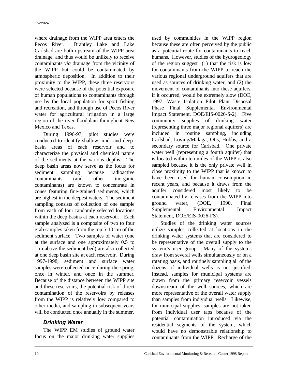where drainage from the WIPP area enters the Pecos River. Brantley Lake and Lake Carlsbad are both upstream of the WIPP area drainage, and thus would be unlikely to receive contaminants *via* drainage from the vicinity of the WIPP but could be contaminated by atmospheric deposition. In addition to their proximity to the WIPP, these three reservoirs were selected because of the potential exposure of human populations to contaminants through use by the local population for sport fishing and recreation, and through use of Pecos River water for agricultural irrigation in a large region of the river floodplain throughout New Mexico and Texas.

During 1996-97, pilot studies were conducted to identify shallow, mid- and deepbasin areas of each reservoir and to characterize the physical and chemical nature of the sediments at the various depths. The deep basin areas now serve as the focus for sediment sampling because radioactive contaminants (and other inorganic contaminants) are known to concentrate in zones featuring fine-grained sediments, which are highest in the deepest waters. The sediment sampling consists of collection of one sample from each of four randomly selected locations within the deep basins at each reservoir. Each sample analyzed is a composite of two to four grab samples taken from the top 5-10 cm of the sediment surface. Two samples of water (one at the surface and one approximately 0.5 to 1 m above the sediment bed) are also collected at one deep basin site at each reservoir. During 1997-1998, sediment and surface water samples were collected once during the spring, once in winter, and once in the summer. Because of the distance between the WIPP site and these reservoirs, the potential risk of direct contamination of the reservoirs by releases from the WIPP is relatively low compared to other media, and sampling in subsequent years will be conducted once annually in the summer.

#### *Drinking Water*

The WIPP EM studies of ground water focus on the major drinking water supplies

used by communities in the WIPP region because these are often perceived by the public as a potential route for contaminants to reach humans. However, studies of the hydrogeology of the region suggest (1) that the risk is low for contaminants from the WIPP to reach the various regional underground aquifers that are used as sources of drinking water, and (2) the movement of contaminants into these aquifers, if it occurred, would be extremely slow (DOE, 1997, Waste Isolation Pilot Plant Disposal Phase Final Supplemental Environmental Impact Statement, DOE/EIS-0026-S-2). Five community supplies of drinking water (representing three major regional aquifers) are included in routine sampling, including Carlsbad, Loving/Malaga, Otis, Hobbs, and a secondary source for Carlsbad. One private water well (representing a fourth aquifer) that is located within ten miles of the WIPP is also sampled because it is the only private well in close proximity to the WIPP that is known to have been used for human consumption in recent years, and because it draws from the aquifer considered most likely to be contaminated by releases from the WIPP into ground water, (DOE, 1990, Final Supplemental Environmental Impact Statement, DOE/EIS-0026-FS).

Studies of the drinking water sources utilize samples collected at locations in the drinking water systems that are considered to be representative of the overall supply to the system's user group. Many of the systems draw from several wells simultaneously or on a rotating basis, and routinely sampling all of the dozens of individual wells is not justified. Instead, samples for municipal systems are drawn from the primary reservoir vessels downstream of the well sources, which are more representative of the overall water supply than samples from individual wells. Likewise, for municipal supplies, samples are not taken from individual user taps because of the potential contamination introduced via the residential segments of the system, which would have no demonstrable relationship to contaminants from the WIPP. Recharge of the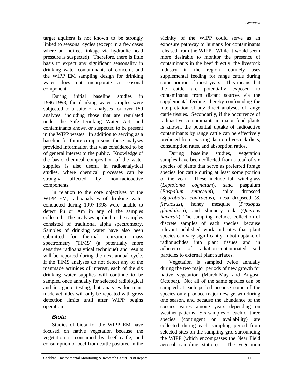target aquifers is not known to be strongly linked to seasonal cycles (except in a few cases where an indirect linkage via hydraulic head pressure is suspected). Therefore, there is little basis to expect any significant seasonality in drinking water contaminants of concern, and the WIPP EM sampling design for drinking water does not incorporate a seasonal component.

During initial baseline studies in 1996-1998, the drinking water samples were subjected to a suite of analyses for over 150 analytes, including those that are regulated under the Safe Drinking Water Act, and contaminants known or suspected to be present in the WIPP wastes. In addition to serving as a baseline for future comparisons, these analyses provided information that was considered to be of general interest to the public. Knowledge of the basic chemical composition of the water supplies is also useful in radioanalytical studies, where chemical processes can be strongly affected by non-radioactive components.

In relation to the core objectives of the WIPP EM, radioanalyses of drinking water conducted during 1997-1998 were unable to detect Pu or Am in any of the samples collected. The analyses applied to the samples consisted of traditional alpha spectrometry. Samples of drinking water have also been submitted for thermal ionization mass spectrometry (TIMS) (a potentially more sensitive radioanalytical technique) and results will be reported during the next annual cycle. If the TIMS analyses do not detect any of the manmade actinides of interest, each of the six drinking water supplies will continue to be sampled once annually for selected radiological and inorganic testing, but analyses for manmade actinides will only be repeated with gross detection limits until after WIPP begins operation.

### *Biota*

Studies of biota for the WIPP EM have focused on native vegetation because the vegetation is consumed by beef cattle, and consumption of beef from cattle pastured in the vicinity of the WIPP could serve as an exposure pathway to humans for contaminants released from the WIPP. While it would seem more desirable to monitor the presence of contaminants in the beef directly, the livestock industry in the region routinely uses supplemental feeding for range cattle during some portion of most years. This means that the cattle are potentially exposed to contaminants from distant sources via the supplemental feeding, thereby confounding the interpretation of any direct analyses of range cattle tissues. Secondarily, if the occurrence of radioactive contaminants in major food plants is known, the potential uptake of radioactive contaminants by range cattle can be effectively predicted from existing data on livestock diets, consumption rates, and absorption ratios.

During baseline studies, vegetation samples have been collected from a total of six species of plants that serve as preferred forage species for cattle during at least some portion of the year. These include fall witchgrass (*Leptoloma cognatum*), sand paspalum (*Paspalum setaceum*), spike dropseed (*Sporobolus contractus*), mesa dropseed (*S. flexuosus*), honey mesquite (*Prosopus glandulosa*), and shinnery oak (*Quercus havardii*). The sampling includes collection of discrete samples of each species, because relevant published work indicates that plant species can vary significantly in both uptake of radionuclides into plant tissues and in adherence of radiation-contaminated soil particles to external plant surfaces.

Vegetation is sampled twice annually during the two major periods of new growth for native vegetation (March-May and August-October). Not all of the same species can be sampled at each period because some of the species only produce major new growth during one season, and because the abundance of the species varies among years depending on weather patterns. Six samples of each of three species (contingent on availability) are collected during each sampling period from selected sites on the sampling grid surrounding the WIPP (which encompasses the Near Field aerosol sampling station). The vegetation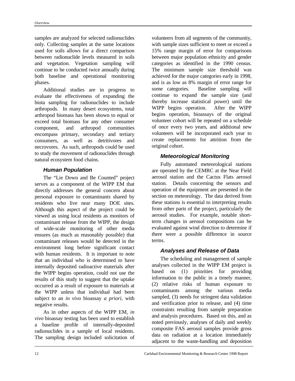samples are analyzed for selected radionuclides only. Collecting samples at the same locations used for soils allows for a direct comparison between radionuclide levels measured in soils and vegetation. Vegetation sampling will continue to be conducted twice annually during both baseline and operational monitoring phases.

Additional studies are in progress to evaluate the effectiveness of expanding the biota sampling for radionuclides to include arthropods. In many desert ecosystems, total arthropod biomass has been shown to equal or exceed total biomass for any other consumer component, and arthropod communities encompass primary, secondary and tertiary consumers, as well as detritivores and necrovores. As such, arthropods could be used to study the movement of radionuclides through natural ecosystem food chains.

#### *Human Population*

The "Lie Down and Be Counted" project serves as a component of the WIPP EM that directly addresses the general concern about personal exposure to contaminants shared by residents who live near many DOE sites. Although this aspect of the project could be viewed as using local residents as monitors of contaminant release from the WIPP, the design of wide-scale monitoring of other media ensures (as much as reasonably possible) that contaminant releases would be detected in the environment long before significant contact with human residents. It is important to note that an individual who is determined to have internally deposited radioactive materials after the WIPP begins operation, could not use the results of this study to suggest that the uptake occurred as a result of exposure to materials at the WIPP unless that individual had been subject to an *in vivo* bioassay *a priori*, with negative results.

As in other aspects of the WIPP EM, *in vivo* bioassay testing has been used to establish a baseline profile of internally-deposited radionuclides in a sample of local residents. The sampling design included solicitation of volunteers from all segments of the community, with sample sizes sufficient to meet or exceed a 15% range margin of error for comparisons between major population ethnicity and gender categories as identified in the 1990 census. The minimum sample size threshold was achieved for the major categories early in 1998, and is as low as 8% margin of error range for some categories. Baseline sampling will continue to expand the sample size (and thereby increase statistical power) until the WIPP begins operation. After the WIPP begins operation, bioassays of the original volunteer cohort will be repeated on a schedule of once every two years, and additional new volunteers will be incorporated each year to create replacements for attrition from the original cohort.

#### *Meteorological Monitoring*

Fully automated meteorological stations are operated by the CEMRC at the Near Field aerosol station and the Cactus Flats aerosol station. Details concerning the sensors and operation of the equipment are presented in the section on meteorology. The data derived from these stations is essential to interpreting results from other parts of the project, particularly the aerosol studies. For example, notable shortterm changes in aerosol compositions can be evaluated against wind direction to determine if there were a possible difference in source terms.

#### *Analyses and Release of Data*

The scheduling and management of sample analyses collected in the WIPP EM project is based on (1) priorities for providing information to the public in a timely manner, (2) relative risks of human exposure to contaminants among the various media sampled, (3) needs for stringent data validation and verification prior to release, and (4) time constraints resulting from sample preparation and analysis procedures. Based on this, and as noted previously, analyses of daily and weekly composite FAS aerosol samples provide gross data on radiation at a location immediately adjacent to the waste-handling and deposition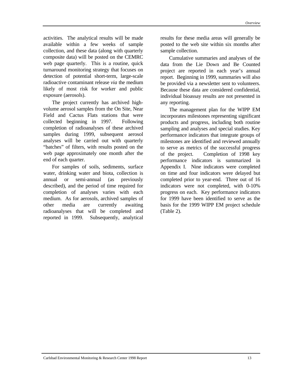activities. The analytical results will be made available within a few weeks of sample collection, and these data (along with quarterly composite data) will be posted on the CEMRC web page quarterly. This is a routine, quick turnaround monitoring strategy that focuses on detection of potential short-term, large-scale radioactive contaminant release *via* the medium likely of most risk for worker and public exposure (aerosols).

The project currently has archived highvolume aerosol samples from the On Site, Near Field and Cactus Flats stations that were collected beginning in 1997. Following completion of radioanalyses of these archived samples during 1999, subsequent aerosol analyses will be carried out with quarterly "batches" of filters, with results posted on the web page approximately one month after the end of each quarter.

For samples of soils, sediments, surface water, drinking water and biota, collection is annual or semi-annual (as previously described), and the period of time required for completion of analyses varies with each medium. As for aerosols, archived samples of other media are currently awaiting radioanalyses that will be completed and reported in 1999. Subsequently, analytical

results for these media areas will generally be posted to the web site within six months after sample collection.

Cumulative summaries and analyses of the data from the Lie Down and Be Counted project are reported in each year's annual report. Beginning in 1999, summaries will also be provided via a newsletter sent to volunteers. Because these data are considered confidential, individual bioassay results are not presented in any reporting.

The management plan for the WIPP EM incorporates milestones representing significant products and progress, including both routine sampling and analyses and special studies. Key performance indicators that integrate groups of milestones are identified and reviewed annually to serve as metrics of the successful progress of the project. Completion of 1998 key performance indicators is summarized in Appendix I. Nine indicators were completed on time and four indicators were delayed but completed prior to year-end. Three out of 16 indicators were not completed, with 0-10% progress on each. Key performance indicators for 1999 have been identified to serve as the basis for the 1999 WIPP EM project schedule (Table 2).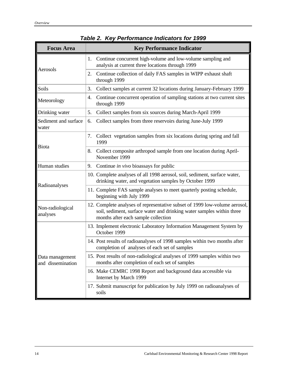| rable 2. Key Ferrormance indicators for 1999                                                                                                                                                                               |                                                                                                                                     |  |  |
|----------------------------------------------------------------------------------------------------------------------------------------------------------------------------------------------------------------------------|-------------------------------------------------------------------------------------------------------------------------------------|--|--|
| <b>Focus Area</b>                                                                                                                                                                                                          | <b>Key Performance Indicator</b>                                                                                                    |  |  |
| Aerosols                                                                                                                                                                                                                   | 1. Continue concurrent high-volume and low-volume sampling and<br>analysis at current three locations through 1999                  |  |  |
|                                                                                                                                                                                                                            | Continue collection of daily FAS samples in WIPP exhaust shaft<br>2.<br>through 1999                                                |  |  |
| Soils                                                                                                                                                                                                                      | Collect samples at current 32 locations during January-February 1999<br>3.                                                          |  |  |
| Meteorology                                                                                                                                                                                                                | Continue concurrent operation of sampling stations at two current sites<br>4.<br>through 1999                                       |  |  |
| Drinking water                                                                                                                                                                                                             | Collect samples from six sources during March-April 1999<br>5.                                                                      |  |  |
| Sediment and surface<br>water                                                                                                                                                                                              | Collect samples from three reservoirs during June-July 1999<br>6.                                                                   |  |  |
| <b>Biota</b>                                                                                                                                                                                                               | 7. Collect vegetation samples from six locations during spring and fall<br>1999                                                     |  |  |
|                                                                                                                                                                                                                            | Collect composite arthropod sample from one location during April-<br>8.<br>November 1999                                           |  |  |
| Human studies                                                                                                                                                                                                              | 9. Continue in vivo bioassays for public                                                                                            |  |  |
| Radioanalyses                                                                                                                                                                                                              | 10. Complete analyses of all 1998 aerosol, soil, sediment, surface water,<br>drinking water, and vegetation samples by October 1999 |  |  |
|                                                                                                                                                                                                                            | 11. Complete FAS sample analyses to meet quarterly posting schedule,<br>beginning with July 1999                                    |  |  |
| 12. Complete analyses of representative subset of 1999 low-volume aerosol,<br>Non-radiological<br>soil, sediment, surface water and drinking water samples within three<br>analyses<br>months after each sample collection |                                                                                                                                     |  |  |
|                                                                                                                                                                                                                            | 13. Implement electronic Laboratory Information Management System by<br>October 1999                                                |  |  |
|                                                                                                                                                                                                                            | 14. Post results of radioanalyses of 1998 samples within two months after<br>completion of analyses of each set of samples          |  |  |
| Data management<br>and dissemination                                                                                                                                                                                       | 15. Post results of non-radiological analyses of 1999 samples within two<br>months after completion of each set of samples          |  |  |
|                                                                                                                                                                                                                            | 16. Make CEMRC 1998 Report and background data accessible via<br>Internet by March 1999                                             |  |  |
|                                                                                                                                                                                                                            | 17. Submit manuscript for publication by July 1999 on radioanalyses of<br>soils                                                     |  |  |

*Table 2. Key Performance Indicators for 1999*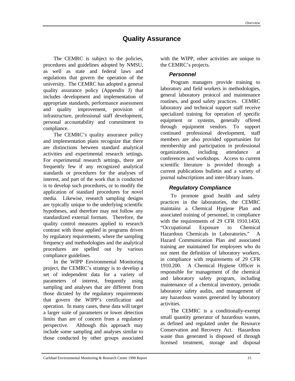# **Quality Assurance**

The CEMRC is subject to the policies, procedures and guidelines adopted by NMSU, as well as state and federal laws and regulations that govern the operation of the university. The CEMRC has adopted a general quality assurance policy (Appendix J) that includes development and implementation of appropriate standards, performance assessment and quality improvement, provision of infrastructure, professional staff development, personal accountability and commitment to compliance.

The CEMRC's quality assurance policy and implementation plans recognize that there are distinctions between standard analytical activities and experimental research settings. For experimental research settings, there are frequently few if any recognized analytical standards or procedures for the analyses of interest, and part of the work that is conducted is to develop such procedures, or to modify the application of standard procedures for novel media. Likewise, research sampling designs are typically unique to the underlying scientific hypotheses, and therefore may not follow any standardized external formats. Therefore, the quality control measures applied to research contrast with those applied in programs driven by regulatory requirements, where the sampling frequency and methodologies and the analytical procedures are spelled out by various compliance guidelines.

In the WIPP Environmental Monitoring project, the CEMRC's strategy is to develop a set of independent data for a variety of parameters of interest, frequently using sampling and analyses that are different from those dictated by the regulatory requirements that govern the WIPP's certification and operation. In many cases, these data will target a larger suite of parameters or lower detection limits than are of concern from a regulatory perspective. Although this approach may include some sampling and analyses similar to those conducted by other groups associated with the WIPP, other activities are unique to the CEMRC's projects.

### *Personnel*

Program managers provide training to laboratory and field workers in methodologies, general laboratory protocol and maintenance routines, and good safety practices. CEMRC laboratory and technical support staff receive specialized training for operation of specific equipment or systems, generally offered through equipment vendors. To support continued professional development, staff members are also provided opportunities for membership and participation in professional organizations, including attendance at conferences and workshops. Access to current scientific literature is provided through a current publications bulletin and a variety of journal subscriptions and inter-library loans.

# *Regulatory Compliance*

To promote good health and safety practices in the laboratories, the CEMRC maintains a Chemical Hygiene Plan and associated training of personnel, in compliance with the requirements of 29 CFR 1910.1450, "Occupational Exposure to Chemical Hazardous Chemicals in Laboratories." A Hazard Communication Plan and associated training are maintained for employees who do not meet the definition of laboratory workers, in compliance with requirements of 29 CFR 1910.200. A Chemical Hygiene Officer is responsible for management of the chemical and laboratory safety program, including maintenance of a chemical inventory, periodic laboratory safety audits, and management of any hazardous wastes generated by laboratory activities.

The CEMRC is a conditionally-exempt small quantity generator of hazardous wastes, as defined and regulated under the Resource Conservation and Recovery Act. Hazardous waste thus generated is disposed of through licensed treatment, storage and disposal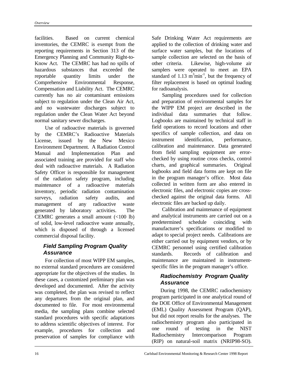facilities. Based on current chemical inventories, the CEMRC is exempt from the reporting requirements in Section 313 of the Emergency Planning and Community Right-to-Know Act. The CEMRC has had no spills of hazardous substances that exceeded the reportable quantity limits under the Comprehensive Environmental Response, Compensation and Liability Act. The CEMRC currently has no air contaminant emissions subject to regulation under the Clean Air Act, and no wastewater discharges subject to regulation under the Clean Water Act beyond normal sanitary sewer discharges.

Use of radioactive materials is governed by the CEMRC's Radioactive Materials License, issued by the New Mexico Environment Department. A Radiation Control Manual and Implementation Plan and associated training are provided for staff who deal with radioactive materials. A Radiation Safety Officer is responsible for management of the radiation safety program, including maintenance of a radioactive materials inventory, periodic radiation contamination surveys, radiation safety audits, and management of any radioactive waste generated by laboratory activities. The CEMRC generates a small amount (<100 lb) of solid, low-level radioactive waste annually, which is disposed of through a licensed commercial disposal facility.

# *Field Sampling Program Quality Assurance*

For collection of most WIPP EM samples, no external standard procedures are considered appropriate for the objectives of the studies. In these cases, a customized preliminary plan was developed and documented. After the activity was completed, the plan was revised to reflect any departures from the original plan, and documented to file. For most environmental media, the sampling plans combine selected standard procedures with specific adaptations to address scientific objectives of interest. For example, procedures for collection and preservation of samples for compliance with

Safe Drinking Water Act requirements are applied to the collection of drinking water and surface water samples, but the locations of sample collection are selected on the basis of other criteria. Likewise, high-volume air samplers were operated to meet an EPA standard of  $1.13 \text{ m}^3\text{min}^{-1}$ , but the frequency of filter replacement is based on optimal loading for radioanalysis.

Sampling procedures used for collection and preparation of environmental samples for the WIPP EM project are described in the individual data summaries that follow. Logbooks are maintained by technical staff in field operations to record locations and other specifics of sample collection, and data on instrument identification, performance, calibration and maintenance. Data generated from field sampling equipment are errorchecked by using routine cross checks, control charts, and graphical summaries. Original logbooks and field data forms are kept on file in the program manager's office. Most data collected in written form are also entered in electronic files, and electronic copies are crosschecked against the original data forms. All electronic files are backed up daily.

Calibration and maintenance of equipment and analytical instruments are carried out on a predetermined schedule coinciding with manufacturer's specifications or modified to adapt to special project needs. Calibrations are either carried out by equipment vendors, or by CEMRC personnel using certified calibration standards. Records of calibration and maintenance are maintained in instrumentspecific files in the program manager's office.

### *Radiochemistry Program Quality Assurance*

During 1998, the CEMRC radiochemistry program participated in one analytical round of the DOE Office of Environmental Management (EML) Quality Assessment Program (QAP), but did not report results for the analyses. The radiochemistry program also participated in one round of testing in the NIST Radiochemistry Intercomparison Program (RIP) on natural-soil matrix (NRIP98-SO).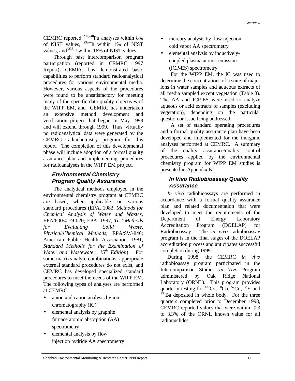CEMRC reported  $^{239,240}$ Pu analyses within 8% of NIST values, <sup>232</sup>Th within 1% of NIST values, and  $^{238}$ U within 16% of NIST values.

Through past intercomparison program participation (reported in CEMRC 1997 Report), CEMRC has demonstrated basic capabilities to perform standard radioanalytical procedures for various environmental media. However, various aspects of the procedures were found to be unsatisfactory for meeting many of the specific data quality objectives of the WIPP EM, and CEMRC has undertaken an extensive method development and verification project that began in May 1998 and will extend through 1999. Thus, virtually no radioanalytical data were generated by the CEMRC radiochemistry program for this report. The completion of this developmental phase will include adoption of a formal quality assurance plan and implementing procedures for radioanalyses in the WIPP EM project.

# *Environmental Chemistry Program Quality Assurance*

The analytical methods employed in the environmental chemistry program at CEMRC are based, when applicable, on various standard procedures (EPA, 1983, M*ethods for Chemical Analysis of Water and Wastes,* EPA/600/4-79-020; EPA, 1997, *Test Methods for Evaluating Solid Waste, Physical/Chemical Methods*; EPA/SW-846; American Public Health Association, 1981, *Standard Methods for the Examination of Water and Wastewater, 15th Edition*). For some matrix/analyte combinations, appropriate external standard procedures do not exist, and CEMRC has developed specialized standard procedures to meet the needs of the WIPP EM. The following types of analyses are performed at CEMRC:

- anion and cation analysis by ion chromatography (IC)
- elemental analysis by graphite furnace atomic absorption (AA) spectrometry
- elemental analysis by flow injection hydride AA spectrometry
- mercury analysis by flow injection cold vapor AA spectrometry
- elemental analysis by inductivelycoupled plasma atomic emission (ICP-ES) spectrometry

For the WIPP EM, the IC was used to determine the concentrations of a suite of major ions in water samples and aqueous extracts of all media sampled except vegetation (Table 3). The AA and ICP-ES were used to analyze aqueous or acid extracts of samples (excluding vegetation), depending on the particular question or issue being addressed.

A set of standard operating procedures and a formal quality assurance plan have been developed and implemented for the inorganic analyses performed at CEMRC. A summary of the quality assurance/quality control procedures applied by the environmental chemistry program for WIPP EM studies is presented in Appendix K.

# *In Vivo Radiobioassay Quality Assurance*

 *In vivo* radiobioassays are performed in accordance with a formal quality assurance plan and related documentation that were developed to meet the requirements of the Department of Energy Laboratory Accreditation Program (DOELAP) for Radiobioassay. The *in vivo* radiobioassay program is in the final stages of the DOELAP accreditation process and anticipates successful completion during 1999.

 During 1998, the CEMRC *in vivo* radiobioassay program participated in the Intercomparison Studies *In Vivo* Program administered by Oak Ridge National Laboratory (ORNL). This program provides quarterly testing for  $137Cs$ ,  $60Co$ ,  $57Co$ ,  $88Y$  and <sup>133</sup>Ba deposited in whole body. For the three quarters completed prior to December 1998, CEMRC reported values that were within -0.3 to 3.3% of the ORNL known value for all radionuclides.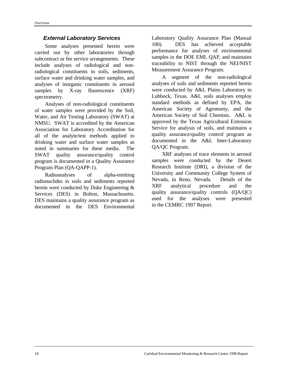#### *External Laboratory Services*

Some analyses presented herein were carried out by other laboratories through subcontract or fee service arrangements. These include analyses of radiological and nonradiological constituents in soils, sediments, surface water and drinking water samples, and analyses of inorganic constituents in aerosol samples by X-ray fluorescence (XRF) spectrometry.

Analyses of non-radiological constituents of water samples were provided by the Soil, Water, and Air Testing Laboratory (SWAT) at NMSU. SWAT is accredited by the American Association for Laboratory Accreditation for all of the analyte/test methods applied to drinking water and surface water samples as noted in summaries for these media. The SWAT quality assurance/quality control program is documented in a Quality Assurance Program Plan (QA-QAPP-1).

Radioanalyses of alpha-emitting radionuclides in soils and sediments reported herein were conducted by Duke Engineering & Services (DES) in Bolton, Massachusetts. DES maintains a quality assurance program as documented in the DES Environmental

Laboratory Quality Assurance Plan (Manual 100). DES has achieved acceptable performance for analyses of environmental samples in the DOE EML QAP, and maintains traceability to NIST through the NEI/NIST Measurement Assurance Program.

A segment of the non-radiological analyses of soils and sediments reported herein were conducted by A&L Plains Laboratory in Lubbock, Texas. A&L soils analyses employ standard methods as defined by EPA, the American Society of Agronomy, and the American Society of Soil Chemists. A&L is approved by the Texas Agricultural Extension Service for analysis of soils, and maintains a quality assurance/quality control program as documented in the A&L Inter-Laboratory QA/QC Program.

XRF analyses of trace elements in aerosol samples were conducted by the Desert Research Institute (DRI), a division of the University and Community College System of Nevada, in Reno, Nevada. Details of the XRF analytical procedure and the quality assurance/quality controls (QA/QC) used for the analyses were presented in the CEMRC 1997 Report.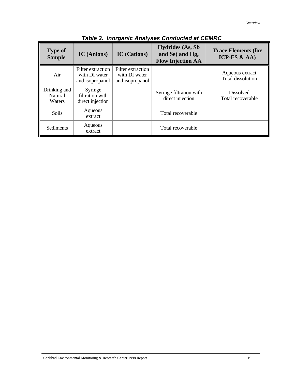| <b>Type of</b><br><b>Sample</b>   | <b>IC</b> (Anions)                                    | <b>IC</b> (Cations)                                   | <b>Hydrides (As, Sb</b><br>and Se) and Hg,<br><b>Flow Injection AA</b> | <b>Trace Elements (for</b><br>ICP-ES $&AA$ ) |
|-----------------------------------|-------------------------------------------------------|-------------------------------------------------------|------------------------------------------------------------------------|----------------------------------------------|
| Air                               | Filter extraction<br>with DI water<br>and isopropanol | Filter extraction<br>with DI water<br>and isopropanol |                                                                        | Aqueous extract<br>Total dissolution         |
| Drinking and<br>Natural<br>Waters | Syringe<br>filtration with<br>direct injection        |                                                       | Syringe filtration with<br>direct injection                            | <b>Dissolved</b><br>Total recoverable        |
| Soils                             | Aqueous<br>extract                                    |                                                       | Total recoverable                                                      |                                              |
| Sediments                         | Aqueous<br>extract                                    |                                                       | Total recoverable                                                      |                                              |

# *Table 3. Inorganic Analyses Conducted at CEMRC*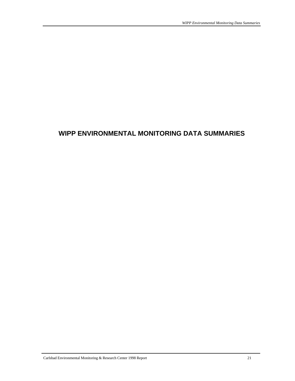# **WIPP ENVIRONMENTAL MONITORING DATA SUMMARIES**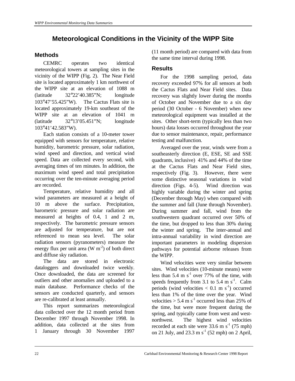# **Meteorological Conditions in the Vicinity of the WIPP Site**

## **Methods**

CEMRC operates two identical meteorological towers at sampling sites in the vicinity of the WIPP (Fig. 2). The Near Field site is located approximately 1 km northwest of the WIPP site at an elevation of 1088 m (latitude 32°22'40.385"N; longitude 103°47'55.425"W). The Cactus Flats site is located approximately 19-km southeast of the WIPP site at an elevation of 1041 m (latitude 32°13'05.451"N; longitude 103°41'42.583"W).

Each station consists of a 10-meter tower equipped with sensors for temperature, relative humidity, barometric pressure, solar radiation, wind speed and direction, and vertical wind speed. Data are collected every second, with averaging times of ten minutes. In addition, the maximum wind speed and total precipitation occurring over the ten-minute averaging period are recorded.

Temperature, relative humidity and all wind parameters are measured at a height of 10 m above the surface. Precipitation, barometric pressure and solar radiation are measured at heights of 0.4, 1 and 2 m, respectively. The barometric pressure sensors are adjusted for temperature, but are not referenced to mean sea level. The solar radiation sensors (pyranometers) measure the energy flux per unit area  $(W m<sup>-2</sup>)$  of both direct and diffuse sky radiation.

The data are stored in electronic dataloggers and downloaded twice weekly. Once downloaded, the data are screened for outliers and other anomalies and uploaded to a main database. Performance checks of the sensors are conducted quarterly, and sensors are re-calibrated at least annually.

This report summarizes meteorological data collected over the 12 month period from December 1997 through November 1998. In addition, data collected at the sites from 1 January through 30 November 1997

(11 month period) are compared with data from the same time interval during 1998.

## **Results**

For the 1998 sampling period, data recovery exceeded 97% for all sensors at both the Cactus Flats and Near Field sites. Data recovery was slightly lower during the months of October and November due to a six day period (30 October - 6 November) when new meteorological equipment was installed at the sites. Other short-term (typically less than two hours) data losses occurred throughout the year due to sensor maintenance, repair, performance testing and malfunction.

Averaged over the year, winds were from a southeasterly direction (E, ESE, SE and SSE quadrants, inclusive) 41% and 44% of the time at the Cactus Flats and Near Field sites, respectively (Fig. 3). However, there were some distinctive seasonal variations in wind direction (Figs. 4-5). Wind direction was highly variable during the winter and spring (December through May) when compared with the summer and fall (June through November). During summer and fall, wind from the southwestern quadrant occurred over 50% of the time, but dropped to less than 30% during the winter and spring. The inter-annual and intra-annual variability in wind direction are important parameters in modeling dispersion pathways for potential airborne releases from the WIPP.

Wind velocities were very similar between sites. Wind velocities (10-minute means) were less than  $5.4 \text{ m s}^{-1}$  over 77% of the time, with speeds frequently from 3.1 to 5.4 m  $s^{-1}$ . Calm periods (wind velocities  $< 0.1 \text{ m s}^{-1}$ ) occurred less than 1% of the time over the year. Wind velocities  $> 5.4 \text{ m s}^{-1}$  occurred less than 25% of the time, but were more frequent during the spring, and typically came from west and westnorthwest. The highest wind velocities recorded at each site were  $33.6 \text{ m s}^{-1}$  (75 mph) on 21 July, and 23.3 m  $s^{-1}$  (52 mph) on 2 April,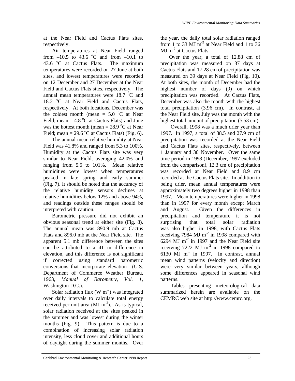at the Near Field and Cactus Flats sites, respectively.

Air temperatures at Near Field ranged from  $-10.5$  to 43.6 °C and from  $-10.1$  to 43.6  $\degree$ C at Cactus Flats. The maximum temperatures were recorded on 27 June at both sites, and lowest temperatures were recorded on 12 December and 27 December at the Near Field and Cactus Flats sites, respectively. The annual mean temperatures were  $18.7 \text{ °C}$  and 18.2 <sup>o</sup>C at Near Field and Cactus Flats, respectively. At both locations, December was the coldest month (mean =  $5.0 \degree$ C at Near Field; mean  $=$  4.8 °C at Cactus Flats) and June was the hottest month (mean  $= 28.9 \degree C$  at Near Field; mean =  $29.6 \degree$ C at Cactus Flats) (Fig. 6).

The annual mean relative humidity at Near Field was 41.8% and ranged from 5.3 to 100%. Humidity at the Cactus Flats site was very similar to Near Field, averaging 42.0% and ranging from 5.5 to 101%. Mean relative humidities were lowest when temperatures peaked in late spring and early summer (Fig. 7). It should be noted that the accuracy of the relative humidity sensors declines at relative humidities below 12% and above 94%, and readings outside these ranges should be interpreted with caution.

Barometric pressure did not exhibit an obvious seasonal trend at either site (Fig. 8). The annual mean was 890.9 mb at Cactus Flats and 896.0 mb at the Near Field site. The apparent 5.1 mb difference between the sites can be attributed to a 41 m difference in elevation, and this difference is not significant if corrected using standard barometric conversions that incorporate elevation (U.S. Department of Commerce Weather Bureau, 1963, *Manual of Barometry*, *Vol. 1*, Washington D.C.).

Solar radiation flux (W  $m^{-2}$ ) was integrated over daily intervals to calculate total energy received per unit area  $(MJ \text{ m}^2)$ . As is typical, solar radiation received at the sites peaked in the summer and was lowest during the winter months (Fig. 9). This pattern is due to a combination of increasing solar radiation intensity, less cloud cover and additional hours of daylight during the summer months. Over the year, the daily total solar radiation ranged from 1 to 33 MJ  $m<sup>-2</sup>$  at Near Field and 1 to 36 MJ m<sup>-2</sup> at Cactus Flats.

Over the year, a total of 12.88 cm of precipitation was measured on 37 days at Cactus Flats and 17.28 cm of precipitation was measured on 39 days at Near Field (Fig. 10). At both sites, the month of December had the highest number of days (9) on which precipitation was recorded. At Cactus Flats, December was also the month with the highest total precipitation (3.96 cm). In contrast, at the Near Field site, July was the month with the highest total amount of precipitation (5.53 cm).

Overall, 1998 was a much drier year than 1997. In 1997, a total of 38.5 and 27.9 cm of precipitation was recorded at the Near Field and Cactus Flats sites, respectively, between 1 January and 30 November. Over the same time period in 1998 (December, 1997 excluded from the comparison), 12.3 cm of precipitation was recorded at Near Field and 8.9 cm recorded at the Cactus Flats site. In addition to being drier, mean annual temperatures were approximately two degrees higher in 1998 than 1997. Mean temperatures were higher in 1998 than in 1997 for every month except March and August. Given the differences in precipitation and temperature it is not surprising that total solar radiation was also higher in 1998, with Cactus Flats receiving 7984 MJ  $m<sup>-2</sup>$  in 1998 compared with 6294 MJ  $m<sup>-2</sup>$  in 1997 and the Near Field site receiving 7222 MJ  $m<sup>-2</sup>$  in 1998 compared to 6130 MJ m<sup>-2</sup> in 1997. In contrast, annual mean wind patterns (velocity and direction) were very similar between years, although some differences appeared in seasonal wind patterns.

Tables presenting meteorological data summarized herein are available on the CEMRC web site at http://www.cemrc.org.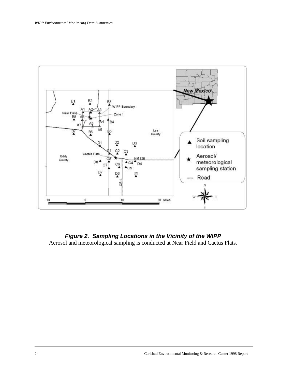

### *Figure 2. Sampling Locations in the Vicinity of the WIPP* Aerosol and meteorological sampling is conducted at Near Field and Cactus Flats.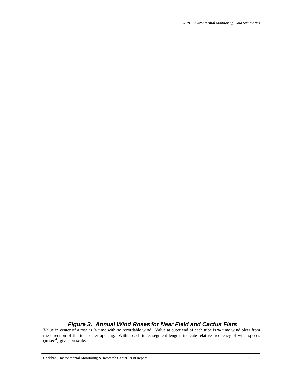#### *Figure 3. Annual Wind Roses for Near Field and Cactus Flats*

Value in center of a rose is % time with no recordable wind. Value at outer end of each tube is % time wind blew from the direction of the tube outer opening. Within each tube, segment lengths indicate relative frequency of wind speeds  $(m \sec^{-1})$  given on scale.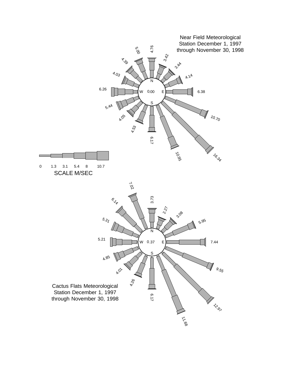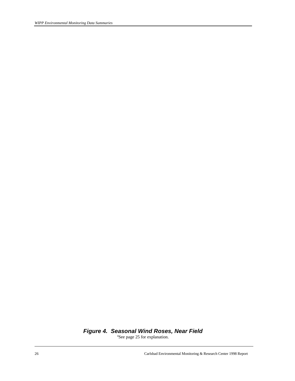## *Figure 4. Seasonal Wind Roses, Near Field*

<sup>a</sup>See page 25 for explanation.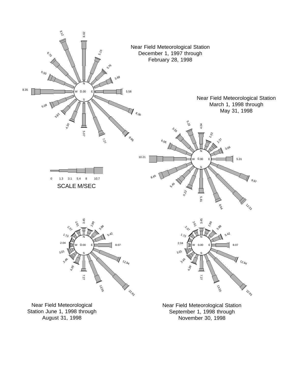

August 31, 1998

November 30, 1998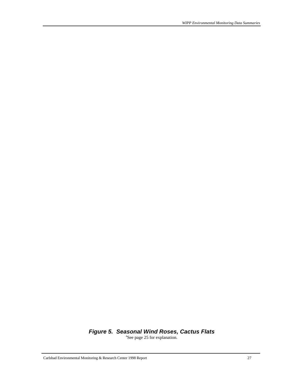## *Figure 5. Seasonal Wind Roses, Cactus Flats*

<sup>a</sup>See page 25 for explanation.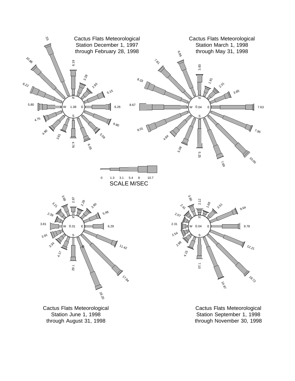

Station June 1, 1998 through August 31, 1998

Station September 1, 1998 through November 30, 1998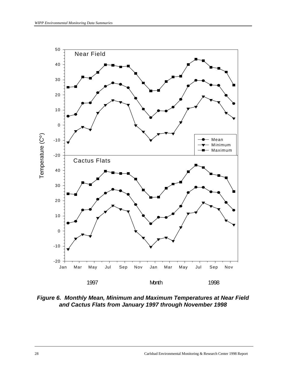

*Figure 6. Monthly Mean, Minimum and Maximum Temperatures at Near Field and Cactus Flats from January 1997 through November 1998*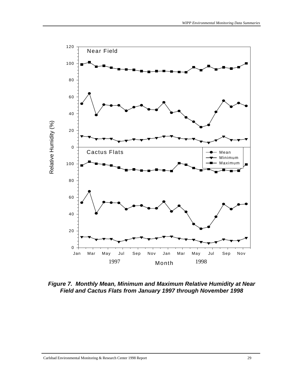

*Figure 7. Monthly Mean, Minimum and Maximum Relative Humidity at Near Field and Cactus Flats from January 1997 through November 1998*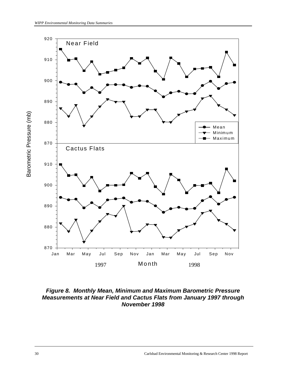

#### *Figure 8. Monthly Mean, Minimum and Maximum Barometric Pressure Measurements at Near Field and Cactus Flats from January 1997 through November 1998*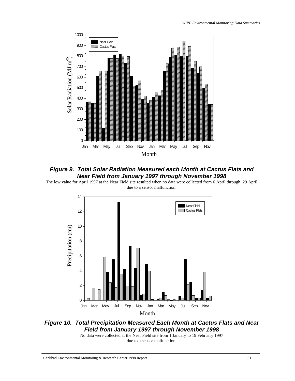

#### *Figure 9. Total Solar Radiation Measured each Month at Cactus Flats and Near Field from January 1997 through November 1998*

The low value for April 1997 at the Near Field site resulted when no data were collected from 6 April through 29 April due to a sensor malfunction.



## *Figure 10. Total Precipitation Measured Each Month at Cactus Flats and Near Field from January 1997 through November 1998*

No data were collected at the Near Field site from 1 January to 19 February 1997 due to a sensor malfunction.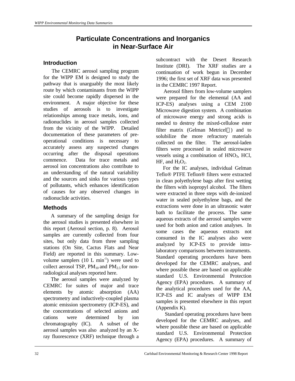# **Particulate Concentrations and Inorganics in Near-Surface Air**

#### **Introduction**

 The CEMRC aerosol sampling program for the WIPP EM is designed to study the pathway that is unarguably the most likely route by which contaminants from the WIPP site could become rapidly dispersed in the environment. A major objective for these studies of aerosols is to investigate relationships among trace metals, ions, and radionuclides in aerosol samples collected from the vicinity of the WIPP. Detailed documentation of these parameters of preoperational conditions is necessary to accurately assess any suspected changes occurring after the disposal operations commence. Data for trace metals and aerosol ion concentrations also contribute to an understanding of the natural variability and the sources and sinks for various types of pollutants, which enhances identification of causes for any observed changes in radionuclide activities.

#### **Methods**

 A summary of the sampling design for the aerosol studies is presented elsewhere in this report (Aerosol section, p. 8). Aerosol samples are currently collected from four sites, but only data from three sampling stations (On Site, Cactus Flats and Near Field) are reported in this summary. Lowvolume samplers  $(10 \text{ L min}^{-1})$  were used to collect aerosol TSP,  $PM_{10}$  and  $PM_{2.5}$  for nonradiological analyses reported here.

 The aerosol samples were analyzed by CEMRC for suites of major and trace elements by atomic absorption (AA) spectrometry and inductively-coupled plasma atomic emission spectrometry (ICP-ES), and the concentrations of selected anions and cations were determined by ion chromatography (IC). A subset of the aerosol samples was also analyzed by an Xray fluorescence (XRF) technique through a

subcontract with the Desert Research Institute (DRI). The XRF studies are a continuation of work begun in December 1996; the first set of XRF data was presented in the CEMRC 1997 Report.

 Aerosol filters from low-volume samplers were prepared for the elemental (AA and ICP-ES) analyses using a CEM 2100 Microwave digestion system. A combination of microwave energy and strong acids is needed to destroy the mixed-cellulose ester filter matrix (Gelman Metricel®) and to solubilize the more refractory materials collected on the filter. The aerosol-laden filters were processed in sealed microwave vessels using a combination of  $HNO<sub>3</sub>$ , HCl,  $HF$ , and  $H_2O_2$ .

 For the IC analyses, individual Gelman Teflo® PTFE Teflon® filters were extracted in clean polyethylene bags after first wetting the filters with isopropyl alcohol. The filters were extracted in three steps with de-ionized water in sealed polyethylene bags, and the extractions were done in an ultrasonic water bath to facilitate the process. The same aqueous extracts of the aerosol samples were used for both anion and cation analyses. In some cases the aqueous extracts not consumed in the IC analyses also were analyzed by ICP-ES to provide intralaboratory comparisons between instruments. Standard operating procedures have been developed for the CEMRC analyses, and where possible these are based on applicable standard U.S. Environmental Protection Agency (EPA) procedures. A summary of the analytical procedures used for the AA, ICP-ES and IC analyses of WIPP EM samples is presented elsewhere in this report (Appendix K).

 Standard operating procedures have been developed for the CEMRC analyses, and where possible these are based on applicable standard U.S. Environmental Protection Agency (EPA) procedures. A summary of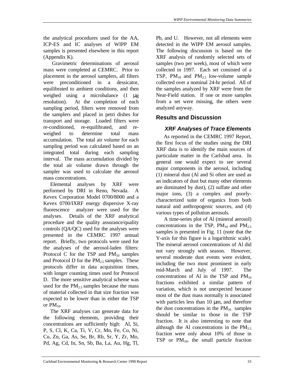the analytical procedures used for the AA, ICP-ES and IC analyses of WIPP EM samples is presented elsewhere in this report (Appendix K).

Gravimetric determinations of aerosol mass were completed at CEMRC. Prior to placement in the aerosol samplers, all filters were preconditioned in a dessicator, equilibrated to ambient conditions, and then weighed using a microbalance (1 μg resolution). At the completion of each sampling period, filters were removed from the samplers and placed in petri dishes for transport and storage. Loaded filters were re-conditioned, re-equilibrated, and reweighed to determine total mass accumulation. The total air volume for each sampling period was calculated based on an integrated total during each sampling interval. The mass accumulation divided by the total air volume drawn through the sampler was used to calculate the aerosol mass concentrations.

 Elemental analyses by XRF were performed by DRI in Reno, Nevada. A Kevex Corporation Model 0700/8000 and a Kevex 0700/IXRF energy dispersive X-ray fluorescence analyzer were used for the analyses. Details of the XRF analytical procedure and the quality assurance/quality controls (QA/QC) used for the analyses were presented in the CEMRC 1997 annual report. Briefly, two protocols were used for the analyses of the aerosol-laden filters: Protocol C for the TSP and  $PM_{10}$  samples and Protocol D for the  $PM_{2.5}$  samples. These protocols differ in data acquisition times, with longer counting times used for Protocol D. The more sensitive analytical scheme was used for the  $PM_{2.5}$  samples because the mass of material collected in that size fraction was expected to be lower than in either the TSP or  $PM_{10}$ .

 The XRF analyses can generate data for the following elements, providing their concentrations are sufficiently high: Al, Si, P, S, Cl, K, Ca, Ti, V, Cr, Mn, Fe, Co, Ni, Cu, Zn, Ga, As, Se, Br, Rb, Sr, Y, Zr, Mo, Pd, Ag, Cd, In, Sn, Sb, Ba, La, Au, Hg, Tl,

Pb, and U. However, not all elements were detected in the WIPP EM aerosol samples. The following discussion is based on the XRF analysis of randomly selected sets of samples (two per week), most of which were collected in 1997. Each set consisted of a TSP,  $PM_{10}$  and  $PM_{2.5}$  low-volume sample collected over a nominal 24-hr period. All of the samples analyzed by XRF were from the Near-Field station. If one or more samples from a set were missing, the others were analyzed anyway.

# **Results and Discussion**

# *XRF Analyses of Trace Elements*

 As reported in the CEMRC 1997 Report, the first focus of the studies using the DRI XRF data is to identify the main sources of particulate matter in the Carlsbad area. In general one would expect to see several major components in the aerosol, including (1) mineral dust (Al and Si often are used as an indicators of dust but many other elements are dominated by dust), (2) sulfate and other major ions, (3) a complex and poorlycharacterized suite of organics from both natural and anthropogenic sources, and (4) various types of pollution aerosols.

 A time-series plot of Al (mineral aerosol) concentrations in the TSP,  $PM_{10}$  and  $PM_{2.5}$ samples is presented in Fig. 11 (note that the Y-axis for this figure is a logarithmic scale). The mineral aerosol concentrations of Al did not vary strongly with season. However, several moderate dust events were evident, including the two most prominent in early mid-March and July of 1997. The concentrations of Al in the TSP and  $PM_{10}$ fractions exhibited a similar pattern of variation, which is not unexpected because most of the dust mass normally is associated with particles less than 10 μm, and therefore the dust concentrations in the  $PM_{10}$  samples should be similar to those in the TSP fraction. It is also interesting to note that although the Al concentrations in the  $PM_{2.5}$ fraction were only about 10% of those in TSP or  $PM_{10}$ , the small particle fraction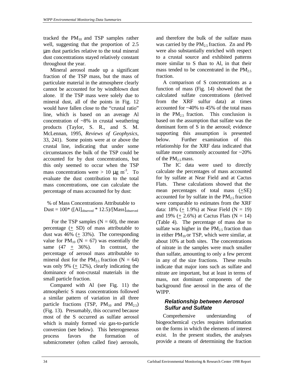tracked the  $PM_{10}$  and TSP samples rather well, suggesting that the proportion of 2.5 μm dust particles relative to the total mineral dust concentrations stayed relatively constant throughout the year.

 Mineral aerosol made up a significant fraction of the TSP mass, but the mass of particulate material in the atmosphere clearly cannot be accounted for by windblown dust alone. If the TSP mass were solely due to mineral dust, all of the points in Fig. 12 would have fallen close to the "crustal ratio" line, which is based on an average Al concentration of ~8% in crustal weathering products (Taylor, S. R., and S. M. McLennan, 1995, *Reviews of Geophysics*, 33, 241). Some points were at or above the crustal line, indicating that under some circumstances the bulk of the TSP could be accounted for by dust concentrations, but this only seemed to occur when the TSP mass concentrations were  $> 10 \mu g m^{-3}$ . To evaluate the dust contribution to the total mass concentrations, one can calculate the percentage of mass accounted for by dust:

% of Mass Concentrations Attributable to Dust =  $100^*$  ([Al]<sub>observed</sub> \*  $12.5$ )/[Mass]<sub>observed</sub>

For the TSP samples  $(N = 60)$ , the mean percentage (+ SD) of mass attributable to dust was  $46\%$  (+ 33%). The corresponding value for  $PM_{10}$  (N = 67) was essentially the same  $(47 + 36\%)$ . In contrast, the percentage of aerosol mass attributable to mineral dust for the  $PM_{2.5}$  fraction (N = 64) was only 9% (+ 12%), clearly indicating the dominance of non-crustal materials in the small particle fraction.

 Compared with Al (see Fig. 11) the atmospheric S mass concentrations followed a similar pattern of variation in all three particle fractions (TSP,  $PM_{10}$  and  $PM_{2.5}$ ) (Fig. 13). Presumably, this occurred because most of the S occurred as sulfate aerosol which is mainly formed *via* gas-to-particle conversion (see below). This heterogeneous process favors the formation of submicrometer (often called fine) aerosols, and therefore the bulk of the sulfate mass was carried by the  $PM_{2.5}$  fraction. Zn and Pb were also substantially enriched with respect to a crustal source and exhibited patterns more similar to S than to Al, in that their mass tended to be concentrated in the  $PM_{2.5}$ fraction.

 A comparison of S concentrations as a function of mass (Fig. 14) showed that the calculated sulfate concentrations (derived from the XRF sulfur data) at times accounted for ~40% to 45% of the total mass in the  $PM_{2.5}$  fraction. This conclusion is based on the assumption that sulfate was the dominant form of S in the aerosol; evidence supporting this assumption is presented below. Further examination of this relationship for the XRF data indicated that sulfate more commonly accounted for ~20% of the  $PM_2$ , mass.

 The IC data were used to directly calculate the percentages of mass accounted for by sulfate at Near Field and at Cactus Flats. These calculations showed that the mean percentages of total mass (+SE) accounted for by sulfate in the  $PM_{2.5}$  fraction were comparable to estimates from the XRF data:  $18\% (+ 1.9\%)$  at Near Field (N = 19) and 19% (+ 2.6%) at Cactus Flats ( $N = 14$ ) (Table 4). The percentage of mass due to sulfate was higher in the  $PM_{2.5}$  fraction than in either  $PM_{10}$  or TSP, which were similar, at about 10% at both sites. The concentrations of nitrate in the samples were much smaller than sulfate, amounting to only a few percent in any of the size fractions. These results indicate that major ions such as sulfate and nitrate are important, but at least in terms of mass, not dominant components of the background fine aerosol in the area of the WIPP.

## *Relationship between Aerosol Sulfur and Sulfate*

 Comprehensive understanding of biogeochemical cycles requires information on the forms in which the elements of interest exist. In the present studies, the analyses provide a means of determining the fraction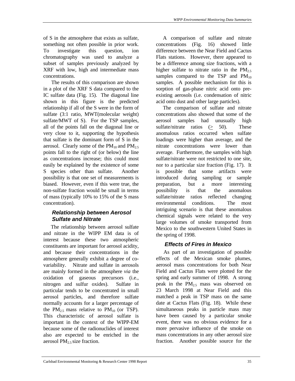of S in the atmosphere that exists as sulfate, something not often possible in prior work. To investigate this question, ion chromatography was used to analyze a subset of samples previously analyzed by XRF with low, high and intermediate mass concentrations.

 The results of this comparison are shown in a plot of the XRF S data compared to the IC sulfate data (Fig. 15). The diagonal line shown in this figure is the predicted relationship if all of the S were in the form of sulfate (3:1 ratio, MWT(molecular weight) sulfate/MWT of S). For the TSP samples, all of the points fall on the diagonal line or very close to it, supporting the hypothesis that sulfate is the dominant form of S in the aerosol. Clearly some of the  $PM_{10}$  and  $PM_{2.5}$ points fall to the right of (or below) the line as concentrations increase; this could most easily be explained by the existence of some S species other than sulfate. Another possibility is that one set of measurements is biased. However, even if this were true, the non-sulfate fraction would be small in terms of mass (typically 10% to 15% of the S mass concentration).

## *Relationship between Aerosol Sulfate and Nitrate*

 The relationship between aerosol sulfate and nitrate in the WIPP EM data is of interest because these two atmospheric constituents are important for aerosol acidity, and because their concentrations in the atmosphere generally exhibit a degree of covariability. Nitrate and sulfate in aerosols are mainly formed in the atmosphere *via* the oxidation of gaseous precursors (i.e., nitrogen and sulfur oxides). Sulfate in particular tends to be concentrated in small aerosol particles, and therefore sulfate normally accounts for a larger percentage of the  $PM_{2.5}$  mass relative to  $PM_{10}$  (or TSP). This characteristic of aerosol sulfate is important in the context of the WIPP-EM because some of the radionuclides of interest also are expected to be enriched in the aerosol  $PM<sub>2.5</sub> size fraction.$ 

 A comparison of sulfate and nitrate concentrations (Fig. 16) showed little difference between the Near Field and Cactus Flats stations. However, there appeared to be a difference among size fractions, with a higher sulfate to nitrate ratio in the  $PM_{2.5}$ samples compared to the TSP and  $PM_{10}$ samples. A possible mechanism for this is sorption of gas-phase nitric acid onto preexisting aerosols (i.e. condensation of nitric acid onto dust and other large particles).

 The comparison of sulfate and nitrate concentrations also showed that some of the aerosol samples had unusually high sulfate/nitrate ratios (> 50). These anomalous ratios occurred when sulfate loadings were higher than average, and the nitrate concentrations were lower than average. Furthermore, the samples with high sulfate/nitrate were not restricted to one site, nor to a particular size fraction (Fig. 17). It is possible that some artifacts were introduced during sampling or sample preparation, but a more interesting possibility is that the anomalous sulfate/nitrate ratios reflected changing environmental conditions. The most intriguing scenario is that these anomalous chemical signals were related to the very large volumes of smoke transported from Mexico to the southwestern United States in the spring of 1998.

## *Effects of Fires in Mexico*

 As part of an investigation of possible effects of the Mexican smoke plumes, aerosol mass concentrations for both Near Field and Cactus Flats were plotted for the spring and early summer of 1998. A strong peak in the  $PM_{2.5}$  mass was observed on 23 March 1998 at Near Field and this matched a peak in TSP mass on the same date at Cactus Flats (Fig. 18). While these simultaneous peaks in particle mass may have been caused by a particular smoke event, there was no obvious evidence for a more pervasive influence of the smoke on mass concentrations in any other aerosol size fraction. Another possible source for the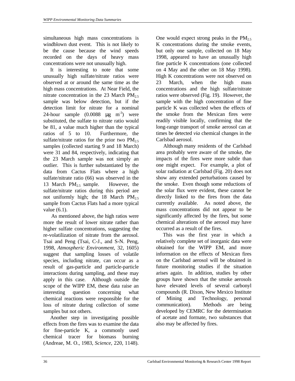simultaneous high mass concentrations is windblown dust event. This is not likely to be the cause because the wind speeds recorded on the days of heavy mass concentrations were not unusually high.

 It is interesting to note that some unusually high sulfate/nitrate ratios were observed at or around the same time as the high mass concentrations. At Near Field, the nitrate concentration in the 23 March  $PM_{2.5}$ sample was below detection, but if the detection limit for nitrate for a nominal 24-hour sample  $(0.0088 \text{ µg m}^{-3})$  were substituted, the sulfate to nitrate ratio would be 81, a value much higher than the typical ratios of 5 to 10. Furthermore, the sulfate/nitrate ratios for the prior two  $PM_{2.5}$ samples (collected starting 9 and 18 March) were 31 and 84, respectively, indicating that the 23 March sample was not simply an outlier. This is further substantiated by the data from Cactus Flats where a high sulfate/nitrate ratio (66) was observed in the 13 March  $PM_{2.5}$  sample. However, the sulfate/nitrate ratios during this period are not uniformly high; the 18 March  $PM_{2.5}$ sample from Cactus Flats had a more typical value (6.1).

 As mentioned above, the high ratios were more the result of lower nitrate rather than higher sulfate concentrations, suggesting the re-volatilization of nitrate from the aerosol. Tsai and Peng (Tsai, C-J., and S-N. Peng, 1998, *Atmospheric Environment*, 32, 1605) suggest that sampling losses of volatile species, including nitrate, can occur as a result of gas-particle and particle-particle interactions during sampling, and these may apply in this case. Although outside the scope of the WIPP EM, these data raise an interesting question concerning what chemical reactions were responsible for the loss of nitrate during collection of some samples but not others.

 Another step in investigating possible effects from the fires was to examine the data for fine-particle K, a commonly used chemical tracer for biomass burning (Andreae, M. O., 1983, *Science*, 220, 1148).

One would expect strong peaks in the  $PM_{2.5}$ K concentrations during the smoke events, but only one sample, collected on 18 May 1998, appeared to have an unusually high fine particle K concentrations (one collected on 4 May and the other on 18 May 1998). High K concentrations were not observed on 23 March, when the high mass concentrations and the high sulfate/nitrate ratios were observed (Fig. 19). However, the sample with the high concentration of fine particle K was collected when the effects of the smoke from the Mexican fires were readily visible locally, confirming that the long-range transport of smoke aerosol can at times be detected *via* chemical changes in the Carlsbad aerosol.

 Although many residents of the Carlsbad area probably were aware of the smoke, the impacts of the fires were more subtle than one might expect. For example, a plot of solar radiation at Carlsbad (Fig. 20) does not show any extended perturbations caused by the smoke. Even though some reductions of the solar flux were evident, these cannot be directly linked to the fires from the data currently available. As noted above, the mass concentrations did not appear to be significantly affected by the fires, but some chemical alterations of the aerosol may have occurred as a result of the fires.

 This was the first year in which a relatively complete set of inorganic data were obtained for the WIPP EM, and more information on the effects of Mexican fires on the Carlsbad aerosol will be obtained in future monitoring studies if the situation arises again. In addition, studies by other groups have shown that the smoke aerosols have elevated levels of several carbonyl compounds (R. Dixon, New Mexico Institute of Mining and Technology, personal communication). Methods are being developed by CEMRC for the determination of acetate and formate, two substances that also may be affected by fires.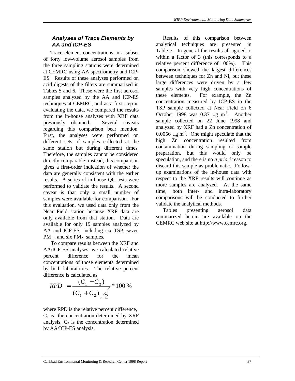#### *Analyses of Trace Elements by AA and ICP-ES*

 Trace element concentrations in a subset of forty low-volume aerosol samples from the three sampling stations were determined at CEMRC using AA spectrometry and ICP-ES. Results of these analyses performed on acid digests of the filters are summarized in Tables 5 and 6. These were the first aerosol samples analyzed by the AA and ICP-ES techniques at CEMRC, and as a first step in evaluating the data, we compared the results from the in-house analyses with XRF data previously obtained. Several caveats regarding this comparison bear mention. First, the analyses were performed on different sets of samples collected at the same station but during different times. Therefore, the samples cannot be considered directly comparable; instead, this comparison gives a first-order indication of whether the data are generally consistent with the earlier results. A series of in-house QC tests were performed to validate the results. A second caveat is that only a small number of samples were available for comparison. For this evaluation, we used data only from the Near Field station because XRF data are only available from that station. Data are available for only 19 samples analyzed by AA and ICP-ES, including six TSP, seven  $PM_{10}$ , and six  $PM_{2.5}$  samples.

 To compare results between the XRF and AA/ICP-ES analyses, we calculated relative percent difference for the mean concentrations of those elements determined by both laboratories. The relative percent difference is calculated as

$$
RPD = \frac{(C_1 - C_2)}{(C_1 + C_2)} * 100\%
$$

where RPD is the relative percent difference,  $C_1$  is the concentration determined by XRF analysis,  $C_2$  is the concentration determined by AA/ICP-ES analysis.

 Results of this comparison between analytical techniques are presented in Table 7. In general the results all agreed to within a factor of 3 (this corresponds to a relative percent difference of 100%). This comparison showed the largest differences between techniques for Zn and Ni, but these large differences were driven by a few samples with very high concentrations of these elements. For example, the Zn concentration measured by ICP-ES in the TSP sample collected at Near Field on 6 October 1998 was  $0.37 \mu g \text{ m}^3$ . Another sample collected on 22 June 1998 and analyzed by XRF had a Zn concentration of 0.0056  $\mu$ g m<sup>-3</sup>. One might speculate that the high Zn concentration resulted from contamination during sampling or sample preparation, but this would only be speculation, and there is no *a priori* reason to discard this sample as problematic. Followup examinations of the in-house data with respect to the XRF results will continue as more samples are analyzed. At the same time, both inter- and intra-laboratory comparisons will be conducted to further validate the analytical methods.

 Tables presenting aerosol data summarized herein are available on the CEMRC web site at http://www.cemrc.org.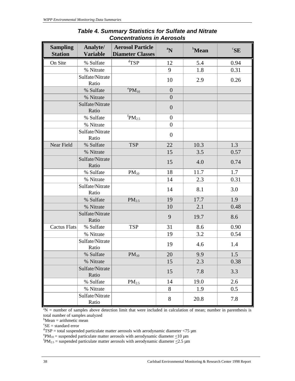| <b>Sampling</b><br><b>Station</b> | Analyte/<br><b>Variable</b> | <b>Aerosol Particle</b><br><b>Diameter Classes</b> | $\boldsymbol{P}^{\mathrm{a}}$ | <b>b</b> Mean | ${}^c$ SE |
|-----------------------------------|-----------------------------|----------------------------------------------------|-------------------------------|---------------|-----------|
| On Site                           | % Sulfate                   | ${}^d$ TSP                                         | 12                            | 5.4           | 0.94      |
|                                   | % Nitrate                   |                                                    | 9                             | 1.8           | 0.31      |
|                                   | Sulfate/Nitrate<br>Ratio    |                                                    | 10                            | 2.9           | 0.26      |
|                                   | % Sulfate                   | $\mathrm{^ePM_{10}}$                               | $\overline{0}$                |               |           |
|                                   | % Nitrate                   |                                                    | $\overline{0}$                |               |           |
|                                   | Sulfate/Nitrate<br>Ratio    |                                                    | $\overline{0}$                |               |           |
|                                   | % Sulfate                   | ${}^{\mathrm{f}}\hspace{-1.5pt}\text{PM}_{2.5}$    | $\overline{0}$                |               |           |
|                                   | % Nitrate                   |                                                    | $\overline{0}$                |               |           |
|                                   | Sulfate/Nitrate<br>Ratio    |                                                    | $\overline{0}$                |               |           |
| Near Field                        | % Sulfate                   | <b>TSP</b>                                         | 22                            | 10.3          | 1.3       |
|                                   | % Nitrate                   |                                                    | 15                            | 3.5           | 0.57      |
|                                   | Sulfate/Nitrate<br>Ratio    |                                                    | 15                            | 4.0           | 0.74      |
|                                   | % Sulfate                   | $PM_{10}$                                          | 18                            | 11.7          | 1.7       |
|                                   | % Nitrate                   |                                                    | 14                            | 2.3           | 0.31      |
|                                   | Sulfate/Nitrate<br>Ratio    |                                                    | 14                            | 8.1           | 3.0       |
|                                   | % Sulfate                   | PM <sub>2.5</sub>                                  | 19                            | 17.7          | 1.9       |
|                                   | % Nitrate                   |                                                    | 10                            | 2.1           | 0.48      |
|                                   | Sulfate/Nitrate<br>Ratio    |                                                    | 9                             | 19.7          | 8.6       |
| <b>Cactus Flats</b>               | % Sulfate                   | <b>TSP</b>                                         | 31                            | 8.6           | 0.90      |
|                                   | % Nitrate                   |                                                    | 19                            | 3.2           | 0.54      |
|                                   | Sulfate/Nitrate<br>Ratio    |                                                    | 19                            | 4.6           | 1.4       |
|                                   | % Sulfate                   | $PM_{10}$                                          | 20                            | 9.9           | 1.5       |
|                                   | % Nitrate                   |                                                    | 15                            | 2.3           | 0.38      |
|                                   | Sulfate/Nitrate<br>Ratio    |                                                    | 15                            | 7.8           | 3.3       |
|                                   | % Sulfate                   | PM <sub>2.5</sub>                                  | 14                            | 19.0          | 2.6       |
|                                   | % Nitrate                   |                                                    | 8                             | 1.9           | 0.5       |
|                                   | Sulfate/Nitrate<br>Ratio    |                                                    | 8                             | 20.8          | 7.8       |

## *Table 4. Summary Statistics for Sulfate and Nitrate Concentrations in Aerosols*

 ${}^{a}N$  = number of samples above detection limit that were included in calculation of mean; number in parenthesis is total number of samples analyzed

 $b$ Mean = arithmetic mean

 ${}^c$ SE = standard error

 $\text{d}TSP = \text{total suspended particulate matter aerosols with aerodynamic diameter}$  = total suspended particulate matter aerosols with aerodynamic diameter <75  $\mu$ m

 $e^{\epsilon}PM_{10}$  = suspended particulate matter aerosols with aerodynamic diameter  $\leq$ 10 µm

 ${}^f$ PM<sub>2.5</sub> = suspended particulate matter aerosols with aerodynamic diameter  $\leq$ 2.5 µm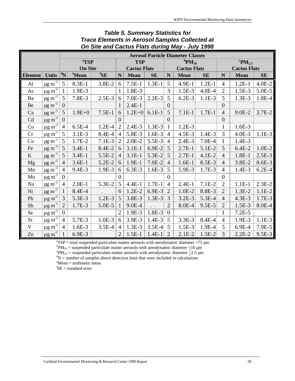|                |                         | <b>Aerosol Particle Diameter Classes</b> |                   |                          |                     |             |           |                                         |          |          |                            |           |          |
|----------------|-------------------------|------------------------------------------|-------------------|--------------------------|---------------------|-------------|-----------|-----------------------------------------|----------|----------|----------------------------|-----------|----------|
|                |                         |                                          | <sup>a</sup> TSP  |                          | <b>TSP</b>          |             |           | ${}^{\mathrm{b}}\!P\mathrm{M}_{10}$     |          |          | ${}^{\rm c}{\rm PM}_{2.5}$ |           |          |
|                |                         |                                          | <b>On Site</b>    |                          | <b>Cactus Flats</b> |             |           | <b>Cactus Flats</b>                     |          |          | <b>Cactus Flats</b>        |           |          |
| <b>Element</b> | <b>Units</b>            | $ {}^d \! \mathbf{N}$                    | <sup>e</sup> Mean | ${}^{\text{f}}\text{SE}$ | $\mathbf N$         | <b>Mean</b> | <b>SE</b> | $\mathbf N$<br><b>Mean</b><br><b>SE</b> |          | N        | <b>Mean</b>                | <b>SE</b> |          |
| $\mathbf{A}$ l | $\mu$ g m <sup>-3</sup> | 5                                        | 8.3E-1            | 3.8E-2                   | 6                   | $7.5E-1$    | $1.3E-1$  | 5                                       | 4.9E-1   | $1.2E-1$ | $\overline{4}$             | $1.2E-1$  | $4.0E-2$ |
| As             | $\mu$ g m <sup>-3</sup> |                                          | 1.9E-3            |                          | 1                   | 1.8E-3      |           | 3                                       | $1.5E-3$ | $4.0E-4$ | $\overline{2}$             | $1.5E-3$  | 5.0E-5   |
| Ba             | $\mu$ g m <sup>-3</sup> | $5\overline{)}$                          | 7.8E-3            | $2.5E-3$                 | 6                   | $7.0E-3$    | $2.2E-3$  | 5                                       | $6.2E-3$ | $1.1E-3$ | 5                          | $1.3E-3$  | 1.8E-4   |
| Be             | $\mu$ g m <sup>-3</sup> | $\overline{0}$                           |                   |                          | 1                   | $2.4E-1$    |           | $\overline{0}$                          |          |          | $\overline{0}$             |           |          |
| Ca             | $\mu$ g m <sup>-3</sup> | 5                                        | $1.9E + 0$        | $7.5E-1$                 | 6                   | $1.2E + 0$  | $6.1E-1$  | 5                                       | $7.1E-1$ | $1.7E-1$ | $\overline{4}$             | $9.0E-2$  | $3.7E-2$ |
| Cd             | $\mu$ g m <sup>-3</sup> | $\overline{0}$                           |                   |                          | $\overline{0}$      |             |           | $\overline{0}$                          |          |          | $\boldsymbol{0}$           |           |          |
| Co             | $\mu$ g m <sup>-3</sup> | $\overline{4}$                           | $6.5E-4$          | $1.2E-4$                 | $\overline{2}$      | $2.4E-3$    | $1.3E-3$  | 1                                       | $1.2E-3$ |          | $\mathbf{1}$               | $1.6E-3$  |          |
| Cr             | $\mu$ g m <sup>-3</sup> | 5                                        | $3.1E-3$          | 8.4E-4                   | $\overline{4}$      | 5.8E-3      | $1.6E-3$  | $\overline{4}$                          | $4.5E-3$ | $1.4E-3$ | 3                          | $4.0E-3$  | $1.1E-3$ |
| Cu             | $\mu$ g m <sup>-3</sup> | 5                                        | 1.7E-2            | $7.1E-3$                 | $\overline{2}$      | $2.0E-2$    | 5.5E-3    | $\overline{4}$                          | $2.4E-3$ | $7.0E-4$ | $\mathbf{1}$               | $1.4E-3$  |          |
| Fe             | $\mu$ g m <sup>-3</sup> | 5                                        | $3.4E-1$          | 8.4E-2                   | 6                   | $3.1E-1$    | 6.9E-2    | 5                                       | $2.7E-1$ | 5.1E-2   | 5                          | $6.4E-2$  | $1.0E-2$ |
| $\mathbf K$    | $\mu$ g m <sup>-3</sup> | 5                                        | $3.4E-1$          | 5.5E-2                   | $\overline{4}$      | $3.1E-1$    | 5.3E-2    | 5                                       | $2.7E-1$ | $4.1E-2$ | $\overline{4}$             | $1.8E-1$  | $2.5E-3$ |
| Mg             | $\mu$ g m <sup>-3</sup> | $\overline{4}$                           | $3.6E-1$          | 5.2E-2                   | 6                   | $1.9E-1$    | $7.0E-2$  | $\overline{4}$                          | $1.6E-1$ | 8.5E-3   | $\overline{4}$             | 3.8E-2    | 8.6E-3   |
| Mn             | $\mu$ g m <sup>-3</sup> | $\overline{4}$                           | 9.4E-3            | 1.9E-3                   | 6                   | $6.3E-3$    | $1.6E-3$  | 5                                       | 5.9E-3   | 1.7E-3   | 4                          | 1.4E-3    | $6.2E-4$ |
| Mo             | $\mu$ g m <sup>-3</sup> | $\overline{0}$                           |                   |                          | $\theta$            |             |           | $\overline{0}$                          |          |          | $\overline{0}$             |           |          |
| Na             | $\mu$ g m <sup>-3</sup> | 4                                        | $2.0E-1$          | 5.3E-2                   | 5                   | $4.4E-1$    | $1.7E-1$  | $\overline{4}$                          | $2.4E-1$ | $7.1E-2$ | $\overline{c}$             | $1.1E-1$  | $2.3E-2$ |
| Ni             | $\mu$ g m <sup>-3</sup> |                                          | 8.4E-4            |                          | 6                   | $1.2E-2$    | 6.9E-3    | $\overline{2}$                          | $1.0E-2$ | 8.8E-3   | $\overline{2}$             | $1.3E-2$  | $1.1E-2$ |
| Pb             | $\mu$ g m <sup>-3</sup> | $\overline{3}$                           | 5.3E-3            | $1.2E-3$                 | 5                   | 3.8E-3      | $1.3E-3$  | 3                                       | $3.2E-3$ | 5.3E-4   | $\overline{4}$             | $4.3E-3$  | $1.7E-3$ |
| Sb             | $\mu$ g m <sup>-3</sup> | $\overline{2}$                           | 1.7E-3            | 5.0E-5                   |                     | 9.0E-4      |           | $\overline{2}$                          | 8.0E-4   | 9.5E-5   | $\overline{2}$             | $1.5E-3$  | 8.0E-4   |
| Se             | $\mu$ g m <sup>-3</sup> | $\overline{0}$                           |                   |                          | 2                   | 1.9E-3      | 1.8E-3    | $\overline{0}$                          |          |          | 1                          | $7.2E-5$  |          |
| <b>Sr</b>      | $\mu$ g m <sup>-3</sup> | 4                                        | 5.7E-3            | $1.0E-3$                 | 6                   | 3.9E-3      | $1.4E-3$  | 5                                       | $3.3E-3$ | 8.4E-4   | $\overline{4}$             | 1.9E-3    | $1.1E-3$ |
| $\mathbf V$    | $\mu$ g m <sup>-3</sup> | $\overline{4}$                           | $1.6E-3$          | $3.5E-4$                 | $\overline{4}$      | $1.3E-3$    | $3.5E-4$  | 5                                       | $1.5E-3$ | 1.9E-4   | 5                          | 6.9E-4    | 7.9E-5   |
| Zn             | $\mu$ g m <sup>-3</sup> |                                          | 6.9E-3            |                          | $\overline{2}$      | $1.5E-1$    | $1.4E-1$  | $\overline{2}$                          | $2.1E-2$ | $1.5E-2$ | 3                          | $2.2E-2$  | $9.5E-3$ |

## *Table 5. Summary Statistics for Trace Elements in Aerosol Samples Collected at On Site and Cactus Flats during May - July 1998*

 ${}^{a}TSP =$  total suspended particulate matter aerosols with aerodynamic diameter <75  $\mu$ m

 ${}^{\text{b}}\text{PM}_{10}$  = suspended particulate matter aerosols with aerodynamic diameter  $\leq$ 10 µm

 $\text{P} \text{M}_{2.5}$  = suspended particulate matter aerosols with aerodynamic diameter  $\leq$ 2.5 µm

 ${}^{d}N$  = number of samples above detection limit that were included in calculations

 $\mathrm{e}^{\mathrm{e}}$ Mean = arithmetic mean

 ${}^f$ SE = standard error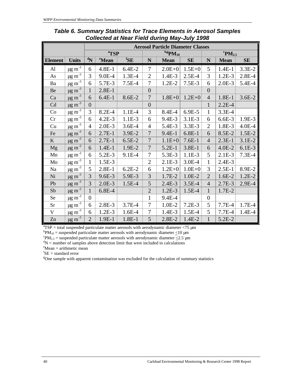|                |                                                       | <b>Aerosol Particle Diameter Classes</b> |                   |                          |                |                        |            |                            |             |           |  |
|----------------|-------------------------------------------------------|------------------------------------------|-------------------|--------------------------|----------------|------------------------|------------|----------------------------|-------------|-----------|--|
|                |                                                       |                                          | <sup>a</sup> TSP  |                          |                | ${\rm ^{b, g}PM_{10}}$ |            | ${}^{\rm c}{\rm PM}_{2.5}$ |             |           |  |
| <b>Element</b> | <b>Units</b>                                          | $\mathbf{N}$                             | <sup>e</sup> Mean | ${}^{\text{f}}\text{SE}$ | N              | <b>Mean</b>            | <b>SE</b>  | ${\bf N}$                  | <b>Mean</b> | <b>SE</b> |  |
| AI             | $\mu$ g m <sup>-3</sup>                               | 6                                        | $4.8E-1$          | $6.4E-2$                 | 7              | $2.0E + 0$             | $1.5E + 0$ | 5                          | $1.4E-1$    | $3.3E-2$  |  |
| As             | $\underline{\mu g} \underline{m^{-3}}$                | 3                                        | 9.0E-4            | $1.3E-4$                 | $\mathfrak{2}$ | 1.4E-3                 | $2.5E-4$   | $\overline{3}$             | $1.2E-3$    | 2.8E-4    |  |
| Ba             | $\mu$ g m <sup>-3</sup>                               | 6                                        | 5.7E-3            | $7.5E-4$                 | 7              | $1.2E-2$               | $7.5E-3$   | 6                          | $2.0E-3$    | 5.4E-4    |  |
| Be             | $\mu$ g m <sup>-3</sup>                               | $\mathbf{1}$                             | $2.8E-1$          |                          | $\overline{0}$ |                        |            | $\overline{0}$             |             |           |  |
| Ca             | $\mu$ g m <sup>-3</sup>                               | 6                                        | $6.4E-1$          | 8.6E-2                   | 7              | $1.8E + 0$             | $1.2E + 0$ | $\overline{4}$             | $1.8E-1$    | $3.6E-2$  |  |
| Cd             | $\mu$ g m <sup>-3</sup>                               | $\overline{0}$                           |                   |                          | $\overline{0}$ |                        |            | $\mathbf{1}$               | $2.2E-4$    |           |  |
| Co             | $\underline{\mu \underline{g} \, \underline{m}^{-3}}$ | 3                                        | $8.2E - 4$        | $1.1E-4$                 | 3              | 8.4E-4                 | $6.9E-5$   | $\mathbf{1}$               | $3.3E-4$    |           |  |
| Cr             | $\underline{\mu g} \underline{\overline{m}}^{-3}$     | 6                                        | $4.2E-3$          | $1.1E-3$                 | 6              | 9.4E-3                 | $3.1E-3$   | 6                          | $6.6E-3$    | 1.9E-3    |  |
| Cu             | $\mu$ g m <sup>-3</sup>                               | 4                                        | $2.0E-3$          | $3.6E-4$                 | $\overline{4}$ | 5.4E-3                 | 3.3E-3     | $\overline{2}$             | 1.8E-3      | $4.0E-4$  |  |
| Fe             | $\mu$ g m <sup>-3</sup>                               | 6                                        | $2.7E-1$          | 3.9E-2                   | $\overline{7}$ | $9.4E-1$               | $6.8E-1$   | 6                          | 8.5E-2      | $1.5E-2$  |  |
| K              | $\mu$ g m <sup>-3</sup>                               | 6                                        | $2.7E-1$          | $6.5E-2$                 | 7              | $1.1E + 0$             | $7.6E-1$   | $\overline{4}$             | $2.3E-1$    | $3.1E-2$  |  |
| Mg             | $\mu$ g m <sup>-3</sup>                               | 6                                        | $1.4E-1$          | 1.9E-2                   | $\overline{7}$ | $5.2E-1$               | $3.8E-1$   | 6                          | $4.0E-2$    | $6.1E-3$  |  |
| Mn             | $\mu$ g m <sup>-3</sup>                               | 6                                        | 5.2E-3            | 9.1E-4                   | 7              | 5.3E-3                 | 1.1E-3     | 5                          | $2.1E-3$    | $7.3E-4$  |  |
| Mo             | $\mu g \, \text{m}^{-3}$                              | $\mathbf{1}$                             | 1.5E-3            |                          | $\mathfrak{2}$ | $2.1E-3$               | 3.0E-4     | 1                          | 2.4E-3      |           |  |
| Na             | $\mu$ g m <sup>-3</sup>                               | 5                                        | $2.8E-1$          | $6.2E-2$                 | 6              | $1.2E + 0$             | $1.0E + 0$ | 3                          | $2.5E-1$    | 8.9E-2    |  |
| Ni             | $\mu$ g m <sup>-3</sup>                               | 3                                        | 9.6E-3            | 5.9E-3                   | 3              | 1.7E-2                 | $1.0E-2$   | $\overline{2}$             | $1.6E-2$    | $1.2E-2$  |  |
| Pb             | $\mu$ g m <sup>-3</sup>                               | 3                                        | $2.0E-3$          | $1.5E-4$                 | 5              | $2.4E-3$               | $3.5E-4$   | $\overline{4}$             | $2.7E-3$    | 2.9E-4    |  |
| Sb             | $\mu$ g m <sup>-3</sup>                               | $\mathbf{1}$                             | $6.8E-4$          |                          | $\overline{2}$ | $1.2E-3$               | $1.5E-4$   | $\mathbf{1}$               | 1.7E-2      |           |  |
| Se             | $\mu$ g m <sup>-3</sup>                               | $\overline{0}$                           |                   |                          | $\mathbf{1}$   | 9.4E-4                 |            | $\boldsymbol{0}$           |             |           |  |
| Sr             | $\underline{\mu g} \, \underline{m^{-3}}$             | 6                                        | 2.8E-3            | 3.7E-4                   | 7              | 1.0E-2                 | $7.2E-3$   | 5                          | 7.7E-4      | 1.7E-4    |  |
| $\mathbf V$    | $\mu$ g m <sup>-3</sup>                               | 6                                        | $1.2E-3$          | $1.6E-4$                 | $\overline{7}$ | 1.4E-3                 | 1.5E-4     | 5                          | 7.7E-4      | 1.4E-4    |  |
| Zn             | $\mu$ g m <sup>-3</sup>                               | $\overline{2}$                           | 1.9E-1            | $1.8E-1$                 | 5              | $2.8E-2$               | 1.4E-2     | $\mathbf{1}$               | 5.2E-2      |           |  |

*Table 6. Summary Statistics for Trace Elements in Aerosol Samples Collected at Near Field during May-July 1998*

 $\text{``TSP} = \text{total suspended particulate matter aerosols with aerodynamic diameter}$   $\langle 75 \text{ }\mu\text{m} \rangle$ 

 ${}^{\text{b}}\text{PM}_{10}$  = suspended particulate matter aerosols with aerodynamic diameter  $\leq$ 10 µm

 $\text{P} \text{M}_{2.5}$  = suspended particulate matter aerosols with aerodynamic diameter  $\leq$ 2.5 µm  ${}^{d}N$  = number of samples above detection limit that were included in calculations

 $e^{\theta}$ Mean = arithmetic mean

 ${}^{f}$ SE = standard error

<sup>g</sup>One sample with apparent contamination was excluded for the calculation of summary statistics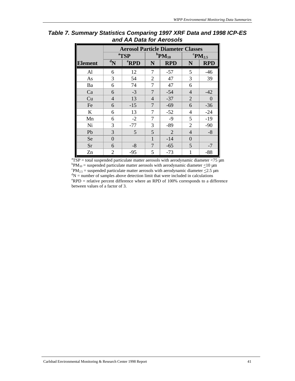|                | <b>Aerosol Particle Diameter Classes</b> |                  |                |                                   |                                    |            |  |  |
|----------------|------------------------------------------|------------------|----------------|-----------------------------------|------------------------------------|------------|--|--|
|                |                                          | <sup>a</sup> TSP |                | ${}^{\mathrm{b}}\mathbf{PM}_{10}$ | ${}^{\mathrm{c}}\mathbf{PM}_{2.5}$ |            |  |  |
| <b>Element</b> | $\mathbf{d}_{N}$                         | <sup>e</sup> RPD | N              | <b>RPD</b>                        | N                                  | <b>RPD</b> |  |  |
| AI             | 6                                        | 12               | 7              | $-57$                             | 5                                  | $-46$      |  |  |
| As             | 3                                        | 54               | 2              | 47                                | 3                                  | 39         |  |  |
| Ba             | 6                                        | 74               | 7              | 47                                | 6                                  |            |  |  |
| Ca             | 6                                        | $-3$             | $\overline{7}$ | $-54$                             | $\overline{4}$                     | $-42$      |  |  |
| Cu             | $\overline{4}$                           | 13               | $\overline{4}$ | $-37$                             | $\overline{2}$                     | $\Omega$   |  |  |
| Fe             | 6                                        | $-15$            | $\overline{7}$ | $-69$                             | 6                                  | $-36$      |  |  |
| K              | 6                                        | 13               | 7              | $-52$                             | $\overline{4}$                     | $-24$      |  |  |
| Mn             | 6                                        | $-2$             | 7              | $-9$                              | 5                                  | $-19$      |  |  |
| Ni             | 3                                        | $-77$            | 3              | $-89$                             | $\overline{2}$                     | $-90$      |  |  |
| Pb             | 3                                        | 5                | 5              | $\overline{2}$                    | $\overline{4}$                     | $-8$       |  |  |
| Se             | $\overline{0}$                           |                  | 1              | $-14$                             | $\overline{0}$                     |            |  |  |
| Sr             | 6                                        | $-8$             | 7              | $-65$                             | 5                                  | $-7$       |  |  |
| Zn             | $\overline{2}$                           | $-95$            | 5              | $-73$                             | 1                                  | $-88$      |  |  |

*Table 7. Summary Statistics Comparing 1997 XRF Data and 1998 ICP-ES and AA Data for Aerosols*

 ${}^{\text{a}}$ TSP = total suspended particulate matter aerosols with aerodynamic diameter <75 µm  ${}^{\text{b}}\text{PM}_{10}$  = suspended particulate matter aerosols with aerodynamic diameter  $\leq$ 10 µm  $\text{P} \text{M}_{2.5}$  = suspended particulate matter aerosols with aerodynamic diameter  $\leq$ 2.5 µm  ${}^{d}N$  = number of samples above detection limit that were included in calculations  $e$ RPD = relative percent difference where an RPD of 100% corresponds to a difference between values of a factor of 3.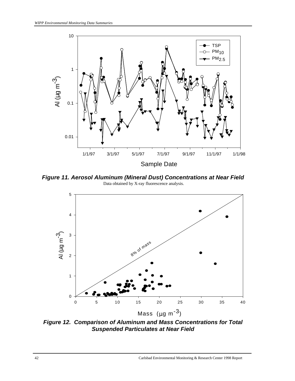

*Figure 11. Aerosol Aluminum (Mineral Dust) Concentrations at Near Field* Data obtained by X-ray fluorescence analysis.



*Figure 12. Comparison of Aluminum and Mass Concentrations for Total Suspended Particulates at Near Field*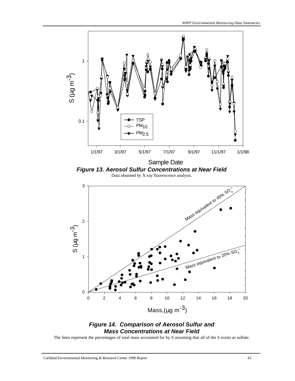

## *Figure 14. Comparison of Aerosol Sulfur and Mass Concentrations at Near Field*

The lines represent the percentages of total mass accounted for by S assuming that all of the S exists as sulfate.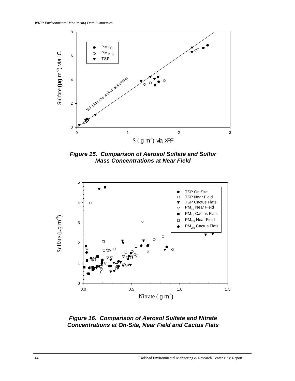

*Figure 15. Comparison of Aerosol Sulfate and Sulfur Mass Concentrations at Near Field*



*Figure 16. Comparison of Aerosol Sulfate and Nitrate Concentrations at On-Site, Near Field and Cactus Flats*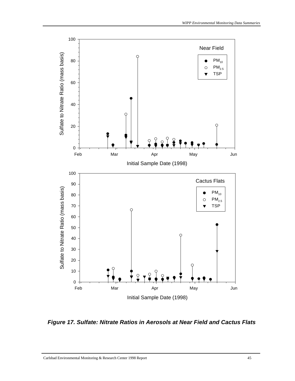

*Figure 17. Sulfate: Nitrate Ratios in Aerosols at Near Field and Cactus Flats*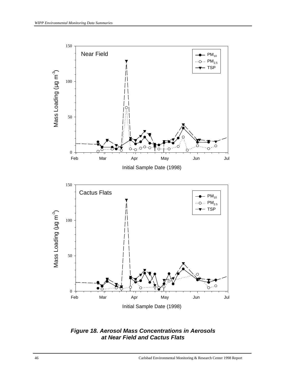

*Figure 18. Aerosol Mass Concentrations in Aerosols at Near Field and Cactus Flats*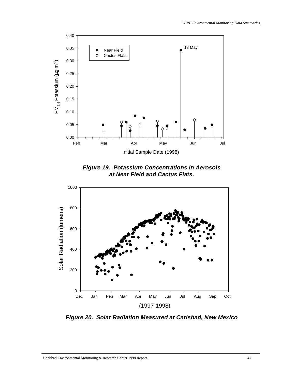

*Figure 19. Potassium Concentrations in Aerosols at Near Field and Cactus Flats.*



*Figure 20. Solar Radiation Measured at Carlsbad, New Mexico*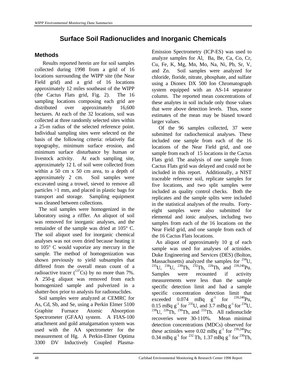# **Surface Soil Radionuclides and Inorganic Chemicals**

### **Methods**

 Results reported herein are for soil samples collected during 1998 from a grid of 16 locations surrounding the WIPP site (the Near Field grid) and a grid of 16 locations approximately 12 miles southeast of the WIPP (the Cactus Flats grid, Fig. 2). The 16 sampling locations composing each grid are distributed over approximately 16,600 hectares. At each of the 32 locations, soil was collected at three randomly selected sites within a 25-m radius of the selected reference point. Individual sampling sites were selected on the basis of the following criteria: relatively flat topography, minimum surface erosion, and minimum surface disturbance by human or livestock activity. At each sampling site, approximately 12 L of soil were collected from within a 50 cm x 50 cm area, to a depth of approximately 2 cm. Soil samples were excavated using a trowel, sieved to remove all particles >1 mm, and placed in plastic bags for transport and storage. Sampling equipment was cleaned between collections.

 The soil samples were homogenized in the laboratory using a riffler. An aliquot of soil was removed for inorganic analyses, and the remainder of the sample was dried at 105° C. The soil aliquot used for inorganic chemical analyses was not oven dried because heating it to 105° C would vaporize any mercury in the sample. The method of homogenization was shown previously to yield subsamples that differed from the overall mean count of a radioactive tracer  $(^{137}Cs)$  by no more than 7%. A 250-g aliquot was removed from each homogenized sample and pulverized in a shatter-box prior to analysis for radionuclides.

 Soil samples were analyzed at CEMRC for As, Cd, Sb, and Se, using a Perkin Elmer 5100 Graphite Furnace Atomic Absorption Spectrometer (GFAA) system. A FIAS-100 attachment and gold amalgamation system was used with the AA spectrometer for the measurement of Hg. A Perkin-Elmer Optima 3300 DV Inductively Coupled PlasmaEmission Spectrometry (ICP-ES) was used to analyze samples for Al, Ba, Be, Ca, Co, Cr, Cu, Fe, K, Mg, Mn, Mo, Na, Ni, Pb, Sr, V, and Zn. Soil samples were analyzed for chloride, floride, nitrate, phosphate, and sulfate using a Dionex DX 500 Ion Chromatograph system equipped with an AS-14 separator column. The reported mean concentrations of these analytes in soil include only those values that were above detection levels. Thus, some estimates of the mean may be biased toward larger values.

 Of the 96 samples collected, 37 were submitted for radiochemical analyses. These included one sample from each of the 16 locations of the Near Field grid, and one sample from each of 15 locations in the Cactus Flats grid. The analysis of one sample from Cactus Flats grid was delayed and could not be included in this report. Additionally, a NIST traceable reference soil, replicate samples for five locations, and two split samples were included as quality control checks. Both the replicates and the sample splits were included in the statistical analyses of the results. Fortyeight samples were also submitted for elemental and ionic analyses, including two samples from each of the 16 locations on the Near Field grid, and one sample from each of the 16 Cactus Flats locations.

 An aliquot of approximately 10 g of each sample was used for analyses of actinides. Duke Engineering and Services (DES) (Bolton, Massachusetts) analyzed the samples for  $^{234}$ U,  $^{235}$ U,  $^{238}$ U,  $^{230}$ Th,  $^{232}$ Th,  $^{228}$ Th, and  $^{239,240}$ Pu. Samples were recounted if activity measurements were less than the sample specific detection limit and had a sample specific concentration detection limit that exceeded 0.074 mBq  $g^{-1}$  for <sup>239,240</sup>Pu, 0.15 mBq  $g^{-1}$  for <sup>235</sup>U, and 3.7 mBq  $g^{-1}$  for <sup>234</sup>U,  $^{238}$ U,  $^{228}$ Th,  $^{230}$ Th, and  $^{232}$ Th. All radionuclide recoveries were 30-110%. Mean minimal detection concentrations (MDCs) observed for these actinides were 0.02 mBq  $g^{-1}$  for <sup>239,240</sup>Pu; 0.34 mBq  $g^{-1}$  for <sup>232</sup> Th, 1.37 mBq  $g^{-1}$  for <sup>230</sup>Th,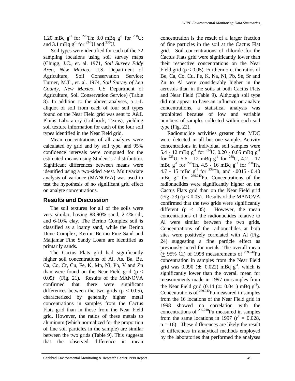1.20 mBq  $g^{-1}$  for <sup>228</sup>Th; 3.0 mBq  $g^{-1}$  for <sup>238</sup>U; and 3.1 mBq  $g^{-1}$  for <sup>234</sup> U and <sup>235</sup>U.

 Soil types were identified for each of the 32 sampling locations using soil survey maps (Chugg, J.C., et. al. 1971, *Soil Survey Eddy Area, New Mexico*, U.S. Department of Agriculture, Soil Conservation Service; Turner, M.T., et. al. 1974, *Soil Survey of Lea County, New Mexico*, US Department of Agriculture, Soil Conservation Service) (Table 8). In addition to the above analyses, a 1-L aliquot of soil from each of four soil types found on the Near Field grid was sent to A&L Plains Laboratory (Lubbock, Texas), yielding soil texture information for each of the four soil types identified in the Near Field grid.

 Mean concentrations of all analytes were calculated by grid and by soil type, and 95% confidence intervals were computed for the estimated means using Student's *t* distribution. Significant differences between means were identified using a two-sided *t*-test. Multivariate analysis of variance (MANOVA) was used to test the hypothesis of no significant grid effect on analyte concentrations.

# **Results and Discussion**

 The soil textures for all of the soils were very similar, having 88-90% sand, 2-4% silt, and 6-10% clay. The Berino Complex soil is classified as a loamy sand, while the Berino Dune Complex, Kermit-Berino Fine Sand and Maljamar Fine Sandy Loam are identified as primarily sands.

 The Cactus Flats grid had significantly higher soil concentrations of Al, As, Ba, Be, Ca, Co, Cr, Cu, Fe, K, Mn, Ni, Pb, V and Zn than were found on the Near Field grid ( $p <$ 0.05) (Fig. 21). Results of the MANOVA confirmed that there were significant differences between the two grids ( $p < 0.05$ ), characterized by generally higher metal concentrations in samples from the Cactus Flats grid than in those from the Near Field grid. However, the ratios of these metals to aluminum (which normalized for the proportion of fine soil particles in the sample) are similar between the two grids (Table 9). This suggests that the observed difference in mean

concentration is the result of a larger fraction of fine particles in the soil at the Cactus Flat grid. Soil concentrations of chloride for the Cactus Flats grid were significantly lower than their respective concentrations on the Near Field grid ( $p < 0.05$ ). Furthermore, the ratios of Be, Ca, Co, Cu, Fe, K, Na, Ni, Pb, Se, Sr and Zn to Al were considerably higher in the aerosols than in the soils at both Cactus Flats and Near Field (Table 9). Although soil type did not appear to have an influence on analyte concentrations, a statistical analysis was prohibited because of low and variable numbers of samples collected within each soil type (Fig. 22).

 Radionuclide activities greater than MDC were detected in all but one sample. Activity concentrations in individual soil samples were 5.4 - 12 mBq  $g^{-1}$  for <sup>234</sup>U, 0.20 - 0.65 mBq  $g^{-1}$ for  $^{235}$ U, 5.6 - 12 mBq g<sup>-1</sup> for  $^{238}$ U, 4.2 - 17 mBq  $g^{-1}$  for <sup>228</sup>Th, 4.5 - 16 mBq  $g^{-1}$  for <sup>230</sup>Th, 4.7 - 15 mBq  $g^{-1}$  for <sup>232</sup>Th, and -.0015 - 0.40 mBq  $g^{-1}$  for  $239,240$ Pu. Concentrations of the radionuclides were significantly higher on the Cactus Flats grid than on the Near Field grid (Fig. 23) ( $p < 0.05$ ). Results of the MANOVA confirmed that the two grids were significantly different ( $p \lt 0.05$ ). However, the mean concentrations of the radionuclides relative to Al were similar between the two grids. Concentrations of the radionuclides at both sites were positively correlated with Al (Fig. 24) suggesting a fine particle effect as previously noted for metals. The overall mean  $(+ 95\% \text{ CI})$  of 1998 measurements of  $^{239,240}$ Pu concentration in samples from the Near Field grid was 0.090 ( $\pm$  0.022) mBq g<sup>-1</sup>, which is significantly lower than the overall mean for measurements made in 1997 on samples from the Near Field grid  $(0.14 \pm 0.041)$  mBq g<sup>-1</sup>). Concentrations of  $^{239,240}$ Pu measured in samples from the 16 locations of the Near Field grid in 1998 showed no correlation with the concentrations of 239,240Pu measured in samples from the same locations in 1997 ( $r^2 = 0.028$ ,  $n = 16$ ). These differences are likely the result of differences in analytical methods employed by the laboratories that performed the analyses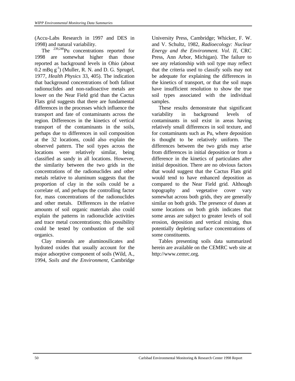(Accu-Labs Research in 1997 and DES in 1998) and natural variability.

The  $^{239,240}$ Pu concentrations reported for 1998 are somewhat higher than those reported as background levels in Ohio (about  $0.2 \text{ mBq g}^{-1}$ ) (Muller, R. N. and D. G. Sprugel, 1977, *Health Physics* 33, 405). The indication that background concentrations of both fallout radionuclides and non-radioactive metals are lower on the Near Field grid than the Cactus Flats grid suggests that there are fundamental differences in the processes which influence the transport and fate of contaminants across the region. Differences in the kinetics of vertical transport of the contaminants in the soils, perhaps due to differences in soil composition at the 32 locations, could also explain the observed pattern. The soil types across the locations were relatively similar, being classified as sandy in all locations. However, the similarity between the two grids in the concentrations of the radionuclides and other metals relative to aluminum suggests that the proportion of clay in the soils could be a correlate of, and perhaps the controlling factor for, mass concentrations of the radionuclides and other metals. Differences in the relative amounts of soil organic materials also could explain the patterns in radionuclide activities and trace metal concentrations; this possibility could be tested by combustion of the soil organics.

 Clay minerals are aluminosilicates and hydrated oxides that usually account for the major adsorptive component of soils (Wild, A., 1994, *Soils and the Environment*, Cambridge

University Press, Cambridge; Whicker, F. W. and V. Schultz, 1982, *Radioecology: Nuclear Energy and the Environment. Vol. II*, CRC Press, Ann Arbor, Michigan). The failure to see any relationship with soil type may reflect that the criteria used to classify soils may not be adequate for explaining the differences in the kinetics of transport, or that the soil maps have insufficient resolution to show the true soil types associated with the individual samples.

 These results demonstrate that significant variability in background levels of contaminants in soil exist in areas having relatively small differences in soil texture, and for contaminants such as Pu, where deposition is thought to be relatively uniform. The differences between the two grids may arise from differences in initial deposition or from a difference in the kinetics of particulates after initial deposition. There are no obvious factors that would suggest that the Cactus Flats grid would tend to have enhanced deposition as compared to the Near Field grid. Although topography and vegetative cover vary somewhat across both grids, they are generally similar on both grids. The presence of dunes at some locations on both grids indicates that some areas are subject to greater levels of soil erosion, deposition and vertical mixing, thus potentially depleting surface concentrations of some constituents.

 Tables presenting soils data summarized herein are available on the CEMRC web site at http://www.cemrc.org.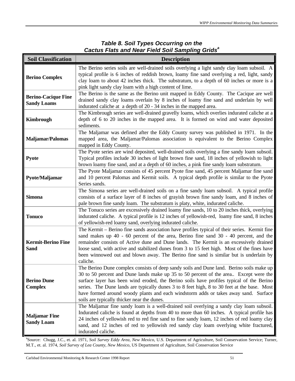## *Table 8. Soil Types Occurring on the Cactus Flats and Near Field Soil Sampling Grids<sup>a</sup>*

| <b>Soil Classification</b>                       | <b>Description</b>                                                                                                                                                                                                                                                                                                                                                                                                                                                                                                |
|--------------------------------------------------|-------------------------------------------------------------------------------------------------------------------------------------------------------------------------------------------------------------------------------------------------------------------------------------------------------------------------------------------------------------------------------------------------------------------------------------------------------------------------------------------------------------------|
| <b>Berino Complex</b>                            | The Berino series soils are well-drained soils overlying a light sandy clay loam subsoil. A<br>typical profile is 6 inches of reddish brown, loamy fine sand overlying a red, light, sandy<br>clay loam to about 42 inches thick. The substratum, to a depth of 60 inches or more is a<br>pink light sandy clay loam with a high content of lime.                                                                                                                                                                 |
| <b>Berino-Cacique Fine</b><br><b>Sandy Loams</b> | The Berino is the same as the Berino unit mapped in Eddy County. The Cacique are well<br>drained sandy clay loams overlain by 8 inches of loamy fine sand and underlain by well<br>indurated caliche at a depth of 20 - 34 inches in the mapped area.                                                                                                                                                                                                                                                             |
| Kimbrough                                        | The Kimbrough series are well-drained gravelly loams, which overlies indurated caliche at a<br>depth of 6 to 20 inches in the mapped area. It is formed on wind and water deposited<br>sediments.                                                                                                                                                                                                                                                                                                                 |
| Maljamar/Palomas                                 | The Maljamar was defined after the Eddy County survey was published in 1971. In the<br>mapped area, the Maljamar/Palomas association is equivalent to the Berino Complex<br>mapped in Eddy County.                                                                                                                                                                                                                                                                                                                |
| Pyote                                            | The Pyote series are wind deposited, well-drained soils overlying a fine sandy loam subsoil.<br>Typical profiles include 30 inches of light brown fine sand, 18 inches of yellowish to light<br>brown loamy fine sand, and at a depth of 60 inches, a pink fine sandy loam substratum.                                                                                                                                                                                                                            |
| Pyote/Maljamar                                   | The Pyote Maljamar consists of 45 percent Pyote fine sand, 45 percent Maljamar fine sand<br>and 10 percent Palomas and Kermit soils. A typical depth profile is similar to the Pyote<br>Series sands.                                                                                                                                                                                                                                                                                                             |
| <b>Simona</b>                                    | The Simona series are well-drained soils on a fine sandy loam subsoil. A typical profile<br>consists of a surface layer of 8 inches of grayish brown fine sandy loam, and 8 inches of<br>pale brown fine sandy loam. The substratum is platy, white, indurated caliche.                                                                                                                                                                                                                                           |
| <b>Tonuco</b>                                    | The Tonuco series are excessively drained loamy fine sands, 10 to 20 inches thick, overlying<br>indurated caliche. A typical profile is 12 inches of yellowish-red, loamy fine sand, 8 inches<br>of yellowish-red loamy sand, overlying indurated caliche.                                                                                                                                                                                                                                                        |
| <b>Kermit-Berino Fine</b><br><b>Sand</b>         | The Kermit - Berino fine sands association have profiles typical of their series. Kermit fine<br>sand makes up 40 - 60 percent of the area, Berino fine sand 30 - 40 percent, and the<br>remainder consists of Active dune and Dune lands. The Kermit is an excessively drained<br>loose sand, with active and stabilized dunes from 3 to 15 feet high. Most of the fines have<br>been winnowed out and blown away. The Berino fine sand is similar but is underlain by<br>caliche.                               |
| <b>Berino Dune</b><br><b>Complex</b>             | The Berino Dune complex consists of deep sandy soils and Dune land. Berino soils make up<br>30 to 50 percent and Dune lands make up 35 to 50 percent of the area Except were the<br>surface layer has been wind eroded, the Berino soils have profiles typical of the Berino<br>series. The Dune lands are typically dunes 3 to 8 feet high, 8 to 30 feet at the base. Most<br>have formed around woody plants and each windstorm adds or takes away sand. Surface<br>soils are typically thicker near the dunes. |
| <b>Maljamar Fine</b><br><b>Sandy Loam</b>        | The Maljamar fine sandy loam is a well-drained soil overlying a sandy clay loam subsoil.<br>Indurated caliche is found at depths from 40 to more than 60 inches. A typical profile has<br>24 inches of yellowish red to red fine sand to fine sandy loam, 12 inches of red loamy clay<br>sand, and 12 inches of red to yellowish red sandy clay loam overlying white fractured,<br>indurated caliche.                                                                                                             |

a Source: Chugg, J.C., et. al. 1971, *Soil Survey Eddy Area, New Mexico*, U.S. Department of Agriculture, Soil Conservation Service; Turner, M.T., et. al. 1974, *Soil Survey of Lea County, New Mexico*, US Department of Agriculture, Soil Conservation Service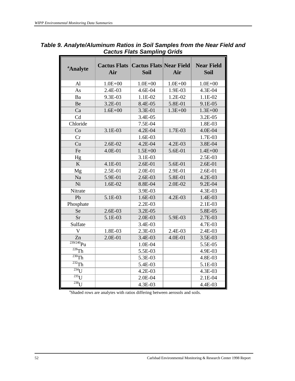| <sup>a</sup> Analyte        | <b>Cactus Flats   Cactus Flats   Near Field</b><br>Air | <b>Soil</b> | Air         | <b>Near Field</b><br><b>Soil</b> |
|-----------------------------|--------------------------------------------------------|-------------|-------------|----------------------------------|
| A <sub>1</sub>              | $1.0E + 00$                                            | $1.0E + 00$ | $1.0E + 00$ | $1.0E + 00$                      |
| As                          | 2.4E-03                                                | 4.6E-04     | 1.9E-03     | 4.3E-04                          |
| Ba                          | 9.3E-03                                                | 1.1E-02     | 1.2E-02     | 1.1E-02                          |
| Be                          | 3.2E-01                                                | 8.4E-05     | 5.8E-01     | 9.1E-05                          |
| Ca                          | $1.6E + 00$                                            | 3.3E-01     | $1.3E + 00$ | $1.3E + 00$                      |
| Cd                          |                                                        | 3.4E-05     |             | 3.2E-05                          |
| Chloride                    |                                                        | 7.5E-04     |             | 1.8E-03                          |
| Co                          | 3.1E-03                                                | 4.2E-04     | 1.7E-03     | 4.0E-04                          |
| Cr                          |                                                        | $1.6E-03$   |             | 1.7E-03                          |
| Cu                          | $2.6E-02$                                              | 4.2E-04     | 4.2E-03     | 3.8E-04                          |
| Fe                          | 4.0E-01                                                | $1.5E + 00$ | 5.6E-01     | $1.4E + 00$                      |
| Hg                          |                                                        | 3.1E-03     |             | 2.5E-03                          |
| K                           | 4.1E-01                                                | 2.6E-01     | 5.6E-01     | 2.6E-01                          |
| Mg                          | 2.5E-01                                                | $2.0E-01$   | 2.9E-01     | 2.6E-01                          |
| Na                          | 5.9E-01                                                | $2.6E-03$   | 5.8E-01     | $4.2E-03$                        |
| Ni                          | 1.6E-02                                                | 8.8E-04     | 2.0E-02     | 9.2E-04                          |
| Nitrate                     |                                                        | 3.9E-03     |             | 4.3E-03                          |
| Pb                          | 5.1E-03                                                | $1.6E-03$   | $4.2E-03$   | 1.4E-03                          |
| Phosphate                   |                                                        | 2.2E-03     |             | 2.1E-03                          |
| <b>Se</b>                   | $2.6E-03$                                              | 3.2E-05     |             | 5.8E-05                          |
| <b>Sr</b>                   | 5.1E-03                                                | 2.0E-03     | 5.9E-03     | 2.7E-03                          |
| Sulfate                     |                                                        | 3.4E-03     |             | 4.7E-03                          |
| V                           | 1.8E-03                                                | 2.3E-03     | 2.4E-03     | 2.4E-03                          |
| Zn                          | 2.0E-01                                                | 3.4E-03     | 4.0E-01     | 3.5E-03                          |
| $\frac{1}{239/240}$ Pu      |                                                        | 1.0E-04     |             | 5.5E-05                          |
| $\overline{^{228}}$ Th      |                                                        | 5.5E-03     |             | 4.9E-03                          |
| $\overline{^{230}}$ Th      |                                                        | 5.3E-03     |             | 4.8E-03                          |
| $\overline{^{232}}$ Th      |                                                        | 5.4E-03     |             | 5.1E-03                          |
| $\overline{^{234}}\text{U}$ |                                                        | 4.2E-03     |             | 4.3E-03                          |
| $\overline{^{235}}$ U       |                                                        | 2.0E-04     |             | 2.1E-04                          |
| $\overline{^{238}U}$        |                                                        | 4.3E-03     |             | 4.4E-03                          |

## *Table 9. Analyte/Aluminum Ratios in Soil Samples from the Near Field and Cactus Flats Sampling Grids*

<sup>a</sup>Shaded rows are analytes with ratios differing between aerosols and soils.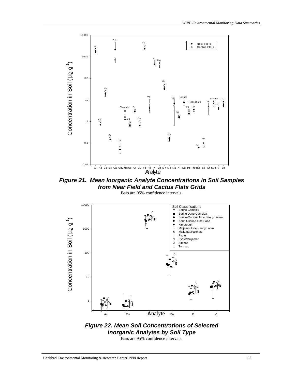

*Figure 21. Mean Inorganic Analyte Concentrations in Soil Samples from Near Field and Cactus Flats Grids*







Bars are 95% confidence intervals.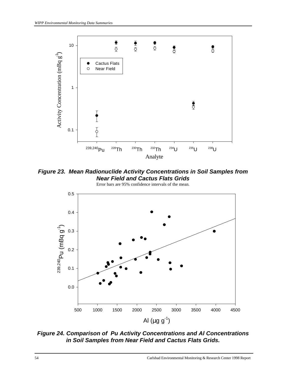

*Figure 23. Mean Radionuclide Activity Concentrations in Soil Samples from Near Field and Cactus Flats Grids*



*Figure 24. Comparison of Pu Activity Concentrations and Al Concentrations in Soil Samples from Near Field and Cactus Flats Grids.*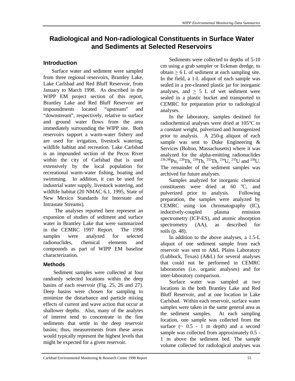# **Radiological and Non-radiological Constituents in Surface Water and Sediments at Selected Reservoirs**

#### **Introduction**

 Surface water and sediment were sampled from three regional reservoirs, Brantley Lake, Lake Carlsbad and Red Bluff Reservoir, from January to March 1998. As described in the WIPP EM project section of this report, Brantley Lake and Red Bluff Reservoir are impoundments located "upstream" and "downstream", respectively, relative to surface and ground water flows from the area immediately surrounding the WIPP site. Both reservoirs support a warm-water fishery and are used for irrigation, livestock watering, wildlife habitat and recreation. Lake Carlsbad is an impounded section of the Pecos River within the city of Carlsbad that is used extensively by the local population for recreational warm-water fishing, boating and swimming. In addition, it can be used for industrial water supply, livestock watering, and wildlife habitat (20 NMAC 6.1, 1995, State of New Mexico Standards for Interstate and Intrastate Streams).

 The analyses reported here represent an expansion of studies of sediment and surface water in Brantley Lake that were summarized in the CEMRC 1997 Report. The 1998 samples were analyzed for selected radionuclides, chemical elements and compounds as part of WIPP EM baseline characterization.

#### **Methods**

 Sediment samples were collected at four randomly selected locations within the deep basins of each reservoir (Fig. 25, 26 and 27). Deep basins were chosen for sampling to minimize the disturbance and particle mixing effects of current and wave action that occur at shallower depths. Also, many of the analytes of interest tend to concentrate in the fine sediments that settle in the deep reservoir basins; thus, measurements from these areas would typically represent the highest levels that might be expected for a given reservoir.

Sediments were collected to depths of 5-10 cm using a grab sampler or Eckman dredge, to  $obtain > 6$  L of sediment at each sampling site. In the field, a 1-L aliquot of each sample was sealed in a pre-cleaned plastic jar for inorganic analyses, and  $> 5$  L of wet sediment were sealed in a plastic bucket and transported to CEMRC for preparation prior to radiological analyses.

In the laboratory, samples destined for radiochemical analyses were dried at 105°C to a constant weight, pulverized and homogenized prior to analysis. A 250-g aliquot of each sample was sent to Duke Engineering & Services (Bolton, Massachusetts) where it was analyzed for the alpha-emitting radionuclides  $^{239,240}$ Pu,  $^{228}$ Th,  $^{230}$ Th,  $^{232}$ Th,  $^{234}$ U,  $^{235}$ U and  $^{238}$ U. The remainder of the sediment samples was archived for future analyses.

Samples analyzed for inorganic chemical constituents were dried at  $60^\circ$ C, and pulverized prior to analysis. Following preparation, the samples were analyzed by CEMRC using ion chromatography (IC), inductively-coupled plasma emission spectrometry (ICP-ES), and atomic absorption spectrometry (AA), as described for soils (p. 48).

In addition to the above analyses, a 1.5-L aliquot of one sediment sample from each reservoir was sent to A&L Plains Laboratory (Lubbock, Texas) (A&L) for several analyses that could not be performed in CEMRC laboratories (i.e. organic analyses) and for inter-laboratory comparison.

Surface water was sampled at two locations in the both Brantley Lake and Red Bluff Reservoir, and at one location in Lake Carlsbad. Within each reservoir, surface water samples were taken in the same general area as the sediment samples. At each sampling location, one sample was collected from the surface  $( \sim 0.5 - 1 \text{ m depth})$  and a second sample was collected from approximately 0.5 - 1 m above the sediment bed. The sample volume collected for radiological analyses was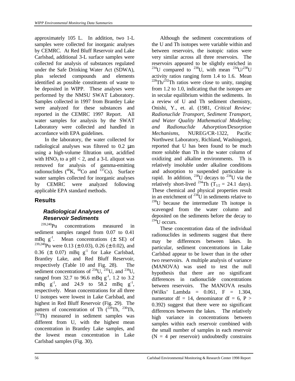approximately 105 L. In addition, two 1-L samples were collected for inorganic analyses by CEMRC. At Red Bluff Reservoir and Lake Carlsbad, additional 3-L surface samples were collected for analysis of substances regulated under the Safe Drinking Water Act (SDWA), plus selected compounds and elements identified as possible constituents of waste to be deposited in WIPP. These analyses were performed by the NMSU SWAT Laboratory. Samples collected in 1997 from Brantley Lake were analyzed for these substances and reported in the CEMRC 1997 Report. All water samples for analysis by the SWAT Laboratory were collected and handled in accordance with EPA guidelines.

 In the laboratory, the water collected for radiological analyses was filtered to 0.2 μm using a high-volume filtration unit, acidified with  $HNO<sub>3</sub>$  to a pH < 2, and a 3-L aliquot was removed for analysis of gamma-emitting radionuclides  $(^{40}\text{K}$ ,  $\frac{60}{\text{Co}}$  and  $^{137}\text{Cs}$ ). Surface water samples collected for inorganic analyses by CEMRC were analyzed following applicable EPA standard methods.

#### **Results**

#### *Radiological Analyses of Reservoir Sediments*

 $239,240$ Pu concentrations measured in sediment samples ranged from 0.07 to 0.41 mBq  $g^{-1}$ . Mean concentrations ( $\pm$  SE) of <sup>239,240</sup>Pu were 0.13 ( $\pm$  0.03), 0.26 ( $\pm$  0.02), and 0.36 ( $\pm$  0.07) mBq g<sup>-1</sup> for Lake Carlsbad, Brantley Lake, and Red Bluff Reservoir, respectively (Table 10 and Fig. 28). The sediment concentrations of  $^{234}$ U,  $^{235}$ U, and  $^{238}$ U, ranged from 32.7 to 96.6 mBq  $g^{-1}$ , 1.2 to 3.2 mBq  $g^{-1}$ , and 24.9 to 58.2 mBq  $g^{-1}$ , respectively. Mean concentrations for all three U isotopes were lowest in Lake Carlsbad, and highest in Red Bluff Reservoir (Fig. 29). The pattern of concentration of Th  $(^{228}Th, ^{230}Th,$  $232$ Th) measured in sediment samples was different from U, with the highest mean concentration in Brantley Lake samples, and the lowest mean concentration in Lake Carlsbad samples (Fig. 30).

 Although the sediment concentrations of the U and Th isotopes were variable within and between reservoirs, the isotopic ratios were very similar across all three reservoirs. The reservoirs appeared to be slightly enriched in <sup>234</sup>U compared to <sup>238</sup>U, with mean <sup>234</sup>U/<sup>238</sup>U activity ratios ranging form 1.4 to 1.6. Mean  $^{228}$ Th/<sup>232</sup>Th ratios were close to unity, ranging from 1.2 to 1.0, indicating that the isotopes are in secular equilibrium within the sediments. In a review of U and Th sediment chemistry, Onishi, Y., et. al. (1981, *Critical Review: Radionuclide Transport, Sediment Transport, and Water Quality Mathematical Modeling; and Radionuclide Adsorption/Desorption Mechanisms*, NUREG/CR-1322, Pacific Northwest Laboratory, Richland, Washington), reported that U has been found to be much more soluble than Th in the water column of oxidizing and alkaline environments. Th is relatively insoluble under alkaline conditions and adsorption to suspended particulate is rapid. In addition,  $^{238}$ U decays to  $^{234}$ U via the relatively short-lived <sup>234</sup>Th (T<sub>1/2</sub> = 24.1 days). These chemical and physical properties result in an enrichment of  $^{234}$ U in sediments relative to  $238$ U because the intermediate Th isotope is scavenged from the water column and deposited on the sediments before the decay to  $^{234}$ U occurs.

 These concentration data of the individual radionuclides in sediments suggest that there may be differences between lakes. In particular, sediment concentrations in Lake Carlsbad appear to be lower than in the other two reservoirs. A multiple analysis of variance (MANOVA) was used to test the null hypothesis that there are no significant differences in radionuclide concentrations between reservoirs. The MANOVA results (Wilks' Lambda = 0.061, F = 1.304, numerator df = 14, denominator df = 6, P > 0.392) suggest that there were no significant differences between the lakes. The relatively high variance in concentrations between samples within each reservoir combined with the small number of samples in each reservoir  $(N = 4$  per reservoir) undoubtedly constrains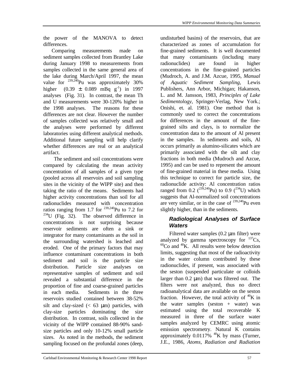the power of the MANOVA to detect differences.

 Comparing measurements made on sediment samples collected from Brantley Lake during January 1998 to measurements from samples collected in the same general area of the lake during March/April 1997, the mean value for  $^{239,240}$ Pu was approximately 30% higher  $(0.39 \pm 0.089 \text{ mBg g}^{-1})$  in 1997 analyses (Fig. 31). In contrast, the mean Th and U measurements were 30-120% higher in the 1998 analyses. The reasons for these differences are not clear. However the number of samples collected was relatively small and the analyses were performed by different laboratories using different analytical methods. Additional future sampling will help clarify whether differences are real or an analytical artifact.

 The sediment and soil concentrations were compared by calculating the mean activity concentration of all samples of a given type (pooled across all reservoirs and soil sampling sites in the vicinity of the WIPP site) and then taking the ratio of the means. Sediments had higher activity concentrations than soil for all radionuclides measured with concentration ratios ranging from 1.7 for  $^{239,240}$ Pu to 7.2 for  $234$ U (Fig. 32). The observed difference in concentrations is not surprising because reservoir sediments are often a sink or integrator for many contaminants as the soil in the surrounding watershed is leached and eroded. One of the primary factors that may influence contaminant concentrations in both sediment and soil is the particle size distribution. Particle size analyses on representative samples of sediment and soil revealed a substantial difference in the proportion of fine and coarse-grained particles in each media. Sediments in the three reservoirs studied contained between 38-52% silt and clay-sized  $(< 63 \mu m)$  particles, with clay-size particles dominating the size distribution. In contrast, soils collected in the vicinity of the WIPP contained 88-90% sandsize particles and only 10-12% small particle sizes. As noted in the methods, the sediment sampling focused on the profundal zones (deep,

undisturbed basins) of the reservoirs, that are characterized as zones of accumulation for fine-grained sediments. It is well documented that many contaminants (including many radionuclides) are found in higher concentrations in the fine-grained particles (Mudroch, A. and J.M. Azcue, 1995, *Manual of Aquatic Sediment Sampling*, Lewis Publishers, Ann Arbor, Michigan; Hakanson, L. and M. Jansson, 1983*, Principles of Lake Sedimentology*, Springer-Verlag, New York.; Onishi, et. al. 1981). One method that is commonly used to correct the concentrations for differences in the amount of the finegrained silts and clays, is to normalize the concentration data to the amount of Al present in the samples. In sediments and soils, Al occurs primarily as alumino-silicates which are primarily associated with the silt and clay fractions in both media (Mudroch and Azcue, 1995) and can be used to represent the amount of fine-grained material in these media. Using this technique to correct for particle size, the radionuclide activity: Al concentration ratios ranged from 0.2  $(^{239,240}Pu)$  to 0.9  $(^{234}U)$  which suggests that Al-normalized soil concentrations are very similar, or in the case of  $^{239,240}$ Pu even slightly higher, than in the sediments.

#### *Radiological Analyses of Surface Waters*

 Filtered water samples (0.2 μm filter) were analyzed by gamma spectroscopy for  $137Cs$ ,  $60^{\circ}$ Co and  $40^{\circ}$ K. All results were below detection limits, suggesting that most of the radioactivity in the water column contributed by these radionuclides, if present, was associated with the seston (suspended particulate or colloids larger than 0.2 μm) that was filtered out. The filters were not analyzed, thus no direct radioanalytical data are available on the seston fraction. However, the total activity of  ${}^{40}K$  in the water samples (seston  $+$  water) was estimated using the total recoverable K measured in three of the surface water samples analyzed by CEMRC using atomic emission spectrometry. Natural K contains approximately  $0.0117\%$  <sup>40</sup>K by mass (Turner, J.E., 1986, *Atoms, Radiation and Radiation*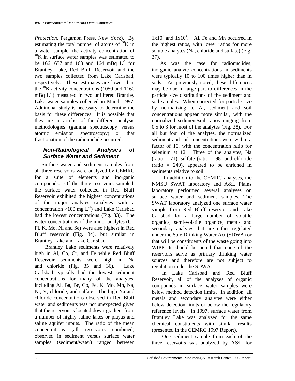*Protection*, Pergamon Press, New York). By estimating the total number of atoms of  ${}^{40}$ K in a water sample, the activity concentration of  $^{40}$ K in surface water samples was estimated to be 166, 657 and 163 and 164 mBq  $L^{-1}$  for Brantley Lake, Red Bluff Reservoir and the two samples collected from Lake Carlsbad, respectively. These estimates are lower than the  $^{40}$ K activity concentrations (1050 and 1160) mBq  $L^{-1}$ ) measured in two unfiltered Brantley Lake water samples collected in March 1997. Additional study is necessary to determine the basis for these differences. It is possible that they are an artifact of the different analysis methodologies (gamma spectroscopy versus atomic emission spectroscopy) or that fractionation of the radionuclide occurred.

# *Non-Radiological Analyses of Surface Water and Sediment*

 Surface water and sediment samples from all three reservoirs were analyzed by CEMRC for a suite of elements and inorganic compounds. Of the three reservoirs sampled, the surface water collected in Red Bluff Reservoir exhibited the highest concentrations of the major analytes (analytes with a concentration >100 mg  $L^{-1}$ ) and Lake Carlsbad had the lowest concentrations (Fig. 33). The water concentrations of the minor analytes (Cr, Fl, K, Mo, Ni and Se) were also highest in Red Bluff reservoir (Fig. 34), but similar in Brantley Lake and Lake Carlsbad.

Brantley Lake sediments were relatively high in Al, Co, Cr, and Fe while Red Bluff Reservoir sediments were high in Na and chloride (Fig. 35 and 36). Lake Carlsbad typically had the lowest sediment concentrations for many of the analytes, including Al, Ba, Be, Co, Fe, K, Mo, Mn, Na, Ni, V, chloride, and sulfate. The high Na and chloride concentrations observed in Red Bluff water and sediments was not unexpected given that the reservoir is located down-gradient from a number of highly saline lakes or playas and saline aquifer inputs. The ratio of the mean concentrations (all reservoirs combined) observed in sediment versus surface water samples (sediment/water) ranged between

 $1x10^2$  and  $1x10^4$ . Al, Fe and Mn occurred in the highest ratios, with lower ratios for more soluble analytes (Na, chloride and sulfate) (Fig. 37).

 As was the case for radionuclides, inorganic analyte concentrations in sediments were typically 10 to 100 times higher than in soils. As previously noted, these differences may be due in large part to differences in the particle size distributions of the sediment and soil samples. When corrected for particle size by normalizing to Al, sediment and soil concentrations appear more similar, with the normalized sediment/soil ratios ranging from 0.5 to 3 for most of the analytes (Fig. 38). For all but four of the analytes, the normalized sediment and soil concentrations were within a factor of 10, with the concentration ratio for selenium at 12. Three of the analytes, Na (ratio = 71), sulfate (ratio = 98) and chloride (ratio = 240), appeared to be enriched in sediments relative to soil.

 In addition to the CEMRC analyses, the NMSU SWAT laboratory and A&L Plains laboratory performed several analyses on surface water and sediment samples. The SWAT laboratory analyzed one surface water sample from Red Bluff reservoir and Lake Carlsbad for a large number of volatile organics, semi-volatile organics, metals and secondary analytes that are either regulated under the Safe Drinking Water Act (SDWA) or that will be constituents of the waste going into WIPP. It should be noted that none of the reservoirs serve as primary drinking water sources and therefore are not subject to regulation under the SDWA.

In Lake Carlsbad and Red Bluff Reservoir, all of the analyses of organic compounds in surface water samples were below method detection limits. In addition, all metals and secondary analytes were either below detection limits or below the regulatory reference levels. In 1997, surface water from Brantley Lake was analyzed for the same chemical constituents with similar results (presented in the CEMRC 1997 Report).

One sediment sample from each of the three reservoirs was analyzed by A&L for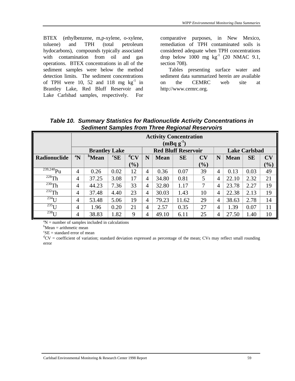BTEX (ethylbenzene, m,p-xylene, o-xylene, toluene) and TPH (total petroleum hydocarbons), compounds typically associated with contamination from oil and gas operations. BTEX concentrations in all of the sediment samples were below the method detection limits. The sediment concentrations of TPH were 10, 52 and 118 mg  $kg^{-1}$  in Brantley Lake, Red Bluff Reservoir and Lake Carlsbad samples, respectively. For

comparative purposes, in New Mexico, remediation of TPH contaminated soils is considered adequate when TPH concentrations drop below  $1000$  mg kg<sup>-1</sup> (20 NMAC 9.1, section 708).

 Tables presenting surface water and sediment data summarized herein are available on the CEMRC web site at http://www.cemrc.org.

|                                 |                               | <b>Activity Concentration</b><br>$(mBq g-1)$ |                              |                 |                |                            |           |        |                |                      |           |     |
|---------------------------------|-------------------------------|----------------------------------------------|------------------------------|-----------------|----------------|----------------------------|-----------|--------|----------------|----------------------|-----------|-----|
|                                 |                               | <b>Brantley Lake</b>                         |                              |                 |                | <b>Red Bluff Reservoir</b> |           |        |                | <b>Lake Carlsbad</b> |           |     |
| Radionuclide                    | $\boldsymbol{P}^{\mathrm{a}}$ | <sup>b</sup> Mean                            | ${}^{\mathrm{c}}\mathbf{SE}$ | ${}^{\rm d}$ CV | N              | <b>Mean</b>                | <b>SE</b> | CV     | N              | <b>Mean</b>          | <b>SE</b> | CV  |
|                                 |                               |                                              |                              | $(\%)$          |                |                            |           | $(\%)$ |                |                      |           | (%) |
| $\frac{239,240}{P}$ u           | $\overline{4}$                | 0.26                                         | 0.02                         | 12              | $\overline{4}$ | 0.36                       | 0.07      | 39     | $\overline{4}$ | 0.13                 | 0.03      | 49  |
| $228$ Th                        | 4                             | 37.25                                        | 3.08                         | 17              | 4              | 34.80                      | 0.81      | 5      | 4              | 22.10                | 2.32      | 21  |
| $230$ Th                        | $\overline{4}$                | 44.23                                        | 7.36                         | 33              | 4              | 32.80                      | 1.17      | 7      | 4              | 23.78                | 2.27      | 19  |
| $^{232}$ Th                     | 4                             | 37.48                                        | 4.40                         | 23              | 4              | 30.03                      | 1.43      | 10     | 4              | 22.38                | 2.13      | 19  |
| $\overline{^{234}}\overline{U}$ | 4                             | 53.48                                        | 5.06                         | 19              | 4              | 79.23                      | 11.62     | 29     | 4              | 38.63                | 2.78      | 14  |
| $\overline{^{235}}\overline{U}$ | 4                             | 1.96                                         | 0.20                         | 21              | 4              | 2.57                       | 0.35      | 27     | 4              | 1.39                 | 0.07      | 11  |
| $^{238}$ U                      | 4                             | 38.83                                        | .82                          | 9               | 4              | 49.10                      | 6.11      | 25     | 4              | 27.50                | 1.40      | 10  |

*Table 10. Summary Statistics for Radionuclide Activity Concentrations in Sediment Samples from Three Regional Reservoirs*

 ${}^{\text{a}}\text{N}$  = number of samples included in calculations

 $b$ Mean = arithmetic mean

 ${}^c$ SE = standard error of mean

 ${}^{d}CV$  = coefficient of variation; standard deviation expressed as percentage of the mean; CVs may reflect small rounding error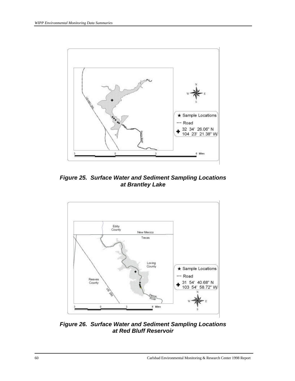

*Figure 25. Surface Water and Sediment Sampling Locations at Brantley Lake*



*Figure 26. Surface Water and Sediment Sampling Locations at Red Bluff Reservoir*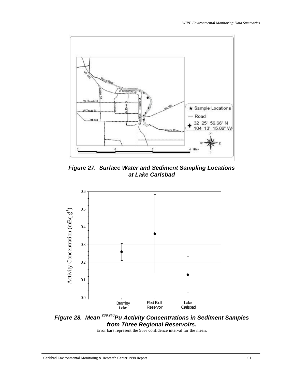

*Figure 27. Surface Water and Sediment Sampling Locations at Lake Carlsbad*



*Figure 28. Mean 239,240Pu Activity Concentrations in Sediment Samples from Three Regional Reservoirs.*

Error bars represent the 95% confidence interval for the mean.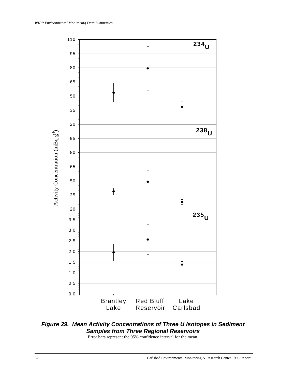

# *Figure 29. Mean Activity Concentrations of Three U Isotopes in Sediment Samples from Three Regional Reservoirs*

Error bars represent the 95% confidence interval for the mean.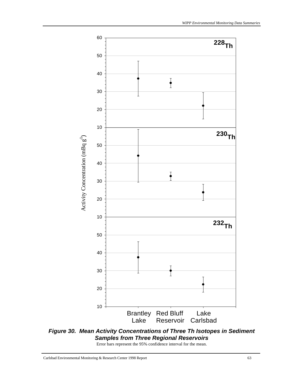

*Figure 30. Mean Activity Concentrations of Three Th Isotopes in Sediment Samples from Three Regional Reservoirs*

Error bars represent the 95% confidence interval for the mean.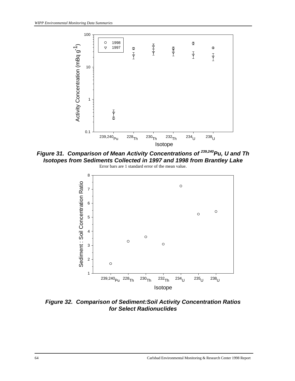

*Figure 31. Comparison of Mean Activity Concentrations of 239,240Pu, U and Th Isotopes from Sediments Collected in 1997 and 1998 from Brantley Lake*



*Figure 32. Comparison of Sediment:Soil Activity Concentration Ratios for Select Radionuclides*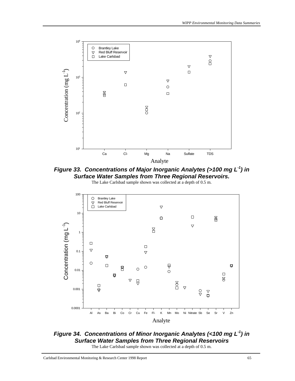

*Figure 33. Concentrations of Major Inorganic Analytes (>100 mg L-1) in Surface Water Samples from Three Regional Reservoirs.*





*Figure 34. Concentrations of Minor Inorganic Analytes (<100 mg L-1) in Surface Water Samples from Three Regional Reservoirs* The Lake Carlsbad sample shown was collected at a depth of 0.5 m.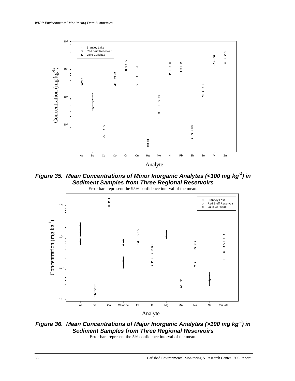

*Figure 35. Mean Concentrations of Minor Inorganic Analytes (<100 mg kg-1) in Sediment Samples from Three Regional Reservoirs*



*Figure 36. Mean Concentrations of Major Inorganic Analytes (>100 mg kg-1) in Sediment Samples from Three Regional Reservoirs*

Error bars represent the 5% confidence interval of the mean.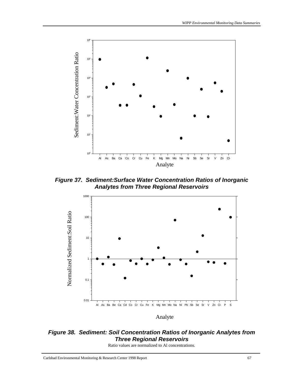

*Figure 37. Sediment:Surface Water Concentration Ratios of Inorganic Analytes from Three Regional Reservoirs*



*Figure 38. Sediment: Soil Concentration Ratios of Inorganic Analytes from Three Regional Reservoirs*

Ratio values are normalized to Al concentrations.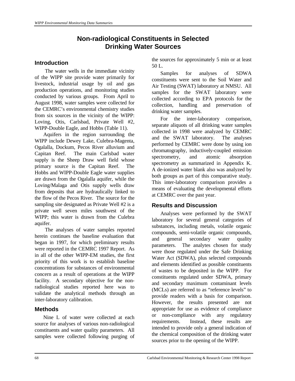# **Non-radiological Constituents in Selected Drinking Water Sources**

#### **Introduction**

The water wells in the immediate vicinity of the WIPP site provide water primarily for livestock, industrial usage by oil and gas production operations, and monitoring studies conducted by various groups. From April to August 1998, water samples were collected for the CEMRC's environmental chemistry studies from six sources in the vicinity of the WIPP: Loving, Otis, Carlsbad, Private Well #2, WIPP-Double Eagle, and Hobbs (Table 11).

Aquifers in the region surrounding the WIPP include Dewey Lake, Culebra-Magenta, Ogalalla, Dockum, Pecos River alluvium and Capitan Reef. The main Carlsbad water supply is the Sheep Draw well field whose primary source is the Capitan Reef. The Hobbs and WIPP-Double Eagle water supplies are drawn from the Ogalalla aquifer, while the Loving/Malaga and Otis supply wells draw from deposits that are hydraulically linked to the flow of the Pecos River. The source for the sampling site designated as Private Well #2 is a private well seven miles southwest of the WIPP; this water is drawn from the Culebra aquifer.

The analyses of water samples reported herein continues the baseline evaluation that began in 1997, for which preliminary results were reported in the CEMRC 1997 Report. As in all of the other WIPP-EM studies, the first priority of this work is to establish baseline concentrations for substances of environmental concern as a result of operations at the WIPP facility. A secondary objective for the nonradiological studies reported here was to validate the analytical methods through an inter-laboratory calibration.

## **Methods**

Nine L of water were collected at each source for analyses of various non-radiological constituents and water quality parameters. All samples were collected following purging of the sources for approximately 5 min or at least 50 L.

Samples for analyses of SDWA constituents were sent to the Soil Water and Air Testing (SWAT) laboratory at NMSU. All samples for the SWAT laboratory were collected according to EPA protocols for the collection, handling and preservation of drinking water samples.

For the inter-laboratory comparison, separate aliquots of all drinking water samples collected in 1998 were analyzed by CEMRC and the SWAT laboratory. The analyses performed by CEMRC were done by using ion chromatography, inductively-coupled emission spectrometry, and atomic absorption spectrometry as summarized in Appendix K. A de-ionized water blank also was analyzed by both groups as part of this comparative study. This inter-laboratory comparison provides a means of evaluating the developmental efforts at CEMRC over the past year.

## **Results and Discussion**

Analyses were performed by the SWAT laboratory for several general categories of substances, including metals, volatile organic compounds, semi-volatile organic compounds, and general secondary water quality parameters. The analytes chosen for study were those regulated under the Safe Drinking Water Act (SDWA), plus selected compounds and elements identified as possible constituents of wastes to be deposited in the WIPP. For constituents regulated under SDWA, primary and secondary maximum contaminant levels (MCLs) are referred to as "reference levels" to provide readers with a basis for comparison. However, the results presented are not appropriate for use as evidence of compliance or non-compliance with any regulatory requirements. Instead, these results are intended to provide only a general indication of the chemical composition of the drinking water sources prior to the opening of the WIPP.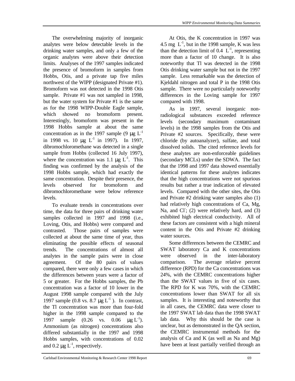The overwhelming majority of inorganic analytes were below detectable levels in the drinking water samples, and only a few of the organic analytes were above their detection limits. Analyses of the 1997 samples indicated the presence of bromoform in samples from Hobbs, Otis, and a private tap five miles northwest of the WIPP (designated Private #1). Bromoform was not detected in the 1998 Otis sample. Private #1 was not sampled in 1998, but the water system for Private #1 is the same as for the 1998 WIPP-Double Eagle sample, which showed no bromoform present. Interestingly, bromoform was present in the 1998 Hobbs sample at about the same concentration as in the 1997 sample (9  $\mu$ g L<sup>-1</sup> in 1998 vs. 10  $\mu$ g L<sup>-1</sup> in 1997). In 1997, dibromochloromethane was detected in a single sample from Hobbs (collected 16 July 1997), where the concentration was 1.1  $\mu$ g L<sup>-1</sup>. This finding was confirmed by the analysis of the 1998 Hobbs sample, which had exactly the same concentration. Despite their presence, the levels observed for bromoform and dibromochloromethane were below reference levels.

To evaluate trends in concentrations over time, the data for three pairs of drinking water samples collected in 1997 and 1998 (i.e., Loving, Otis, and Hobbs) were compared and contrasted. Those pairs of samples were collected at about the same time of year, thus eliminating the possible effects of seasonal trends. The concentrations of almost all analytes in the sample pairs were in close agreement. Of the 80 pairs of values compared, there were only a few cases in which the differences between years were a factor of 5 or greater. For the Hobbs samples, the Pb concentration was a factor of 10 lower in the August 1998 sample compared with the July 1997 sample (0.8 vs. 8.7 μg  $L^{-1}$ ). In contrast, the Tl concentration was more than four-fold higher in the 1998 sample compared to the 1997 sample  $(0.26 \text{ vs. } 0.06 \text{ µg } L^{-1}).$ Ammonium (as nitrogen) concentrations also differed substantially in the 1997 and 1998 Hobbs samples, with concentrations of 0.02 and  $0.2 \mu g L^{-1}$ , respectively.

*WIPP Environmental Monitoring Data Summaries*

At Otis, the K concentration in 1997 was 4.5 mg  $L^{-1}$ , but in the 1998 sample, K was less than the detection limit of 0.4  $L^{-1}$ , representing more than a factor of 10 change. It is also noteworthy that Tl was detected in the 1998 Otis drinking water sample but not in the 1997 sample. Less remarkable was the detection of Kjeldahl nitrogen and total P in the 1998 Otis sample. There were no particularly noteworthy differences in the Loving sample for 1997 compared with 1998.

As in 1997, several inorganic nonradiological substances exceeded reference levels (secondary maximum contaminant levels) in the 1998 samples from the Otis and Private #2 sources. Specifically, these were chloride (by autoanalyzer), sulfate, and total dissolved solids. The cited reference levels for these analytes are non-enforceable guidelines (secondary MCLs) under the SDWA. The fact that the 1998 and 1997 data showed essentially identical patterns for these analytes indicates that the high concentrations were not spurious results but rather a true indication of elevated levels. Compared with the other sites, the Otis and Private #2 drinking water samples also (1) had relatively high concentrations of Ca, Mg, Na, and CI; (2) were relatively hard, and (3) exhibited high electrical conductivity. All of these factors are consistent with a high mineral content in the Otis and Private #2 drinking water sources.

Some differences between the CEMRC and SWAT laboratory Ca and K concentrations were observed in the inter-laboratory comparison. The average relative percent difference (RPD) for the Ca concentrations was 24%, with the CEMRC concentrations higher than the SWAT values in five of six cases. The RPD for K was 70%, with the CEMRC concentrations lower than SWAT for all six samples. It is interesting and noteworthy that in all cases, the CEMRC data were closer to the 1997 SWAT lab data than the 1998 SWAT lab data. Why this should be the case is unclear, but as demonstrated in the QA section, the CEMRC instrumental methods for the analysis of Ca and K (as well as Na and Mg) have been at least partially verified through an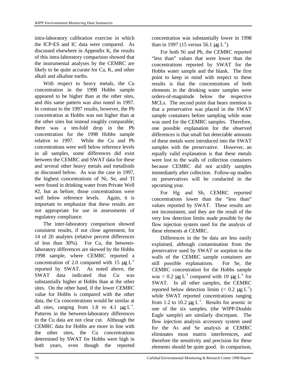intra-laboratory calibration exercise in which the ICP-ES and IC data were compared. As discussed elsewhere in Appendix K, the results of this intra-laboratory comparison showed that the instrumental analyses by the CEMRC are likely to be quite accurate for Ca, K, and other alkali and alkaline earths.

With respect to heavy metals, the Cu concentration in the 1998 Hobbs sample appeared to be higher than at the other sites, and this same pattern was also noted in 1997. In contrast to the 1997 results, however, the Pb concentration at Hobbs was not higher than at the other sites but instead roughly comparable; there was a ten-fold drop in the Pb concentration for the 1998 Hobbs sample relative to 1997. While the Cu and Pb concentrations were well below reference levels in all samples, some differences did exist between the CEMRC and SWAT data for these and several other heavy metals and metalloids as discussed below. As was the case in 1997, the highest concentrations of Ni, Se, and Tl were found in drinking water from Private Well #2, but as before, those concentrations were well below reference levels. Again, it is important to emphasize that these results are not appropriate for use in assessments of regulatory compliance.

The inter-laboratory comparison showed consistent results, if not close agreement, for 14 of 20 analytes (relative percent differences of less than 30%). For Cu, the betweenlaboratory differences are skewed by the Hobbs 1998 sample, where CEMRC reported a concentration of 2.0 compared with 15  $\mu$ g L<sup>-1</sup> reported by SWAT. As noted above, the SWAT data indicated that Cu was substantially higher at Hobbs than at the other sites. On the other hand, if the lower CEMRC value for Hobbs is compared with the other data, the Cu concentrations would be similar at all sites, ranging from 1.8 to 4.1  $\mu g L^{-1}$ . Patterns in the between-laboratory differences in the Cu data are not clear cut. Although the CEMRC data for Hobbs are more in line with the other sites, the Cu concentrations determined by SWAT for Hobbs were high in both years, even though the reported

concentration was substantially lower in 1998 than in 1997 (15 versus 56.1  $\mu$ g L<sup>-1</sup>).

For both Ni and Pb, the CEMRC reported "less than" values that were lower than the concentrations reported by SWAT for the Hobbs water sample and the blank. The first point to keep in mind with respect to these results is that the concentrations of both elements in the drinking water samples were orders-of-magnitude below the respective MCLs. The second point that bears mention is that a preservative was placed in the SWAT sample containers before sampling while none was used for the CEMRC samples. Therefore, one possible explanation for the observed differences is that small but detectable amounts of these metals were introduced into the SWAT samples with the preservative. However, an equally valid explanation is that these metals were lost to the walls of collection containers because CEMRC did not acidify samples immediately after collection. Follow-up studies on preservatives will be conducted in the upcoming year.

For Hg and Sb, CEMRC reported concentrations lower than the "less than" values reported by SWAT. These results are not inconsistent, and they are the result of the very low detection limits made possible by the flow injection system used for the analysis of these elements at CEMRC.

Differences in the Se data are less easily explained, although contamination from the preservative used by SWAT or sorption to the walls of the CEMRC sample containers are still possible explanations. For Se, the CEMRC concentration for the Hobbs sample was  $< 0.2 \mu g L^{-1}$  compared with 10  $\mu g L^{-1}$  for SWAT. In all other samples, the CEMRC reported below detection limits ( $< 0.2 \mu g L^{-1}$ ) while SWAT reported concentrations ranging from 1.2 to 10.2  $\mu$ g L<sup>-1</sup>. Results for arsenic in one of the six samples, (the WIPP-Double Eagle sample) are similarly discrepant. The flow injection analysis accessory system used for the As and Se analysis at CEMRC eliminates most matrix interferences, and therefore the sensitivity and precision for these elements should be quite good. In comparison,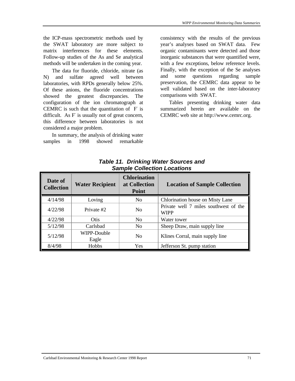the ICP-mass spectrometric methods used by the SWAT laboratory are more subject to matrix interferences for these elements. Follow-up studies of the As and Se analytical methods will be undertaken in the coming year.

The data for fluoride, chloride, nitrate (as N) and sulfate agreed well between laboratories, with RPDs generally below 25%. Of these anions, the fluoride concentrations showed the greatest discrepancies. The configuration of the ion chromatograph at CEMRC is such that the quantitation of  $F$  is difficult. As F is usually not of great concern, this difference between laboratories is not considered a major problem.

In summary, the analysis of drinking water samples in 1998 showed remarkable

consistency with the results of the previous year's analyses based on SWAT data. Few organic contaminants were detected and those inorganic substances that were quantified were, with a few exceptions, below reference levels. Finally, with the exception of the Se analyses and some questions regarding sample preservation, the CEMRC data appear to be well validated based on the inter-laboratory comparisons with SWAT.

Tables presenting drinking water data summarized herein are available on the CEMRC web site at http://www.cemrc.org.

| Date of<br><b>Collection</b> | <b>Water Recipient</b> | <b>Chlorination</b><br>at Collection<br><b>Point</b> | <b>Location of Sample Collection</b>                 |
|------------------------------|------------------------|------------------------------------------------------|------------------------------------------------------|
| 4/14/98                      | Loving                 | N <sub>0</sub>                                       | Chlorination house on Misty Lane                     |
| 4/22/98                      | Private #2             | N <sub>0</sub>                                       | Private well 7 miles southwest of the<br><b>WIPP</b> |
| 4/22/98                      | Otis                   | N <sub>o</sub>                                       | Water tower                                          |
| 5/12/98                      | Carlsbad               | N <sub>0</sub>                                       | Sheep Draw, main supply line                         |
| 5/12/98                      | WIPP-Double<br>Eagle   | N <sub>0</sub>                                       | Klines Corral, main supply line                      |
| 8/4/98                       | Hobbs                  | <b>Yes</b>                                           | Jefferson St. pump station                           |

*Table 11. Drinking Water Sources and Sample Collection Locations*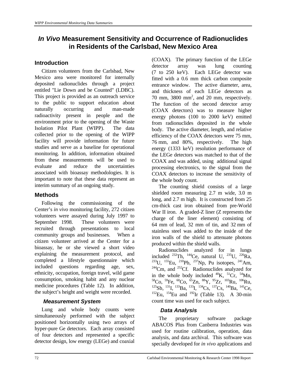# *In Vivo* **Measurement Sensitivity and Occurrence of Radionuclides in Residents of the Carlsbad, New Mexico Area**

# **Introduction**

 Citizen volunteers from the Carlsbad, New Mexico area were monitored for internally deposited radionuclides through a project entitled "Lie Down and be Counted" (LDBC). This project is provided as an outreach service to the public to support education about naturally occurring and man-made radioactivity present in people and the environment prior to the opening of the Waste Isolation Pilot Plant (WIPP). The data collected prior to the opening of the WIPP facility will provide information for future studies and serve as a baseline for operational monitoring. In addition, information obtained from these measurements will be used to evaluate and reduce the uncertainties associated with bioassay methodologies. It is important to note that these data represent an interim summary of an ongoing study.

## **Methods**

 Following the commissioning of the Center's *in vivo* monitoring facility, 272 citizen volunteers were assayed during July 1997 to September 1998. These volunteers were recruited through presentations to local community groups and businesses. When a citizen volunteer arrived at the Center for a bioassay, he or she viewed a short video explaining the measurement protocol, and completed a lifestyle questionnaire which included questions regarding age, sex, ethnicity, occupation, foreign travel, wild game consumption, smoking habit and any nuclear medicine procedures (Table 12). In addition, the subject's height and weight were recorded.

## *Measurement System*

 Lung and whole body counts were simultaneously performed with the subject positioned horizontally using two arrays of hyper-pure Ge detectors. Each array consisted of four detectors and represented a specific detector design, low energy (LEGe) and coaxial

(COAX). The primary function of the LEGe detector array was lung counting (7 to 250 keV). Each LEGe detector was fitted with a 0.6 mm thick carbon composite entrance window. The active diameter, area, and thickness of each LEGe detectors as 70 mm, 3800 mm<sup>2</sup>, and 20 mm, respectively. The function of the second detector array (COAX detectors) was to measure higher energy photons (100 to 2000 keV) emitted from radionuclides deposited in the whole body. The active diameter, length, and relative efficiency of the COAX detectors were 75 mm, 76 mm, and 80%, respectively. The high energy (1333 keV) resolution performance of the LEGe detectors was matched to that of the COAX and was added, using additional signal processing electronics, to the signal from the COAX detectors to increase the sensitivity of the whole body count.

 The counting shield consists of a large shielded room measuring 2.7 m wide, 3.0 m long, and 2.7 m high. It is constructed from 25 cm-thick cast iron obtained from pre-World War II iron. A graded-Z liner (Z represents the charge of the liner element) consisting of 64 mm of lead, 32 mm of tin, and 32 mm of stainless steel was added to the inside of the iron walls of the shield to attenuate photons produced within the shield walls.

 Radionuclides analyzed for in lungs included  $^{232}$ Th,  $^{144}$ Ce, natural U,  $^{235}$ U,  $^{226}$ Ra, <sup>233</sup>U, <sup>155</sup>Eu, <sup>210</sup>Pb, <sup>237</sup>Np, Pu isotopes, <sup>241</sup>Am,  $244$ Cm, and  $252$ Cf. Radionuclides analyzed for in the whole body included  $^{40}$ K,  $^{51}$ Cr,  $^{54}$ Mn,  $^{58}$ Co,  $^{59}$ Fe,  $^{60}$ Co,  $^{65}$ Zn,  $^{88}$ Y,  $^{95}$ Zr,  $^{103}$ Ru,  $^{106}$ Ru,  $^{125}Sb$ ,  $^{131}I$ ,  $^{133}Ba$ ,  $^{133}I$ ,  $^{134}Cs$ ,  $^{137}Cs$ ,  $^{140}Ba$ ,  $^{141}Ce$ ,  $152$ Eu,  $154$ Eu and  $192$ Ir (Table 13). A 30-min count time was used for each subject.

## *Data Analysis*

 The proprietary software package ABACOS Plus from Canberra Industries was used for routine calibration, operation, data analysis, and data archival. This software was specially developed for *in vivo* applications and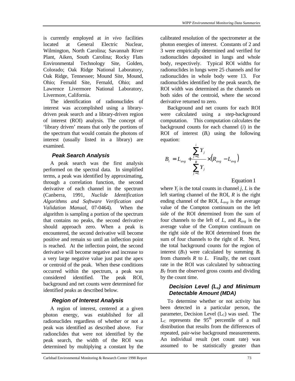is currently employed at *in vivo* facilities located at General Electric Nuclear, Wilmington, North Carolina; Savannah River Plant, Aiken, South Carolina; Rocky Flats Environmental Technology Site, Golden, Colorado; Oak Ridge National Laboratory, Oak Ridge, Tennessee; Mound Site, Mound, Ohio; Fernald Site, Fernald, Ohio; and Lawrence Livermore National Laboratory, Livermore, California.

 The identification of radionuclides of interest was accomplished using a librarydriven peak search and a library-driven region of interest (ROI) analysis. The concept of 'library driven' means that only the portions of the spectrum that would contain the photons of interest (usually listed in a library) are examined.

# *Peak Search Analysis*

 A peak search was the first analysis performed on the spectral data. In simplified terms, a peak was identified by approximating, through a correlation function, the second derivative of each channel in the spectrum (Canberra, 1991, *Nuclide Identification Algorithms and Software Verification and Validation Manual*, 07-0464). When the algorithm is sampling a portion of the spectrum that contains no peaks, the second derivative should approach zero. When a peak is encountered, the second derivative will become positive and remain so until an inflection point is reached. At the inflection point, the second derivative will become negative and increase to a very large negative value just past the apex or centroid of the peak. When these conditions occurred within the spectrum, a peak was considered identified. The peak ROI, background and net counts were determined for identified peaks as described below.

# *Region of Interest Analysis*

 A region of interest, centered at a given photon energy, was established for all radionuclides regardless of whether or not a peak was identified as described above. For radionclides that were not identified by the peak search, the width of the ROI was determined by multiplying a constant by the

calibrated resolution of the spectrometer at the photon energies of interest. Constants of 2 and 3 were empirically determined and verified for radionuclides deposited in lungs and whole body, respectively. Typical ROI widths for radionuclides in lungs were 25 channels and for radionuclides in whole body were 13. For radionuclides identified by the peak search, the ROI width was determined as the channels on both sides of the centroid, where the second derivative returned to zero.

 Background and net counts for each ROI were calculated using a step-background computation. This computation calculates the background counts for each channel (*i*) in the ROI of interest  $(B_i)$  using the following equation:

$$
B_i = L_{avg} + \frac{\sum_{j=L}^{i} Y_j}{\sum_{j=L}^{R} Y_j} \times (R_{avg} - L_{avg})
$$

Equation 1

where  $Y_j$  is the total counts in channel *j*, *L* is the left starting channel of the ROI, *R* is the right ending channel of the ROI, *Lavg* is the average value of the Compton continuum on the left side of the ROI determined from the sum of four channels to the left of *L*, and *Ravg* is the average value of the Compton continuum on the right side of the ROI determined from the sum of four channels to the right of R. Next, the total background counts for the region of interest  $(B_T)$  were calculated by summing  $B_i$ from channels *R* to *L.* Finally, the net count rate in the ROI was calculated by subtracting  $B_T$  from the observed gross counts and dividing by the count time.

# *Decision Level (Lc) and Minimum Detectable Amount (MDA)*

 To determine whether or not activity has been detected in a particular person, the parameter, Decision Level  $(L<sub>C</sub>)$  was used. The  $L_c$  represents the 95<sup>th</sup> percentile of a null distribution that results from the differences of repeated, pair-wise background measurements. An individual result (net count rate) was assumed to be statistically greater than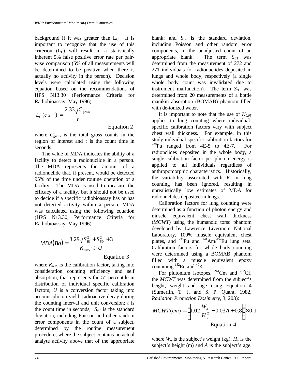background if it was greater than  $L<sub>C</sub>$ . It is important to recognize that the use of this criterion  $(L<sub>C</sub>)$  will result in a statistically inherent 5% false positive error rate per pairwise comparison (5% of all measurements will be determined to be positive when there is actually no activity in the person). Decision levels were calculated using the following equation based on the recommendations of HPS N13.30 (Performance Criteria for Radiobioassay, May 1996):

$$
L_C(c \, s^{-1}) = \frac{2.33\sqrt{C_{\text{gross}}}}{t}
$$

Equation 2

where  $C_{\text{gross}}$  is the total gross counts in the region of interest and *t* is the count time in seconds.

 The value of MDA indicates the ability of a facility to detect a radionuclide in a person. The MDA represents the amount of a radionuclide that, if present, would be detected 95% of the time under routine operation of a facility. The MDA is used to measure the efficacy of a facility, but it should not be used to decide if a specific radiobioassay has or has not detected activity within a person. MDA was calculated using the following equation (HPS N13.30, Performance Criteria for Radiobioassay, May 1996):

$$
MDA(Bq) = \frac{3.29\sqrt{S_{B1}^2 + S_{B0}^2} + 3}{K_{0.05} \cdot t \cdot U}
$$

Equation 3

where  $K_{0.05}$  is the calibration factor, taking into consideration counting efficiency and self absorption, that represents the  $5<sup>th</sup>$  percentile in distribution of individual specific calibration factors; *U* is a conversion factor taking into account photon yield, radioactive decay during the counting interval and unit conversion; *t* is the count time in seconds;  $S_{BI}$  is the standard deviation, including Poisson and other random error components in the count of a subject, determined by the routine measurement procedure, where the subject contains no actual analyte activity above that of the appropriate

blank; and *SB0* is the standard deviation, including Poisson and other random error components, in the unadjusted count of an appropriate blank. The term  $S_{B1}$  was determined from the measurement of 272 and 271 individuals for radionuclides deposited in lungs and whole body, respectively (a single whole body count was invalidated due to instrument malfunction). The term  $S_{B0}$  was determined from 20 measurements of a bottle manikin absorption (BOMAB) phantom filled with de-ionized water.

It is important to note that the use of  $K_{0.05}$ applies to lung counting where individualspecific calibration factors vary with subject chest wall thickness. For example, in this study individual-specific calibration factors for  $^{238}$ Pu ranged from 4E-5 to 4E-7. For radionclides deposited in the whole body, a single calibration factor per photon energy is applied to all individuals regardless of anthropomorphic characteristics. Historically, the variability associated with *K* in lung counting has been ignored, resulting in unrealistically low estimates of MDA for radionuclides deposited in lungs.

 Calibration factors for lung counting were determined as a function of photon energy and muscle equivalent chest wall thickness (*MCWT*) using the humanoid torso phantom developed by Lawrence Livermore National Laboratory, 100% muscle equivalent chest plates, and  $^{238}$ Pu and  $^{241}$ Am/<sup>152</sup>Eu lung sets. Calibration factors for whole body counting were determined using a BOMAB phantom filled with a muscle equivalent epoxy containing  ${}^{152}$ Eu and  ${}^{40}$ K.

For plutonium isotopes,  $^{244}$ Cm and  $^{252}$ Cf. the *MCWT* was determined from the subject's height, weight and age using Equation 4 (Sumerlin, T. J. and S. P. Quant, 1982, *Radiation Protection Dosimetry*, 3, 203):

$$
MCWT(cm) = \left(1.02 \frac{W_a}{H_a^2} - 0.03A + 0.8\right) \times 0.1
$$
  
Equation 4

where  $W_a$  is the subject's weight (kg),  $H_a$  is the subject's height (m) and *A* is the subject's age.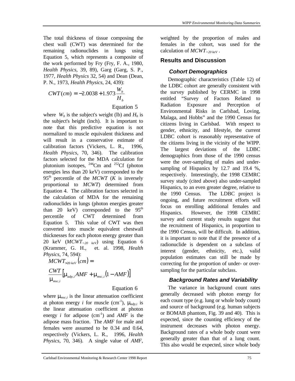The total thickness of tissue composing the chest wall (CWT) was determined for the remaining radionuclides in lungs using Equation 5, which represents a composite of the work performed by Fry (Fry, F. A., 1980, *Health Physics*, 39, 89), Garg (Garg, S. P., 1977, *Health Physics* 32, 54) and Dean (Dean, P. N., 1973, *Health Physics,* 24, 439):

$$
CWT(cm) = -2.0038 + 1.973 \frac{W_b}{H_b}
$$

Equation 5

where  $W_b$  is the subject's weight (lb) and  $H_b$  is the subject's height (inch). It is important to note that this predictive equation is not normalized to muscle equivalent thickness and will result in a conservative estimate of calibration factors (Vickers, L. R., 1996*, Health Physics*, 70, 346). The calibration factors selected for the MDA calculation for plutonium isotopes,  $^{244}$ Cm and  $^{252}$ Cf (photon energies less than 20 keV) corresponded to the  $95<sup>th</sup>$  percentile of the *MCWT* (*K* is inversely proportional to *MCWT*) determined from Equation 4. The calibration factors selected in the calculation of MDA for the remaining radionuclides in lungs (photon energies greater than 20 keV) corresponded to the  $95<sup>th</sup>$ percentile of CWT determined from Equation 5. This value of CWT was then converted into muscle equivalent chestwall thicknesses for each photon energy greater than 20 keV (*MCWT>20 keV*) using Equation 6 (Krammer, G. H., et. al. 1998, *Health Physics*, 74, 594):

 $M CWT_{>20~keV} (cm) =$  $\left[ \mathbf{m}_{\alpha dp,i} A M F + \mathbf{m}_{\text{nsc},i} (1 - A M F) \right]$ ,  $\frac{CWT}{T}$   $\left[\mathbf{m}_{_{adp,i}} AMF + \mathbf{m}_{_{msc,i}} (1 - AMF)\right]$ *msc i*  $\mathbf{m}_{\text{adn}}$  ;  $AMF + \mathbf{m}_{\text{msc}}$  ;  $(1$ *m*

#### Equation 6

where  $\mathbf{m}_{nsc,i}$  is the linear attenuation coefficient at photon energy *i* for muscle (cm<sup>-1</sup>),  $\mathbf{m}_{\text{adp},i}$  is the linear attenuation coefficient at photon energy *i* for adipose  $(cm^{-1})$  and *AMF* is the adipose mass fraction. The *AMF* for male and females were assumed to be 0.34 and 0.64, respectively (Vickers, L. R., 1996, *Health Physics*, 70, 346). A single value of *AMF*,

weighted by the proportion of males and females in the cohort, was used for the calculation of *MCWT>20 keV* .

## **Results and Discussion**

#### *Cohort Demographics*

 Demographic characteristics (Table 12) of the LDBC cohort are generally consistent with the survey published by CERMC in 1998 entitled "Survey of Factors Related to Radiation Exposure and Perception of Environmental Risks in Carlsbad, Loving, Malaga, and Hobbs" and the 1990 Census for citizens living in Carlsbad. With respect to gender, ethnicity, and lifestyle, the current LDBC cohort is reasonably representative of the citizens living in the vicinity of the WIPP. The largest deviations of the LDBC demographics from those of the 1990 census were the over-sampling of males and undersampling of Hispanics by 12.7 and 19.4 %, respectively. Interestingly, the 1998 CEMRC survey study (cited above) also under-sampled Hispanics, to an even greater degree, relative to the 1990 Census. The LDBC project is ongoing, and future recruitment efforts will focus on enrolling additional females and Hispanics. However, the 1998 CEMRC survey and current study results suggest that the recruitment of Hispanics, in proportion to the 1990 Census, will be difficult. In addition, it is important to note that if the presence of a radionuclide is dependent on a subclass of interest (gender, ethnicity, etc.), valid population estimates can still be made by correcting for the proportion of under- or oversampling for the particular subclass.

#### *Background Rates and Variability*

 The variance in background count rates generally decreased with photon energy for each count type (e.g. lung or whole body count) and source of background (e.g. human subjects or BOMAB phantom, Fig. 39 and 40). This is expected, since the counting efficiency of the instrument decreases with photon energy. Background rates of a whole body count were generally greater than that of a lung count. This also would be expected, since whole body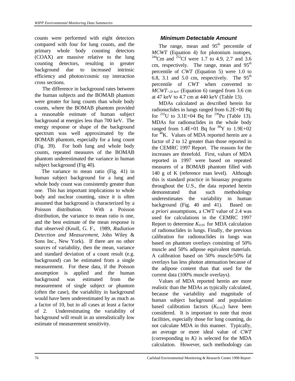counts were performed with eight detectors compared with four for lung counts, and the primary whole body counting detectors (COAX) are massive relative to the lung counting detectors, resulting in greater background due to increased intrinsic efficiency and photon/cosmic ray interaction cross sections.

 The difference in background rates between the human subjects and the BOMAB phantom were greater for lung counts than whole body counts, where the BOMAB phantom provided a reasonable estimate of human subject background at energies less than 700 keV. The energy response or shape of the background spectrum was well approximated by the BOMAB phantom, especially for a lung count (Fig. 39). For both lung and whole body counts, repeated measures of the BOMAB phantom underestimated the variance in human subject background (Fig 40).

 The variance to mean ratio (Fig. 41) in human subject background for a lung and whole body count was consistently greater than one. This has important implications to whole body and nuclear counting, since it is often assumed that background is characterized by a Poisson distribution. With a Poisson distribution, the variance to mean ratio is one, and the best estimate of the mean response is that observed (Knoll, G. F., 1989*, Radiation Detection and Measurement*, John Wiley & Sons Inc., New York). If there are no other sources of variability, then the mean, variance and standard deviation of a count result (e.g. background) can be estimated from a single measurement. For these data, if the Poisson assumption is applied and the human background was estimated from the measurement of single subject or phantom (often the case), the variability in background would have been underestimated by as much as a factor of 10, but in all cases at least a factor of 2. Underestimating the variability of background will result in an unrealistically low estimate of measurement sensitivity.

#### *Minimum Detectable Amount*

The range, mean and  $95<sup>th</sup>$  percentile of *MCWT* (Equation 4) for plutonium isotopes, <sup>244</sup>Cm and <sup>252</sup>Cf were 1.7 to 4.9, 2.7 and 3.6 cm, respectively. The range, mean and  $95<sup>th</sup>$ percentile of *CWT* (Equation 5) were 1.0 to 6.8, 3.1 and 5.0 cm, respectively. The  $95<sup>th</sup>$ percentile of *CWT* when converted to *MCWT>20 keV* (Equation 6) ranged from 3.6 cm at 47 keV to 4.7 cm at 440 keV (Table 13).

 MDAs calculated as described herein for radionuclides in lungs ranged from 6.2E+00 Bq for  $^{235}$ U to 3.1E+04 Bq for  $^{239}$ Pu (Table 13). MDAs for radionuclides in the whole body ranged from 1.4E+01 Bq for  ${}^{88}Y$  to 1.9E+02 for <sup>40</sup>K. Values of MDA reported herein are a factor of 2 to 12 greater than those reported in the CEMRC 1997 Report. The reasons for the increases are threefold. First, values of MDA reported in 1997 were based on repeated measures of a BOMAB phantom filled with 140 g of K (reference man level). Although this is standard practice in bioassay programs throughout the U.S., the data reported herein demonstrated that such methodology underestimates the variability in human background (Fig. 40 and 41). Based on *a priori* assumptions, a CWT value of 2.4 was used for calculations in the CEMRC 1997 Report to determine  $K_{0.05}$  for MDA calculation of radionuclides in lungs. Finally, the previous calibration for radionuclides in lungs was based on phantom overlays consisting of 50% muscle and 50% adipose equivalent materials. A calibration based on 50% muscle/50% fat overlays has less photon attenuation because of the adipose content than that used for the current data (100% muscle overlays).

 Values of MDA reported herein are more realistic than the MDAs as typically calculated, because the variability and magnitude of human subject background and population based calibration factors  $(K_{0.05})$  have been considered. It is important to note that most facilities, especially those for lung counting, do not calculate MDA in this manner. Typically, an average or more ideal value of *CWT* (corresponding to *K)* is selected for the MDA calculation. However, such methodology can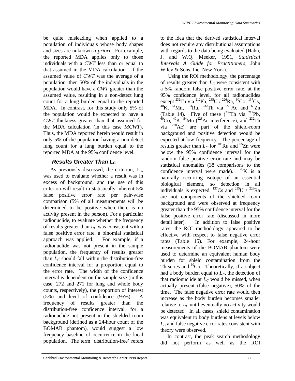be quite misleading when applied to a population of individuals whose body shapes and sizes are unknown *a priori*. For example, the reported MDA applies only to those individuals with a *CWT* less than or equal to that assumed in the MDA calculation. If the assumed value of *CWT* was the average of a population, then 50% of the individuals in the population would have a *CWT* greater than the assumed value, resulting in a non-detect lung count for a lung burden equal to the reported MDA. In contrast, for this study only 5% of the population would be expected to have a *CWT* thickness greater than that assumed for the MDA calculation (in this case *MCWT*). Thus, the MDA reported herein would result in only 5% of the population having a non-detect lung count for a lung burden equal to the reported MDA at the 95% confidence level.

# **Results Greater Than L<sub>C</sub>**

As previously discussed, the criterion,  $L_c$ , was used to evaluate whether a result was in excess of background, and the use of this criterion will result in statistically inherent 5% false positive error rate per pair-wise comparison (5% of all measurements will be determined to be positive when there is no activity present in the person). For a particular radionuclide, to evaluate whether the frequency of results greater than *LC* was consistent with a false positive error rate, a binomial statistical approach was applied. For example, if a radionuclide was not present in the sample population, the frequency of results greater than  $L<sub>C</sub>$  should fall within the distribution-free confidence interval for a proportion equal to the error rate. The width of the confidence interval is dependent on the sample size (in this case, 272 and 271 for lung and whole body counts, respectively), the proportion of interest (5%) and level of confidence (95%). A frequency of results greater than the distribution-free confidence interval, for a radionuclide not present in the shielded room background (defined as a 24-hour count of the BOMAB phantom), would suggest a low frequency baseline of occurrence in the local population. The term 'distribution-free' refers

to the idea that the derived statistical interval does not require any distributional assumptions with regards to the data being evaluated (Hahn, J. and W.Q. Meeker, 1991, *Statistical Intervals A Guide for Practitioners,* John Wiley & Sons, Inc. New York).

 Using the ROI methodology, the percentage of results greater than *LC* were consistent with a 5% random false positive error rate, at the 95% confidence level, for all radionuclides except <sup>232</sup>Th via <sup>212</sup>Pb, <sup>235</sup>U / <sup>226</sup>Ra, <sup>60</sup>Co, <sup>137</sup>Cs,  $^{40}$ K,  $^{54}$ Mn,  $^{103}$ Ru,  $^{232}$ Th via  $^{228}$ Ac and  $^{65}$ Zn (Table 14). Five of these  $(^{232}Th$  via  $^{212}Pb$ ,  ${}^{60}Co$ ,  ${}^{40}K$ ,  ${}^{54}Mn$  ( ${}^{228}Ac$  interference), and  ${}^{232}Th$ via  $^{228}$ Ac) are part of the shield-room background and positive detection would be expected at low frequency. The percentage of results greater than  $L_C$  for <sup>103</sup>Ru and <sup>65</sup>Zn were below the 95% confidence interval for the random false positive error rate and may be statistical anomalies (38 comparisons to the confidence interval were made).  $^{40}$ K is a naturally occurring isotope of an essential biological element, so detection in all individuals is expected.  $^{137}Cs$  and  $^{235}U / ^{226}Ra$ are not components of the shielded room background and were observed at frequency greater than the 95% confidence interval for the false positive error rate (discussed in more detail later). In addition to false positive rates, the ROI methodology appeared to be effective with respect to false negative error rates (Table 15). For example, 24-hour measurements of the BOMAB phantom were used to determine an equivalent human body burden for shield contamination from the Th series and  ${}^{60}Co$ . Theoretically, if a subject had a body burden equal to *LC*, the detection of that radionuclide at  $L<sub>C</sub>$  would be missed, when actually present (false negative), 50% of the time. The false negative error rate would then increase as the body burden becomes smaller relative to  $L<sub>C</sub>$  until eventually no activity would be detected. In all cases, shield contamination was equivalent to body burdens at levels below *LC* and false negative error rates consistent with theory were observed.

In contrast, the peak search methodology did not perform as well as the ROI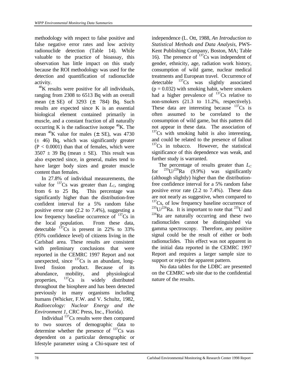methodology with respect to false positive and false negative error rates and low activity radionuclide detection (Table 14). While valuable to the practice of bioassay, this observation has little impact on this study because the ROI methodology was used for the detection and quantification of radionuclide activity.

 $^{40}$ K results were positive for all individuals, ranging from 2308 to 6513 Bq with an overall mean (± SE) of 3293 (± 784) Bq. Such results are expected since K is an essential biological element contained primarily in muscle, and a constant fraction of all naturally occurring K is the radioactive isotope  ${}^{40}$ K. The mean  $^{40}$ K value for males ( $\pm$  SE), was 4730  $(\pm 46)$  Bq, which was significantly greater  $(P < 0.0001)$  than that of females, which were  $3507 \pm 39$  Bq (mean  $\pm$  SE). This result was also expected since, in general, males tend to have larger body sizes and greater muscle content than females.

 In 27.8% of individual measurements, the value for  $^{137}Cs$  was greater than  $L_c$ , ranging from 6 to 25 Bq. This percentage was significantly higher than the distribution-free confident interval for a 5% random false positive error rate (2.2 to 7.4%), suggesting a low frequency baseline occurrence of  $137Cs$  in the local population. From these data, detectable  $^{137}\text{Cs}$  is present in 22% to 33% (95% confidence level) of citizens living in the Carlsbad area. These results are consistent with preliminary conclusions that were reported in the CEMRC 1997 Report and not unexpected, since  $^{137}Cs$  is an abundant, longlived fission product. Because of its abundance, mobility, and physiological properties,  $^{137}Cs$  is widely distributed throughout the biosphere and has been detected previously in many organisms including humans (Whicker, F.W. and V. Schultz, 1982, *Radioecology: Nuclear Energy and the Environment 1*, CRC Press, Inc., Florida).

 Individual <sup>137</sup>Cs results were then compared to two sources of demographic data to determine whether the presence of  $^{137}Cs$  was dependent on a particular demographic or lifestyle parameter using a Chi-square test of independence (L. Ott, 1988, *An Introduction to Statistical Methods and Data Analysis*, PWS-Kent Publishing Company, Boston, MA; Table 16). The presence of  $^{137}Cs$  was independent of gender, ethnicity, age, radiation work history, consumption of wild game, nuclear medical treatments and European travel. Occurrence of detectable  $^{137}Cs$  was slightly associated  $(p = 0.032)$  with smoking habit, where smokers had a higher prevalence of  $^{137}Cs$  relative to non-smokers (21.3 to 11.2%, respectively). These data are interesting because  $137Cs$  is often assumed to be correlated to the consumption of wild game, but this pattern did not appear in these data. The association of  $137Cs$  with smoking habit is also interesting, and could be related to the presence of fallout  $137Cs$  in tobacco. However, the statistical significance of this dependence was weak, and further study is warranted.

The percentage of results greater than  $L_c$ for  $^{235}U/^{226}Ra$  (9.9%) was significantly (although slightly) higher than the distributionfree confidence interval for a 5% random false positive error rate (2.2 to 7.4%). These data are not nearly as suggestive, when compared to  $137Cs$ , of low frequency baseline occurrence of  $^{235}U/^{226}Ra$ . It is important to note that  $^{235}U$  and  $^{226}$ Ra are naturally occurring and these two radionuclides cannot be distinguished via gamma spectroscopy. Therefore, any positive signal could be the result of either or both radionuclides. This effect was not apparent in the initial data reported in the CEMRC 1997 Report and requires a larger sample size to support or reject the apparent pattern.

 No data tables for the LDBC are presented on the CEMRC web site due to the confidential nature of the results.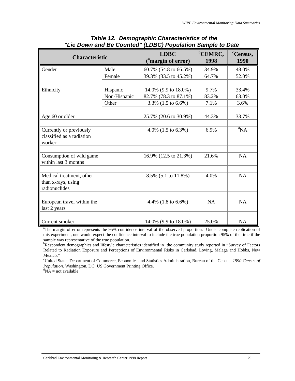| <b>Characteristic</b>                                           |              | <b>LDBC</b><br>( <sup>a</sup> margin of error) | <sup>b</sup> CEMRC,<br>1998 | <sup>c</sup> Census,<br>1990 |
|-----------------------------------------------------------------|--------------|------------------------------------------------|-----------------------------|------------------------------|
| Gender                                                          | Male         | 60.7% (54.8 to 66.5%)                          | 34.9%                       | 48.0%                        |
|                                                                 | Female       | 39.3% (33.5 to 45.2%)                          | 64.7%                       | 52.0%                        |
|                                                                 |              |                                                |                             |                              |
| Ethnicity                                                       | Hispanic     | 14.0% (9.9 to 18.0%)                           | 9.7%                        | 33.4%                        |
|                                                                 | Non-Hispanic | 82.7% (78.3 to 87.1%)                          | 83.2%                       | 63.0%                        |
|                                                                 | Other        | 3.3% (1.5 to 6.6%)                             | 7.1%                        | 3.6%                         |
|                                                                 |              |                                                |                             |                              |
| Age 60 or older                                                 |              | 25.7% (20.6 to 30.9%)                          | 44.3%                       | 33.7%                        |
|                                                                 |              |                                                |                             |                              |
| Currently or previously<br>classified as a radiation<br>worker  |              | 4.0% $(1.5 \text{ to } 6.3\%)$                 | 6.9%                        | ${}^d$ NA                    |
|                                                                 |              |                                                |                             |                              |
| Consumption of wild game<br>within last 3 months                |              | 16.9% (12.5 to 21.3%)                          | 21.6%                       | <b>NA</b>                    |
|                                                                 |              |                                                |                             |                              |
| Medical treatment, other<br>than x-rays, using<br>radionuclides |              | 8.5% (5.1 to 11.8%)                            | 4.0%                        | <b>NA</b>                    |
|                                                                 |              |                                                |                             |                              |
| European travel within the<br>last 2 years                      |              | 4.4% $(1.8 \text{ to } 6.6\%)$                 | <b>NA</b>                   | <b>NA</b>                    |
|                                                                 |              |                                                |                             |                              |
| Current smoker                                                  |              | 14.0% (9.9 to 18.0%)                           | 25.0%                       | <b>NA</b>                    |

#### *Table 12. Demographic Characteristics of the "Lie Down and Be Counted" (LDBC) Population Sample to Date*

<sup>a</sup>The margin of error represents the 95% confidence interval of the observed proportion. Under complete replication of this experiment, one would expect the confidence interval to include the true population proportion 95% of the time if the sample was representative of the true population.

bRespondent demographics and lifestyle characteristics identified in the community study reported in "Survey of Factors Related to Radiation Exposure and Perceptions of Environmental Risks in Carlsbad, Loving, Malaga and Hobbs, New Mexico."

<sup>c</sup>United States Department of Commerce, Economics and Statistics Administration, Bureau of the Census. *1990 Census of Population*. Washington, DC: US Government Printing Office.

 ${}^{d}NA$  = not available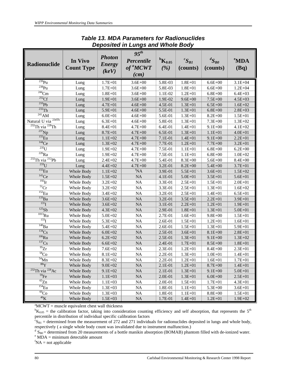|                                              |                   |               | $95^{th}$            |                            |              |              |                  |
|----------------------------------------------|-------------------|---------------|----------------------|----------------------------|--------------|--------------|------------------|
|                                              | In Vivo           | <b>Photon</b> | Percentile           | ${}^{\rm b}{\rm K}_{0.05}$ | ${}^cS_{B1}$ | ${}^dS_{B0}$ | <sup>e</sup> MDA |
| <b>Radionuclide</b>                          | <b>Count Type</b> | <b>Energy</b> | of <sup>a</sup> MCWT | (%)                        | (counts)     |              |                  |
|                                              |                   | (keV)         |                      |                            |              | (counts)     | (Bq)             |
|                                              |                   |               | (cm)                 |                            |              |              |                  |
| $^{239}\!\rm{Pu}$                            | Lung              | $1.7E + 01$   | $3.6E + 00$          | 5.8E-03                    | $1.8E + 01$  | $6.6E + 00$  | $3.1E + 04$      |
| 238p <sub>u</sub>                            | Lung              | $1.7E + 01$   | $3.6E + 00$          | 5.8E-03                    | $1.8E + 01$  | $6.6E + 00$  | $1.2E + 04$      |
| $\frac{244}{\text{Cm}}$                      | Lung              | $1.8E + 01$   | $3.6E + 00$          | 1.1E-02                    | $1.2E + 01$  | $6.8E + 00$  | $6.4E + 03$      |
| $252 \text{Cf}$                              | Lung              | $1.9E + 01$   | $3.6E + 00$          | 1.9E-02                    | $9.6E + 00$  | $7.5E + 00$  | $4.5E + 03$      |
| $^{210}Pb$                                   | Lung              | $4.7E + 01$   | $4.6E + 00$          | 4.5E-01                    | $1.3E + 01$  | $6.5E + 00$  | $1.6E + 02$      |
| $232$ Th                                     | Lung              | 5.9E+01       | $4.6E + 00$          | 5.5E-01                    | $1.3E + 01$  | $6.8E + 00$  | $2.8E + 03$      |
| $\overline{^{241}AM}$                        | Lung              | $6.0E + 01$   | $4.6E + 00$          | 5.6E-01                    | $1.3E + 01$  | $8.2E + 00$  | $1.5E + 01$      |
| Natural U via <sup>234Th</sup>               | Lung              | $6.3E + 01$   | $4.6E + 00$          | 5.8E-01                    | $1.3E + 01$  | $7.3E + 00$  | $1.3E + 02$      |
| $\frac{232}{2}$ Th via $\frac{228}{2}$ Th    | Lung              | $8.4E + 01$   | $4.7E + 00$          | 6.4E-01                    | $1.4E + 01$  | $9.1E + 00$  | $4.1E + 02$      |
| $237$ Np                                     | Lung              | 8.7E+01       | $4.7E + 00$          | 6.5E-01                    | $1.3E + 01$  | $1.1E + 01$  | $4.0E + 01$      |
| $\overline{^{155}\text{Eu}}$                 | Lung              | $1.1E + 02$   | $4.7E + 00$          | 7.1E-01                    | $1.4E + 01$  | $9.1E + 00$  | $2.2E + 01$      |
| $144$ Ce                                     | Lung              | $1.3E + 02$   | $4.7E + 00$          | 7.7E-01                    | $1.2E + 01$  | $7.7E + 00$  | $3.2E + 01$      |
| $\overline{^{235}}$ U                        | Lung              | $1.9E + 02$   | $4.7E + 00$          | 7.5E-01                    | $1.1E + 01$  | $6.8E + 00$  | $6.2E + 00$      |
| $\overline{^{226}\text{Ra}}$                 | Lung              | $1.9E + 02$   | $4.7E + 00$          | 7.5E-01                    | $1.1E + 01$  | $6.8E + 00$  | $1.0E + 02$      |
| $\frac{232}{21}$ Th via $\frac{212}{2}$ Pb   | Lung              | $2.4E + 02$   | $4.7E + 00$          | 5.4E-01                    | $8.3E + 00$  | $5.6E + 00$  | 8.4E+00          |
| 233                                          | Lung              | $4.4E + 02$   | $4.7E + 00$          | 3.2E-01                    | $8.2E + 00$  | 5.4E+00      | $3.7E + 01$      |
| 155 <sub>Eu</sub>                            | Whole Body        | $1.1E + 02$   | <sup>f</sup> NA      | 3.9E-01                    | $5.5E + 01$  | $3.6E + 01$  | $1.5E + 02$      |
| $141$ Ce                                     | Whole Body        | $1.5E + 02$   | <b>NA</b>            | 4.1E-01                    | $5.0E + 01$  | $3.5E + 01$  | 5.6E+01          |
| $192$ <sub>Ir</sub>                          | Whole Body        | $3.2E + 02$   | <b>NA</b>            | 3.3E-01                    | $2.5E + 01$  | $1.5E + 01$  | $2.0E + 01$      |
| $\overline{^{51}Cr}$                         | Whole Body        | $3.2E + 02$   | <b>NA</b>            | 3.3E-01                    | $2.5E + 01$  | $1.3E + 01$  | $1.6E + 02$      |
| $152$ Eu                                     | Whole Body        | $3.4E + 02$   | <b>NA</b>            | 3.2E-01                    | $2.5E + 01$  | $1.4E + 01$  | $6.5E + 01$      |
| $133$ Ba                                     | Whole Body        | $3.6E + 02$   | <b>NA</b>            | 3.2E-01                    | $3.5E + 01$  | $2.2E + 01$  | $3.9E + 01$      |
| $^{131}$ T                                   | Whole Body        | $3.6E + 02$   | <b>NA</b>            | 3.1E-01                    | $2.2E + 01$  | $1.2E + 01$  | $1.9E + 01$      |
| 125Sb                                        | Whole Body        | $4.3E + 02$   | NA                   | 2.9E-01                    | $1.8E + 01$  | $1.3E + 01$  | 5.0E+01          |
| $\overline{^{1013}Ru}$                       | Whole Body        | $5.0E + 02$   | <b>NA</b>            | 2.7E-01                    | $1.6E + 01$  | $9.8E + 00$  | $1.5E + 01$      |
| $133$ <sup>T</sup>                           | Whole Body        | $5.3E + 02$   | <b>NA</b>            | 2.6E-01                    | $1.5E + 01$  | $1.2E + 01$  | $1.6E + 01$      |
| $\overline{^{140}\text{Ba}}$                 | Whole Body        | $5.4E + 02$   | <b>NA</b>            | 2.6E-01                    | $1.5E + 01$  | $1.3E + 01$  | 5.9E+01          |
| 134Cs                                        | Whole Body        | $6.0E + 02$   | <b>NA</b>            | 2.5E-01                    | $3.6E + 01$  | $8.1E + 00$  | $2.8E + 01$      |
| $\frac{106}{Ru}$                             | Whole Body        | $6.2E + 02$   | <b>NA</b>            | 2.5E-01                    | $1.3E + 01$  | $9.1E + 00$  | $1.3E + 02$      |
| 137Cs                                        | Whole Body        | $6.6E + 02$   | <b>NA</b>            | 2.4E-01                    | $1.7E + 01$  | $8.5E + 00$  | $1.8E + 01$      |
| $\overline{\frac{95}{Zr}}$                   | Whole Body        | $7.6E + 02$   | <b>NA</b>            | 2.3E-01                    | $1.2E + 01$  | $8.4E + 00$  | $2.3E + 01$      |
| $\overline{^{58}\rm{Co}}$                    | Whole Body        | $8.1E + 02$   | <b>NA</b>            | 2.2E-01                    | $1.3E + 01$  | $1.0E + 01$  | $1.4E + 01$      |
| $\overline{^{54}Mn}$                         | Whole Body        | $8.3E + 02$   | <b>NA</b>            | $2.2E-01$                  | $1.2E + 01$  | $1.6E + 01$  | $1.7E + 01$      |
| $\overline{{}^{88}{\rm Y}}$                  | <b>Whole Body</b> | $9.0E + 02$   | NA                   | 2.1E-01                    | $1.2E + 01$  | $8.7E + 00$  | $1.4E + 01$      |
| $\sqrt[232]{232}$ Th via $\sqrt[228]{28}$ Ac | Whole Body        | $9.1E + 02$   | $\rm NA$             | 2.1E-01                    | $1.3E + 01$  | $9.1E + 00$  | 5.0E+01          |
| $\overline{^{59}Fe}$                         | Whole Body        | $1.1E + 03$   | $\rm NA$             | 2.0E-01                    | $1.3E + 01$  | $6.0E + 00$  | $2.5E + 01$      |
| $\overline{^{65}Zn}$                         | Whole Body        | $1.1E + 03$   | $\rm NA$             | 2.0E-01                    | $1.5E + 01$  | $1.7E + 01$  | $4.3E + 01$      |
| $154$ Eu                                     | Whole Body        | $1.3E + 03$   | $\rm NA$             | 1.8E-01                    | $1.1E + 01$  | 5.3E+00      | $3.6E + 01$      |
| $\overline{^{60}Co}$                         | Whole Body        | $1.3E + 03$   | $\rm NA$             | 1.8E-01                    | $1.1E + 01$  | $8.8E + 00$  | $1.5E + 01$      |
| $40$ K                                       | Whole Body        | $1.5E + 03$   | NA                   | 1.7E-01                    | $1.4E + 01$  | $1.2E + 01$  | $1.9E + 02$      |

## *Table 13. MDA Parameters for Radionuclides Deposited in Lungs and Whole Body*

 $^{\circ}$ MCWT = muscle equivalent chest wall thickness

 ${}^{\text{b}}\text{K}_{0.05}$  = the calibration factor, taking into consideration counting efficiency and self absorption, that represents the 5<sup>th</sup> percentile in distribution of individual specific calibration factors

 $\epsilon$ <sub>S<sub>B1</sub> = determined from the measurement of 272 and 271 individuals for radionuclides deposited in lungs and whole body,</sub> respectively ( a single whole body count was invalidated due to instrument malfunction.)

 $\sigma$ <sup>d</sup> S<sub>B0</sub> = determined from 20 measurements of a bottle manikin absorption (BOMAB) phantom filled with de-ionized water.  $e^{n}$  MDA = minimum detectable amount

 ${}^f$ NA = not applicable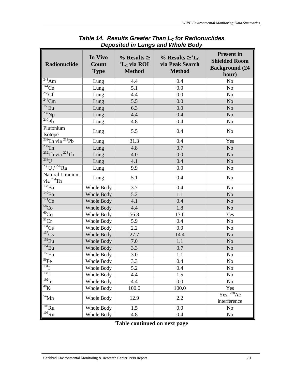| <b>Radionuclide</b>                       | In Vivo<br>Count<br><b>Type</b> | $\%$ Results $\ge$<br>${}^aL_c$ via ROI<br><b>Method</b> | % Results $\geq$ <sup>a</sup> L <sub>C</sub><br>via Peak Search<br><b>Method</b> | <b>Present</b> in<br><b>Shielded Room</b><br><b>Background (24)</b><br>hour) |
|-------------------------------------------|---------------------------------|----------------------------------------------------------|----------------------------------------------------------------------------------|------------------------------------------------------------------------------|
| $\frac{1}{241}$ Am                        | Lung                            | 4.4                                                      | 0.4                                                                              | N <sub>o</sub>                                                               |
| $\overline{^{144}Ce}$                     | Lung                            | 5.1                                                      | 0.0                                                                              | N <sub>o</sub>                                                               |
| $\overline{^{252}C}f$                     | Lung                            | 4.4                                                      | 0.0                                                                              | N <sub>o</sub>                                                               |
| $\overline{^{244}$ Cm                     | Lung                            | 5.5                                                      | 0.0                                                                              | N <sub>o</sub>                                                               |
| $155$ Eu                                  | Lung                            | 6.3                                                      | 0.0                                                                              | N <sub>o</sub>                                                               |
| $\overline{^{237}Np}$                     | Lung                            | 4.4                                                      | 0.4                                                                              | N <sub>o</sub>                                                               |
| $\overline{^{210}\text{Pb}}$              | Lung                            | 4.8                                                      | 0.4                                                                              | N <sub>o</sub>                                                               |
| Plutonium<br>Isotope                      | Lung                            | 5.5                                                      | 0.4                                                                              | N <sub>o</sub>                                                               |
| $\overline{^{232}Th}$ via $^{212}Pb$      | Lung                            | 31.3                                                     | 0.4                                                                              | Yes                                                                          |
| $\overline{^{232}Th}$                     | Lung                            | 4.8                                                      | 0.7                                                                              | N <sub>o</sub>                                                               |
| $\frac{232}{2}$ Th via $\frac{228}{2}$ Th | Lung                            | 4.0                                                      | 0.0                                                                              | N <sub>o</sub>                                                               |
| $\overline{^{233}}\overline{U}$           | Lung                            | 4.1                                                      | 0.4                                                                              | N <sub>o</sub>                                                               |
| $\frac{1}{235}$ U / $^{226}$ Ra           | Lung                            | 9.9                                                      | 0.0                                                                              | N <sub>o</sub>                                                               |
| Natural Uranium<br>via <sup>234</sup> Th  | Lung                            | 5.1                                                      | 0.4                                                                              | N <sub>o</sub>                                                               |
| $\overline{^{133}\text{Ba}}$              | Whole Body                      | 3.7                                                      | 0.4                                                                              | N <sub>o</sub>                                                               |
| $\overline{^{140}\text{Ba}}$              | Whole Body                      | 5.2                                                      | 1.1                                                                              | N <sub>o</sub>                                                               |
| $\overline{^{141}Ce}$                     | Whole Body                      | 4.1                                                      | 0.4                                                                              | No                                                                           |
| $58$ Co                                   | Whole Body                      | 4.4                                                      | 1.8                                                                              | N <sub>o</sub>                                                               |
| $\overline{^{60}C_0}$                     | Whole Body                      | 56.8                                                     | 17.0                                                                             | Yes                                                                          |
| $\overline{{}^{51}\text{Cr}}$             | Whole Body                      | 5.9                                                      | 0.4                                                                              | N <sub>o</sub>                                                               |
| $\overline{^{134}C}$ s                    | Whole Body                      | 2.2                                                      | 0.0                                                                              | N <sub>o</sub>                                                               |
| $\overline{^{137}}Cs$                     | Whole Body                      | 27.7                                                     | 14.4                                                                             | N <sub>o</sub>                                                               |
| $152$ Eu                                  | Whole Body                      | 7.0                                                      | 1.1                                                                              | No                                                                           |
| $154$ <sub>Eu</sub>                       | Whole Body                      | 3.3                                                      | 0.7                                                                              | N <sub>o</sub>                                                               |
| $\overline{\rm ^{155}Eu}$                 | Whole Body                      | 3.0                                                      | 1.1                                                                              | N <sub>o</sub>                                                               |
| $\overline{^{59}Fe}$                      | Whole Body                      | 3.3                                                      | 0.4                                                                              | No                                                                           |
| $^{131}$                                  | Whole Body                      | 5.2                                                      | 0.4                                                                              | No                                                                           |
| $133$ <sup>T</sup>                        | Whole Body                      | 4.4                                                      | 1.5                                                                              | N <sub>o</sub>                                                               |
| $\frac{192}{r}$                           | Whole Body                      | 4.4                                                      | 0.0                                                                              | No                                                                           |
| $40\text{K}$                              | Whole Body                      | 100.0                                                    | 100.0                                                                            | Yes                                                                          |
| $^{54}\rm{Mn}$                            | Whole Body                      | 12.9                                                     | 2.2                                                                              | Yes, <sup>228</sup> Ac<br>interference                                       |
| $\overline{^{103}\text{R}}\text{u}$       | Whole Body                      | 1.5                                                      | 0.0                                                                              | No                                                                           |
| $\overline{^{106}\text{Ru}}$              | Whole Body                      | 4.8                                                      | 0.4                                                                              | No                                                                           |

# *Table 14. Results Greater Than LC for Radionuclides Deposited in Lungs and Whole Body*

# **Table continued on next page**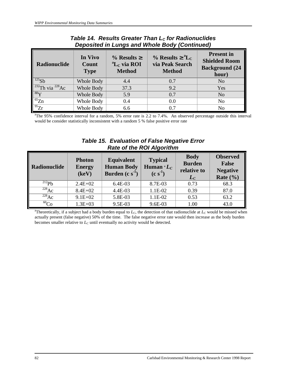| <i>Deposited in Lungs and whole Body (Continued)</i> |                                 |                                                          |                                                                                     |                                                                             |  |
|------------------------------------------------------|---------------------------------|----------------------------------------------------------|-------------------------------------------------------------------------------------|-----------------------------------------------------------------------------|--|
| Radionuclide                                         | In Vivo<br>Count<br><b>Type</b> | $\%$ Results $\ge$<br>${}^aL_c$ via ROI<br><b>Method</b> | $\%$ Results $\geq$ <sup>a</sup> L <sub>C</sub><br>via Peak Search<br><b>Method</b> | <b>Present in</b><br><b>Shielded Room</b><br><b>Background</b> (24<br>hour) |  |
| $^{125}Sb$                                           | Whole Body                      | 4.4                                                      | 0.7                                                                                 | N <sub>0</sub>                                                              |  |
| $232$ Th via $228$ Ac                                | Whole Body                      | 37.3                                                     | 9.2                                                                                 | Yes                                                                         |  |
| $88\text{Y}$                                         | Whole Body                      | 5.9                                                      | 0.7                                                                                 | N <sub>o</sub>                                                              |  |
| $\overline{^{65}Zn}$                                 | Whole Body                      | 0.4                                                      | 0.0                                                                                 | N <sub>0</sub>                                                              |  |
| $\frac{95}{2}$                                       | Whole Body                      | 6.6                                                      | 0.7                                                                                 | No                                                                          |  |

# *Table 14. Results Greater Than LC for Radionuclides Deposited in Lungs and Whole Body (Continued)*

<sup>a</sup>The 95% confidence interval for a random, 5% error rate is 2.2 to 7.4%. An observed percentage outside this interval would be consider statistically inconsistent with a random 5 % false positive error rate

# *Table 15. Evaluation of False Negative Error Rate of the ROI Algorithm*

| Radionuclide | <b>Photon</b><br><b>Energy</b><br>(keV) | <b>Equivalent</b><br><b>Human Body</b><br>Burden $(c s-1)$ | <b>Typical</b><br>Human $^{\circ}L_c$<br>$(c s-1)$ | <b>Body</b><br><b>Burden</b><br>relative to<br>$L_C$ | <b>Observed</b><br><b>False</b><br><b>Negative</b><br>Rate $(\% )$ |
|--------------|-----------------------------------------|------------------------------------------------------------|----------------------------------------------------|------------------------------------------------------|--------------------------------------------------------------------|
| $^{212}Pb$   | $2.4E + 02$                             | 6.4E-03                                                    | 8.7E-03                                            | 0.73                                                 | 68.3                                                               |
| $^{228}Ac$   | $8.4E + 02$                             | 4.4E-03                                                    | 1.1E-02                                            | 0.39                                                 | 87.0                                                               |
| $^{228}Ac$   | $9.1E + 02$                             | 5.8E-03                                                    | $1.1E-02$                                          | 0.53                                                 | 63.2                                                               |
| ${}^{60}Co$  | $1.3E + 03$                             | 9.5E-03                                                    | 9.6E-03                                            | 1.00                                                 | 43.0                                                               |

<sup>a</sup>Theoretically, if a subject had a body burden equal to  $L_c$ , the detection of that radionuclide at  $L_c$  would be missed when actually present (false negative) 50% of the time. The false negative error rate would then increase as the body burden becomes smaller relative to *LC* until eventually no activity would be detected.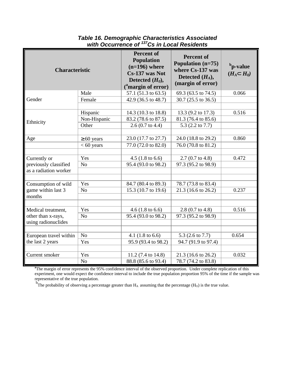| <b>Characteristic</b>  |                 | <b>Percent of</b><br><b>Population</b><br>$(n=196)$ where<br>Cs-137 was Not<br>Detected $(H_0)$ ,<br>$\binom{a}{b}$ margin of error) | <b>Percent of</b><br>Population (n=75)<br>where Cs-137 was<br>Detected $(H_A)$ ,<br>(margin of error) | b <sub>p</sub> -value<br>$(H_A \tilde{I} H_0)$ |
|------------------------|-----------------|--------------------------------------------------------------------------------------------------------------------------------------|-------------------------------------------------------------------------------------------------------|------------------------------------------------|
|                        | Male            | 57.1 (51.3 to 63.5)                                                                                                                  | 69.3 (63.5 to 74.5)                                                                                   | 0.066                                          |
| Gender                 | Female          | 42.9 (36.5 to 48.7)                                                                                                                  | 30.7 (25.5 to 36.5)                                                                                   |                                                |
|                        |                 |                                                                                                                                      |                                                                                                       |                                                |
|                        | Hispanic        | 14.3 (10.3 to 18.8)                                                                                                                  | 13.3 (9.2 to 17.3)                                                                                    | 0.516                                          |
| Ethnicity              | Non-Hispanic    | 83.2 (78.6 to 87.5)                                                                                                                  | 81.3 (76.4 to 85.6)                                                                                   |                                                |
|                        | Other           | $2.6(0.7 \text{ to } 4.4)$                                                                                                           | 5.3 (2.2 to 7.7)                                                                                      |                                                |
|                        |                 |                                                                                                                                      |                                                                                                       |                                                |
| Age                    | $\geq 60$ years | 23.0 (17.7 to 27.7)                                                                                                                  | 24.0 (18.8 to 29.2)                                                                                   | 0.860                                          |
|                        | $< 60$ years    | 77.0 (72.0 to 82.0)                                                                                                                  | 76.0 (70.8 to 81.2)                                                                                   |                                                |
|                        |                 |                                                                                                                                      |                                                                                                       |                                                |
| Currently or           | Yes             | $4.5(1.8 \text{ to } 6.6)$                                                                                                           | $2.7(0.7 \text{ to } 4.8)$                                                                            | 0.472                                          |
| previously classified  | No              | 95.4 (93.0 to 98.2)                                                                                                                  | 97.3 (95.2 to 98.9)                                                                                   |                                                |
| as a radiation worker  |                 |                                                                                                                                      |                                                                                                       |                                                |
|                        |                 |                                                                                                                                      |                                                                                                       |                                                |
| Consumption of wild    | Yes             | 84.7 (80.4 to 89.3)                                                                                                                  | 78.7 (73.8 to 83.4)                                                                                   |                                                |
| game within last 3     | N <sub>o</sub>  | 15.3 (10.7 to 19.6)                                                                                                                  | 21.3 (16.6 to 26.2)                                                                                   | 0.237                                          |
| months                 |                 |                                                                                                                                      |                                                                                                       |                                                |
|                        |                 |                                                                                                                                      |                                                                                                       |                                                |
| Medical treatment,     | Yes             | $4.6$ (1.8 to 6.6)                                                                                                                   | $2.8(0.7 \text{ to } 4.8)$                                                                            | 0.516                                          |
| other than x-rays,     | N <sub>o</sub>  | 95.4 (93.0 to 98.2)                                                                                                                  | 97.3 (95.2 to 98.9)                                                                                   |                                                |
| using radionuclides    |                 |                                                                                                                                      |                                                                                                       |                                                |
|                        |                 |                                                                                                                                      |                                                                                                       |                                                |
| European travel within | No              | 4.1 $(1.8 \text{ to } 6.6)$                                                                                                          | 5.3 (2.6 to 7.7)                                                                                      | 0.654                                          |
| the last 2 years       | Yes             | 95.9 (93.4 to 98.2)                                                                                                                  | 94.7 (91.9 to 97.4)                                                                                   |                                                |
|                        |                 |                                                                                                                                      |                                                                                                       |                                                |
| Current smoker         | Yes             | 11.2 (7.4 to 14.8)                                                                                                                   | 21.3 (16.6 to 26.2)                                                                                   | 0.032                                          |
|                        | N <sub>o</sub>  | 88.8 (85.6 to 93.4)                                                                                                                  | 78.7 (74.2 to 83.8)                                                                                   |                                                |

## *Table 16. Demographic Characteristics Associated with Occurrence of 137Cs in Local Residents*

<sup>a</sup>The margin of error represents the 95% confidence interval of the observed proportion. Under complete replication of this experiment, one would expect the confidence interval to include the true population proportion 95% of the time if the sample was representative of the true population.

 $\hat{b}_{\text{T}}$  The probability of observing a percentage greater than  $H_A$  assuming that the percentage ( $H_0$ ) is the true value.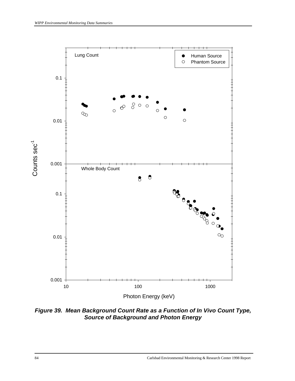

*Figure 39. Mean Background Count Rate as a Function of In Vivo Count Type, Source of Background and Photon Energy*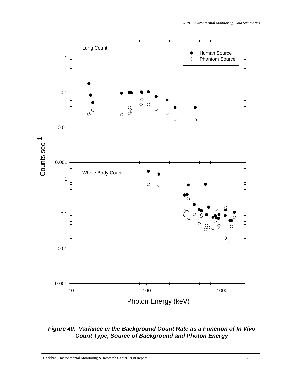

*Figure 40. Variance in the Background Count Rate as a Function of In Vivo Count Type, Source of Background and Photon Energy*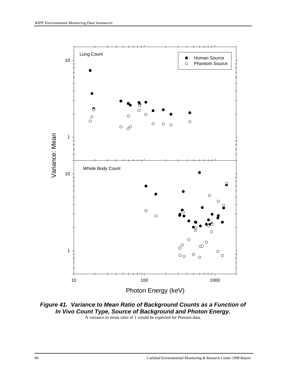

*Figure 41. Variance to Mean Ratio of Background Counts as a Function of In Vivo Count Type, Source of Background and Photon Energy.* A variance to mean ratio of 1 would be expected for Poisson data.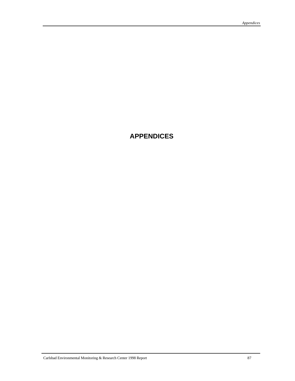# **APPENDICES**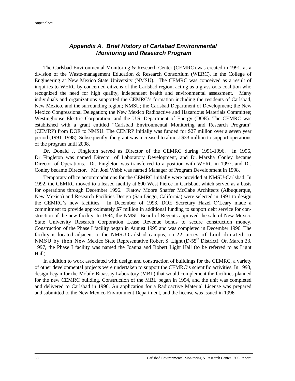# *Appendix A. Brief History of Carlsbad Environmental Monitoring and Research Program*

The Carlsbad Environmental Monitoring & Research Center (CEMRC) was created in 1991, as a division of the Waste-management Education & Research Consortium (WERC), in the College of Engineering at New Mexico State University (NMSU). The CEMRC was conceived as a result of inquiries to WERC by concerned citizens of the Carlsbad region, acting as a grassroots coalition who recognized the need for high quality, independent health and environmental assessment. Many individuals and organizations supported the CEMRC's formation including the residents of Carlsbad, New Mexico, and the surrounding region; NMSU; the Carlsbad Department of Development; the New Mexico Congressional Delegation; the New Mexico Radioactive and Hazardous Materials Committee; Westinghouse Electric Corporation; and the U.S. Department of Energy (DOE). The CEMRC was established with a grant entitled "Carlsbad Environmental Monitoring and Research Program" (CEMRP) from DOE to NMSU. The CEMRP initially was funded for \$27 million over a seven year period (1991–1998). Subsequently, the grant was increased to almost \$33 million to support operations of the program until 2008.

Dr. Donald J. Fingleton served as Director of the CEMRC during 1991-1996. In 1996, Dr. Fingleton was named Director of Laboratory Development, and Dr. Marsha Conley became Director of Operations. Dr. Fingleton was transferred to a position with WERC in 1997, and Dr. Conley became Director. Mr. Joel Webb was named Manager of Program Development in 1998.

Temporary office accommodations for the CEMRC initially were provided at NMSU-Carlsbad. In 1992, the CEMRC moved to a leased facility at 800 West Pierce in Carlsbad, which served as a basis for operations through December 1996. Flatow Moore Shaffer McCabe Architects (Albuquerque, New Mexico) and Research Facilities Design (San Diego, California) were selected in 1991 to design the CEMRC's new facilities. In December of 1993, DOE Secretary Hazel O'Leary made a commitment to provide approximately \$7 million in additional funding to support debt service for construction of the new facility. In 1994, the NMSU Board of Regents approved the sale of New Mexico State University Research Corporation Lease Revenue bonds to secure construction money. Construction of the Phase I facility began in August 1995 and was completed in December 1996. The facility is located adjacent to the NMSU-Carlsbad campus, on 22 acres of land donated to NMSU by then New Mexico State Representative Robert S. Light (D-55<sup>th</sup> District). On March 23, 1997, the Phase I facility was named the Joanna and Robert Light Hall (to be referred to as Light Hall).

In addition to work associated with design and construction of buildings for the CEMRC, a variety of other developmental projects were undertaken to support the CEMRC's scientific activities. In 1993, design began for the Mobile Bioassay Laboratory (MBL) that would complement the facilities planned for the new CEMRC building. Construction of the MBL began in 1994, and the unit was completed and delivered to Carlsbad in 1996. An application for a Radioactive Material License was prepared and submitted to the New Mexico Environment Department, and the license was issued in 1996.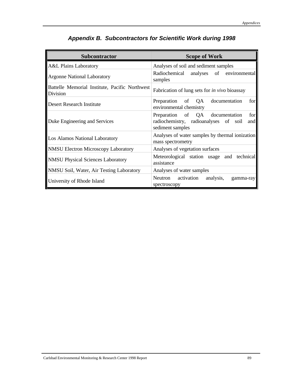| <b>Subcontractor</b>                                       | <b>Scope of Work</b>                                                                                       |
|------------------------------------------------------------|------------------------------------------------------------------------------------------------------------|
| <b>A&amp;L Plains Laboratory</b>                           | Analyses of soil and sediment samples                                                                      |
| <b>Argonne National Laboratory</b>                         | Radiochemical analyses of environmental<br>samples                                                         |
| Battelle Memorial Institute, Pacific Northwest<br>Division | Fabrication of lung sets for <i>in vivo</i> bioassay                                                       |
| <b>Desert Research Institute</b>                           | Preparation of QA documentation<br>for<br>environmental chemistry                                          |
| Duke Engineering and Services                              | Preparation of QA documentation<br>for<br>radiochemistry, radioanalyses of soil<br>and<br>sediment samples |
| Los Alamos National Laboratory                             | Analyses of water samples by thermal ionization<br>mass spectrometry                                       |
| <b>NMSU Electron Microscopy Laboratory</b>                 | Analyses of vegetation surfaces                                                                            |
| <b>NMSU Physical Sciences Laboratory</b>                   | Meteorological station usage and technical<br>assistance                                                   |
| NMSU Soil, Water, Air Testing Laboratory                   | Analyses of water samples                                                                                  |
| University of Rhode Island                                 | Neutron activation analysis,<br>gamma-ray<br>spectroscopy                                                  |

# *Appendix B. Subcontractors for Scientific Work during 1998*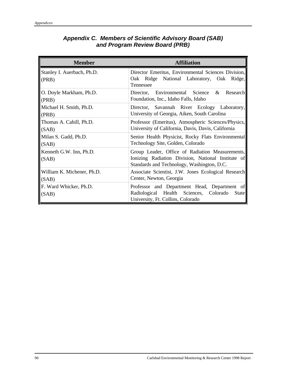| <b>Member</b>                       | <b>Affiliation</b>                                                                                                                                  |
|-------------------------------------|-----------------------------------------------------------------------------------------------------------------------------------------------------|
| Stanley I. Auerbach, Ph.D.<br>(PRB) | Director Emeritus, Environmental Sciences Division,<br>Oak Ridge National Laboratory, Oak Ridge,<br>Tennessee                                       |
| O. Doyle Markham, Ph.D.<br>(PRB)    | Research<br>Director, Environmental Science<br>&<br>Foundation, Inc., Idaho Falls, Idaho                                                            |
| Michael H. Smith, Ph.D.<br>(PRB)    | Director, Savannah River Ecology Laboratory,<br>University of Georgia, Aiken, South Carolina                                                        |
| Thomas A. Cahill, Ph.D.<br>(SAB)    | Professor (Emeritus), Atmospheric Sciences/Physics,<br>University of California, Davis, Davis, California                                           |
| Milan S. Gadd, Ph.D.<br>(SAB)       | Senior Health Physicist, Rocky Flats Environmental<br>Technology Site, Golden, Colorado                                                             |
| Kenneth G.W. Inn, Ph.D.<br>(SAB)    | Group Leader, Office of Radiation Measurements,<br>Ionizing Radiation Division, National Institute of<br>Standards and Technology, Washington, D.C. |
| William K. Michener, Ph.D.<br>(SAB) | Associate Scientist, J.W. Jones Ecological Research<br>Center, Newton, Georgia                                                                      |
| F. Ward Whicker, Ph.D.<br>(SAB)     | Professor and Department Head, Department of<br>Radiological Health Sciences, Colorado<br>State<br>University, Ft. Collins, Colorado                |

# *Appendix C. Members of Scientific Advisory Board (SAB) and Program Review Board (PRB)*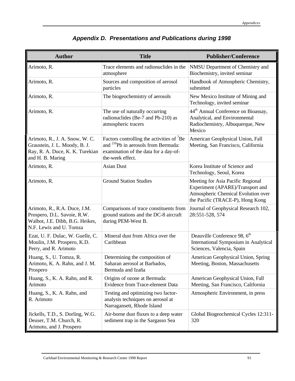| <b>Author</b>                                                                                                             | <b>Title</b>                                                                                                                                                      | <b>Publisher/Conference</b>                                                                                                                      |
|---------------------------------------------------------------------------------------------------------------------------|-------------------------------------------------------------------------------------------------------------------------------------------------------------------|--------------------------------------------------------------------------------------------------------------------------------------------------|
| Arimoto, R.                                                                                                               | Trace elements and radionuclides in the<br>atmosphere                                                                                                             | NMSU Department of Chemistry and<br>Biochemistry, invited seminar                                                                                |
| Arimoto, R.                                                                                                               | Sources and composition of aerosol<br>particles                                                                                                                   | Handbook of Atmospheric Chemistry,<br>submitted                                                                                                  |
| Arimoto, R.                                                                                                               | The biogeochemistry of aerosols                                                                                                                                   | New Mexico Institute of Mining and<br>Technology, invited seminar                                                                                |
| Arimoto, R.                                                                                                               | The use of naturally occurring<br>radionuclides (Be-7 and Pb-210) as<br>atmospheric tracers                                                                       | 44 <sup>th</sup> Annual Conference on Bioassay,<br>Analytical, and Environmental<br>Radiochemistry, Albuquerque, New<br>Mexico                   |
| Arimoto, R., J. A. Snow, W. C.<br>Graustein, J. L. Moody, B. J.<br>Ray, R. A. Duce, K. K. Turekian<br>and H. B. Maring    | Factors controlling the activities of ${}^{7}$ Be<br>and <sup>210</sup> Pb in aerosols from Bermuda:<br>examination of the data for a day-of-<br>the-week effect. | American Geophysical Union, Fall<br>Meeting, San Francisco, California                                                                           |
| Arimoto, R.                                                                                                               | <b>Asian Dust</b>                                                                                                                                                 | Korea Institute of Science and<br>Technology, Seoul, Korea                                                                                       |
| Arimoto, R.                                                                                                               | <b>Ground Station Studies</b>                                                                                                                                     | Meeting for Asia Pacific Regional<br>Experiment (APARE)/Transport and<br>Atmospheric Chemical Evolution over<br>the Pacific (TRACE-P), Hong Kong |
| Arimoto, R., R.A. Duce, J.M.<br>Prospero, D.L. Savoie, R.W.<br>Walbot, J.E. Dibb, B.G. Heikes,<br>N.F. Lewis and U. Tomza | Comparisons of trace constituents from<br>ground stations and the DC-8 aircraft<br>during PEM-West B.                                                             | Journal of Geophysical Research 102,<br>28:551-528, 574                                                                                          |
| Ezat, U. F. Dulac, W. Guelle, C.<br>Moulin, J.M. Prospero, K.D.<br>Perry, and R. Arimoto                                  | Mineral dust from Africa over the<br>Caribbean                                                                                                                    | Deauville Conference 98, 6 <sup>th</sup><br>International Symposium in Analytical<br>Sciences, Valencia, Spain                                   |
| Huang, S., U. Tomza, R.<br>Arimoto, K. A. Rahn, and J. M.<br>Prospero                                                     | Determining the composition of<br>Saharan aerosol at Barbados.<br>Bermuda and Izaña                                                                               | American Geophysical Union, Spring<br>Meeting, Boston, Massachusetts                                                                             |
| Huang, S., K. A. Rahn, and R.<br>Arimoto                                                                                  | Origins of ozone at Bermuda:<br>Evidence from Trace-element Data                                                                                                  | American Geophysical Union, Fall<br>Meeting, San Francisco, California                                                                           |
| Huang, S., K. A. Rahn, and<br>R. Arimoto                                                                                  | Testing and optimizing two factor-<br>analysis techniques on aerosol at<br>Narragansett, Rhode Island                                                             | Atmospheric Environment, in press                                                                                                                |
| Jickells, T.D., S. Dorling, W.G.<br>Deuser, T.M. Church, R.<br>Arimoto, and J. Prospero                                   | Air-borne dust fluxes to a deep water<br>sediment trap in the Sargasso Sea                                                                                        | Global Biogeochemical Cycles 12:311-<br>320                                                                                                      |

# *Appendix D. Presentations and Publications during 1998*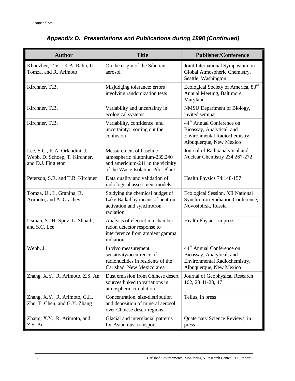| <b>Author</b>                                                                        | <b>Title</b>                                                                                                                        | <b>Publisher/Conference</b>                                                                                                    |
|--------------------------------------------------------------------------------------|-------------------------------------------------------------------------------------------------------------------------------------|--------------------------------------------------------------------------------------------------------------------------------|
| Khodzher, T.V., K.A. Rahn, U.<br>Tomza, and R. Arimoto                               | On the origin of the Siberian<br>aerosol                                                                                            | Joint International Symposium on<br>Global Atmospheric Chemistry,<br>Seattle, Washington                                       |
| Kirchner, T.B.                                                                       | Misjudging tolerance: errors<br>involving randomization tests                                                                       | Ecological Society of America, 83rd<br>Annual Meeting, Baltimore,<br>Maryland                                                  |
| Kirchner, T.B.                                                                       | Variability and uncertainty in<br>ecological systems                                                                                | NMSU Department of Biology,<br>invited seminar                                                                                 |
| Kirchner, T.B.                                                                       | Variability, confidence, and<br>uncertainty: sorting out the<br>confusion                                                           | 44 <sup>th</sup> Annual Conference on<br>Bioassay, Analytical, and<br>Environmental Radiochemistry,<br>Albuquerque, New Mexico |
| Lee, S.C., K.A. Orlandini, J.<br>Webb, D. Schoep, T. Kirchner,<br>and D.J. Fingleton | Measurement of baseline<br>atmospheric plutonium-239,240<br>and americium-241 in the vicinity<br>of the Waste Isolation Pilot Plant | Journal of Radioanalytical and<br>Nuclear Chemistry 234:267-272                                                                |
| Peterson, S.R. and T.B. Kirchner                                                     | Data quality and validation of<br>radiological assessment models                                                                    | Health Physics 74:148-157                                                                                                      |
| Tomza, U., L. Granina, R.<br>Arimoto, and A. Grachev                                 | Studying the chemical budget of<br>Lake Baikal by means of neutron<br>activation and synchrotron<br>radiation                       | Ecological Session, XII National<br>Synchrotron Radiation Conference,<br>Novosibirsk, Russia                                   |
| Usman, S., H. Spitz, L. Shoaib,<br>and S.C. Lee                                      | Analysis of electret ion chamber<br>radon detector response to<br>interference from ambient gamma<br>radiation                      | Health Physics, in press                                                                                                       |
| Webb, J.                                                                             | In vivo measurement<br>sensitivity/occurrence of<br>radionuclides in residents of the<br>Carlsbad, New Mexico area                  | 44 <sup>th</sup> Annual Conference on<br>Bioassay, Analytical, and<br>Environmental Radiochemistry,<br>Albuquerque, New Mexico |
| Zhang, X.Y., R. Arimoto, Z.S. An                                                     | Dust emission from Chinese desert<br>sources linked to variations in<br>atmospheric circulation                                     | Journal of Geophysical Research<br>102, 28:41-28, 47                                                                           |
| Zhang, X.Y., R. Arimoto, G.H.<br>Zhu, T. Chen, and G.Y. Zhang                        | Concentration, size-distribution<br>and deposition of mineral aerosol<br>over Chinese desert regions                                | Tellus, in press                                                                                                               |
| Zhang, X.Y., R. Arimoto, and<br>Z.S. An                                              | Glacial and interglacial patterns<br>for Asian dust transport                                                                       | Quaternary Science Reviews, in<br>press                                                                                        |

# *Appendix D. Presentations and Publications during 1998 (Continued)*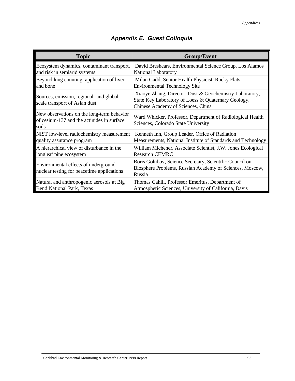| <b>Topic</b>                                                                                      | <b>Group/Event</b>                                                                                                                                   |
|---------------------------------------------------------------------------------------------------|------------------------------------------------------------------------------------------------------------------------------------------------------|
| Ecosystem dynamics, contaminant transport,                                                        | David Breshears, Environmental Science Group, Los Alamos                                                                                             |
| and risk in semiarid systems                                                                      | National Laboratory                                                                                                                                  |
| Beyond lung counting: application of liver                                                        | Milan Gadd, Senior Health Physicist, Rocky Flats                                                                                                     |
| and bone                                                                                          | <b>Environmental Technology Site</b>                                                                                                                 |
| Sources, emission, regional- and global-<br>scale transport of Asian dust                         | Xiaoye Zhang, Director, Dust & Geochemistry Laboratory,<br>State Key Laboratory of Loess & Quaternary Geology,<br>Chinese Academy of Sciences, China |
| New observations on the long-term behavior<br>of cesium-137 and the actinides in surface<br>soils | Ward Whicker, Professor, Department of Radiological Health<br>Sciences, Colorado State University                                                    |
| NIST low-level radiochemistry measurement                                                         | Kenneth Inn, Group Leader, Office of Radiation                                                                                                       |
| quality assurance program                                                                         | Measurements, National Institute of Standards and Technology                                                                                         |
| A hierarchical view of disturbance in the                                                         | William Michener, Associate Scientist, J.W. Jones Ecological                                                                                         |
| longleaf pine ecosystem                                                                           | <b>Research CEMRC</b>                                                                                                                                |
| Environmental effects of underground<br>nuclear testing for peacetime applications                | Boris Golubov, Science Secretary, Scientific Council on<br>Biosphere Problems, Russian Academy of Sciences, Moscow,<br>Russia                        |
| Natural and anthropogenic aerosols at Big                                                         | Thomas Cahill, Professor Emeritus, Department of                                                                                                     |
| Bend National Park, Texas                                                                         | Atmospheric Sciences, University of California, Davis                                                                                                |

# *Appendix E. Guest Colloquia*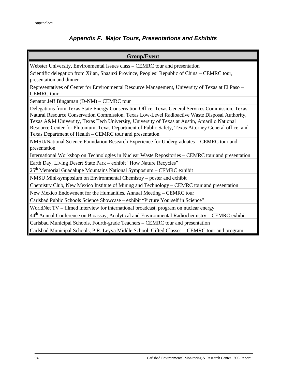# *Appendix F. Major Tours, Presentations and Exhibits*

| <b>Group/Event</b>                                                                                                                                                                                                                                                                                                                                                                                                                                                        |
|---------------------------------------------------------------------------------------------------------------------------------------------------------------------------------------------------------------------------------------------------------------------------------------------------------------------------------------------------------------------------------------------------------------------------------------------------------------------------|
| Webster University, Environmental Issues class - CEMRC tour and presentation                                                                                                                                                                                                                                                                                                                                                                                              |
| Scientific delegation from Xi'an, Shaanxi Province, Peoples' Republic of China – CEMRC tour,<br>presentation and dinner                                                                                                                                                                                                                                                                                                                                                   |
| Representatives of Center for Environmental Resource Management, University of Texas at El Paso -<br><b>CEMRC</b> tour                                                                                                                                                                                                                                                                                                                                                    |
| Senator Jeff Bingaman (D-NM) – CEMRC tour                                                                                                                                                                                                                                                                                                                                                                                                                                 |
| Delegations from Texas State Energy Conservation Office, Texas General Services Commission, Texas<br>Natural Resource Conservation Commission, Texas Low-Level Radioactive Waste Disposal Authority,<br>Texas A&M University, Texas Tech University, University of Texas at Austin, Amarillo National<br>Resource Center for Plutonium, Texas Department of Public Safety, Texas Attorney General office, and<br>Texas Department of Health - CEMRC tour and presentation |
| NMSU/National Science Foundation Research Experience for Undergraduates – CEMRC tour and<br>presentation                                                                                                                                                                                                                                                                                                                                                                  |
| International Workshop on Technologies in Nuclear Waste Repositories – CEMRC tour and presentation                                                                                                                                                                                                                                                                                                                                                                        |
| Earth Day, Living Desert State Park - exhibit "How Nature Recycles"                                                                                                                                                                                                                                                                                                                                                                                                       |
| $25th$ Memorial Guadalupe Mountains National Symposium – CEMRC exhibit                                                                                                                                                                                                                                                                                                                                                                                                    |
| NMSU Mini-symposium on Environmental Chemistry – poster and exhibit                                                                                                                                                                                                                                                                                                                                                                                                       |
| Chemistry Club, New Mexico Institute of Mining and Technology – CEMRC tour and presentation                                                                                                                                                                                                                                                                                                                                                                               |
| New Mexico Endowment for the Humanities, Annual Meeting – CEMRC tour                                                                                                                                                                                                                                                                                                                                                                                                      |
| Carlsbad Public Schools Science Showcase - exhibit "Picture Yourself in Science"                                                                                                                                                                                                                                                                                                                                                                                          |
| WorldNet TV – filmed interview for international broadcast, program on nuclear energy                                                                                                                                                                                                                                                                                                                                                                                     |
| $\parallel$ 44 <sup>th</sup> Annual Conference on Bioassay, Analytical and Environmental Radiochemistry – CEMRC exhibit                                                                                                                                                                                                                                                                                                                                                   |
| Carlsbad Municipal Schools, Fourth-grade Teachers - CEMRC tour and presentation                                                                                                                                                                                                                                                                                                                                                                                           |
| Carlsbad Municipal Schools, P.R. Leyva Middle School, Gifted Classes - CEMRC tour and program                                                                                                                                                                                                                                                                                                                                                                             |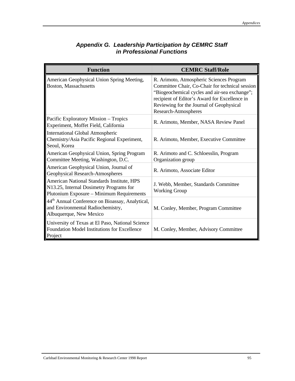| <b>Function</b>                                                                                                                    | <b>CEMRC Staff/Role</b>                                                                                                                                                                                                                                           |
|------------------------------------------------------------------------------------------------------------------------------------|-------------------------------------------------------------------------------------------------------------------------------------------------------------------------------------------------------------------------------------------------------------------|
| American Geophysical Union Spring Meeting,<br>Boston, Massachusetts                                                                | R. Arimoto, Atmospheric Sciences Program<br>Committee Chair, Co-Chair for technical session<br>"Biogeochemical cycles and air-sea exchange";<br>recipient of Editor's Award for Excellence in<br>Reviewing for the Journal of Geophysical<br>Research-Atmospheres |
| Pacific Exploratory Mission - Tropics<br>Experiment, Moffet Field, California                                                      | R. Arimoto, Member, NASA Review Panel                                                                                                                                                                                                                             |
| <b>International Global Atmospheric</b><br>Chemistry/Asia Pacific Regional Experiment,<br>Seoul, Korea                             | R. Arimoto, Member, Executive Committee                                                                                                                                                                                                                           |
| American Geophysical Union, Spring Program<br>Committee Meeting, Washington, D.C.                                                  | R. Arimoto and C. Schloesslin, Program<br>Organization group                                                                                                                                                                                                      |
| American Geophysical Union, Journal of<br>Geophysical Research-Atmospheres                                                         | R. Arimoto, Associate Editor                                                                                                                                                                                                                                      |
| American National Standards Institute, HPS<br>N13.25, Internal Dosimetry Programs for<br>Plutonium Exposure - Minimum Requirements | J. Webb, Member, Standards Committee<br><b>Working Group</b>                                                                                                                                                                                                      |
| 44 <sup>th</sup> Annual Conference on Bioassay, Analytical,<br>and Environmental Radiochemistry,<br>Albuquerque, New Mexico        | M. Conley, Member, Program Committee                                                                                                                                                                                                                              |
| University of Texas at El Paso, National Science<br>Foundation Model Institutions for Excellence<br>Project                        | M. Conley, Member, Advisory Committee                                                                                                                                                                                                                             |

### *Appendix G. Leadership Participation by CEMRC Staff in Professional Functions*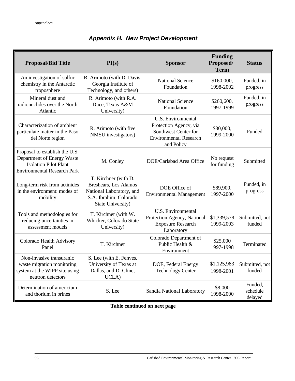| <b>Proposal/Bid Title</b>                                                                                                          | PI(s)                                                                                                                           | <b>Sponsor</b>                                                                                                      | <b>Funding</b><br>Proposed/<br><b>Term</b> | <b>Status</b>                  |
|------------------------------------------------------------------------------------------------------------------------------------|---------------------------------------------------------------------------------------------------------------------------------|---------------------------------------------------------------------------------------------------------------------|--------------------------------------------|--------------------------------|
| An investigation of sulfur<br>chemistry in the Antarctic<br>troposphere                                                            | R. Arimoto (with D. Davis,<br>Georgia Institute of<br>Technology, and others)                                                   | <b>National Science</b><br>Foundation                                                                               | \$160,000,<br>1998-2002                    | Funded, in<br>progress         |
| Mineral dust and<br>radionuclides over the North<br>Atlantic                                                                       | R. Arimoto (with R.A.<br>Duce, Texas A&M<br>University)                                                                         | <b>National Science</b><br>Foundation                                                                               | \$260,600,<br>1997-1999                    | Funded, in<br>progress         |
| Characterization of ambient<br>particulate matter in the Paso<br>del Norte region                                                  | R. Arimoto (with five<br>NMSU investigators)                                                                                    | U.S. Environmental<br>Protection Agency, via<br>Southwest Center for<br><b>Environmental Research</b><br>and Policy | \$30,000,<br>1999-2000                     | Funded                         |
| Proposal to establish the U.S.<br>Department of Energy Waste<br><b>Isolation Pilot Plant</b><br><b>Environmental Research Park</b> | M. Conley                                                                                                                       | DOE/Carlsbad Area Office                                                                                            | No request<br>for funding                  | Submitted                      |
| Long-term risk from actinides<br>in the environment: modes of<br>mobility                                                          | T. Kirchner (with D.<br><b>Breshears, Los Alamos</b><br>National Laboratory, and<br>S.A. Ibrahim, Colorado<br>State University) | DOE Office of<br><b>Environmental Management</b>                                                                    | \$89,900,<br>1997-2000                     | Funded, in<br>progress         |
| Tools and methodologies for<br>reducing uncertainties in<br>assessment models                                                      | T. Kirchner (with W.<br>Whicker, Colorado State<br>University)                                                                  | U.S. Environmental<br>Protection Agency, National<br><b>Exposure Research</b><br>Laboratory                         | \$1,339,578<br>1999-2003                   | Submitted, not<br>funded       |
| Colorado Health Advisory<br>Panel                                                                                                  | T. Kirchner                                                                                                                     | Colorado Department of<br>Public Health &<br>Environment                                                            | \$25,000<br>1997-1998                      | Terminated                     |
| Non-invasive transuranic<br>waste migration monitoring<br>system at the WIPP site using<br>neutron detectors                       | S. Lee (with E. Fenves,<br>University of Texas at<br>Dallas, and D. Cline,<br>UCLA)                                             | DOE, Federal Energy<br><b>Technology Center</b>                                                                     | \$1,125,983<br>1998-2001                   | Submitted, not<br>funded       |
| Determination of americium<br>and thorium in brines                                                                                | S. Lee                                                                                                                          | Sandia National Laboratory                                                                                          | \$8,000<br>1998-2000                       | Funded,<br>schedule<br>delayed |

# *Appendix H. New Project Development*

**Table continued on next page**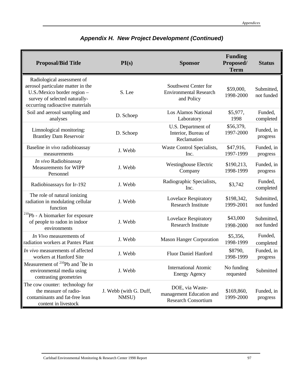| <b>Proposal/Bid Title</b>                                                                                                                                          | PI(s)                           | <b>Sponsor</b>                                                            | <b>Funding</b><br>Proposed/<br><b>Term</b> | <b>Status</b>            |
|--------------------------------------------------------------------------------------------------------------------------------------------------------------------|---------------------------------|---------------------------------------------------------------------------|--------------------------------------------|--------------------------|
| Radiological assessment of<br>aerosol particulate matter in the<br>U.S./Mexico border region -<br>survey of selected naturally-<br>occurring radioactive materials | S. Lee                          | Southwest Center for<br><b>Environmental Research</b><br>and Policy       | \$59,000,<br>1998-2000                     | Submitted,<br>not funded |
| Soil and aerosol sampling and<br>analyses                                                                                                                          | D. Schoep                       | Los Alamos National<br>Laboratory                                         | \$5,977,<br>1998                           | Funded,<br>completed     |
| Limnological monitoring:<br><b>Brantley Dam Reservoir</b>                                                                                                          | D. Schoep                       | U.S. Department of<br>Interior, Bureau of<br>Reclamation                  | \$56,379,<br>1997-2000                     | Funded, in<br>progress   |
| Baseline in vivo radiobioassay<br>measurements                                                                                                                     | J. Webb                         | Waste Control Specialists,<br>Inc.                                        | \$47,916,<br>1997-1999                     | Funded, in<br>progress   |
| In vivo Radiobioassay<br><b>Measurements for WIPP</b><br>Personnel                                                                                                 | J. Webb                         | <b>Westinghouse Electric</b><br>Company                                   | \$190,213,<br>1998-1999                    | Funded, in<br>progress   |
| Radiobioassays for Ir-192                                                                                                                                          | J. Webb                         | Radiographic Specialists,<br>Inc.                                         | \$3,742                                    | Funded,<br>completed     |
| The role of natural ionizing<br>radiation in modulating cellular<br>function                                                                                       | J. Webb                         | Lovelace Respiratory<br><b>Research Institute</b>                         | \$198,342,<br>1999-2001                    | Submitted,<br>not funded |
| $^{210}Pb - A$ biomarker for exposure<br>of people to radon in indoor<br>environments                                                                              | J. Webb                         | <b>Lovelace Respiratory</b><br><b>Research Institute</b>                  | \$43,000<br>1998-2000                      | Submitted,<br>not funded |
| In Vivo measurements of<br>radiation workers at Pantex Plant                                                                                                       | J. Webb                         | <b>Mason Hanger Corporation</b>                                           | \$5,356,<br>1998-1999                      | Funded,<br>completed     |
| In vivo measurements of affected<br>workers at Hanford Site                                                                                                        | J. Webb                         | <b>Fluor Daniel Hanford</b>                                               | \$8790,<br>1998-1999                       | Funded, in<br>progress   |
| Measurement of $^{210}Pb$ and <sup>7</sup> Be in<br>environmental media using<br>contrasting geometries                                                            | J. Webb                         | <b>International Atomic</b><br><b>Energy Agency</b>                       | No funding<br>requested                    | Submitted                |
| The cow counter: technology for<br>the measure of radio-<br>contaminants and fat-free lean<br>content in livestock                                                 | J. Webb (with G. Duff,<br>NMSU) | DOE, via Waste-<br>management Education and<br><b>Research Consortium</b> | \$169,860,<br>1999-2000                    | Funded, in<br>progress   |

# *Appendix H. New Project Development (Continued)*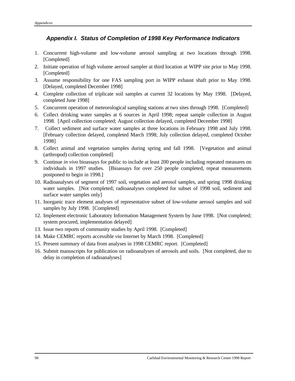### *Appendix I. Status of Completion of 1998 Key Performance Indicators*

- 1. Concurrent high-volume and low-volume aerosol sampling at two locations through 1998. [Completed]
- 2. Initiate operation of high volume aerosol sampler at third location at WIPP site prior to May 1998. [Completed]
- 3. Assume responsibility for one FAS sampling port in WIPP exhaust shaft prior to May 1998. [Delayed, completed December 1998]
- 4. Complete collection of triplicate soil samples at current 32 locations by May 1998. [Delayed, completed June 1998]
- 5. Concurrent operation of meteorological sampling stations at two sites through 1998. [Completed]
- 6. Collect drinking water samples at 6 sources in April 1998; repeat sample collection in August 1998. [April collection completed; August collection delayed, completed December 1998]
- 7. Collect sediment and surface water samples at three locations in February 1998 and July 1998. [February collection delayed, completed March 1998; July collection delayed, completed October 1998]
- 8. Collect animal and vegetation samples during spring and fall 1998. [Vegetation and animal (arthropod) collection completed]
- 9. Continue *in vivo* bioassays for public to include at least 200 people including repeated measures on individuals in 1997 studies. [Bioassays for over 250 people completed, repeat measurements postponed to begin in 1998.]
- 10. Radioanalyses of segment of 1997 soil, vegetation and aerosol samples, and spring 1998 drinking water samples. [Not completed; radioanalyses completed for subset of 1998 soil, sediment and surface water samples only]
- 11. Inorganic trace element analyses of representative subset of low-volume aerosol samples and soil samples by July 1998. [Completed]
- 12. Implement electronic Laboratory Information Management System by June 1998. [Not completed; system procured, implementation delayed]
- 13. Issue two reports of community studies by April 1998. [Completed]
- 14. Make CEMRC reports accessible *via* Internet by March 1998. [Completed]
- 15. Present summary of data from analyses in 1998 CEMRC report. [Completed]
- 16. Submit manuscripts for publication on radioanalyses of aerosols and soils. [Not completed, due to delay in completion of radioanalyses]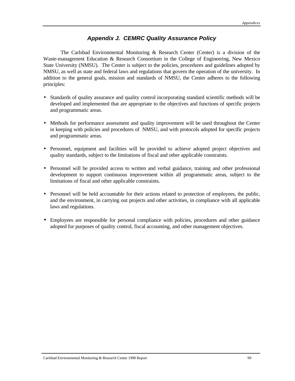### *Appendix J. CEMRC Quality Assurance Policy*

The Carlsbad Environmental Monitoring  $\&$  Research Center (Center) is a division of the Waste-management Education & Research Consortium in the College of Engineering, New Mexico State University (NMSU). The Center is subject to the policies, procedures and guidelines adopted by NMSU, as well as state and federal laws and regulations that govern the operation of the university. In addition to the general goals, mission and standards of NMSU, the Center adheres to the following principles:

- Standards of quality assurance and quality control incorporating standard scientific methods will be developed and implemented that are appropriate to the objectives and functions of specific projects and programmatic areas.
- Methods for performance assessment and quality improvement will be used throughout the Center in keeping with policies and procedures of NMSU, and with protocols adopted for specific projects and programmatic areas.
- Personnel, equipment and facilities will be provided to achieve adopted project objectives and quality standards, subject to the limitations of fiscal and other applicable constraints.
- Personnel will be provided access to written and verbal guidance, training and other professional development to support continuous improvement within all programmatic areas, subject to the limitations of fiscal and other applicable constraints.
- Personnel will be held accountable for their actions related to protection of employees, the public, and the environment, in carrying out projects and other activities, in compliance with all applicable laws and regulations.
- Employees are responsible for personal compliance with policies, procedures and other guidance adopted for purposes of quality control, fiscal accounting, and other management objectives.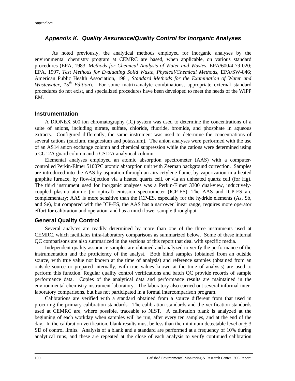#### *Appendix K. Quality Assurance/Quality Control for Inorganic Analyses*

As noted previously, the analytical methods employed for inorganic analyses by the environmental chemistry program at CEMRC are based, when applicable, on various standard procedures (EPA, 1983, M*ethods for Chemical Analysis of Water and Wastes,* EPA/600/4-79-020; EPA, 1997, *Test Methods for Evaluating Solid Waste, Physical/Chemical Methods*, EPA/SW-846; American Public Health Association, 1981, *Standard Methods for the Examination of Water and Wastewater, 15<sup>th</sup> Edition*). For some matrix/analyte combinations, appropriate external standard procedures do not exist, and specialized procedures have been developed to meet the needs of the WIPP EM.

#### **Instrumentation**

A DIONEX 500 ion chromatography (IC) system was used to determine the concentrations of a suite of anions, including nitrate, sulfate, chloride, fluoride, bromide, and phosphate in aqueous extracts. Configured differently, the same instrument was used to determine the concentrations of several cations (calcium, magnesium and potassium). The anion analyses were performed with the use of an AS14 anion exchange column and chemical suppression while the cations were determined using a CG12A guard column and a CS12A analytical column.

Elemental analyses employed an atomic absorption spectrometer (AAS) with a computercontrolled Perkin-Elmer 5100PC atomic absorption unit with Zeeman background correction. Samples are introduced into the AAS by aspiration through an air/acetylene flame, by vaporization in a heated graphite furnace, by flow-injection via a heated quartz cell, or via an unheated quartz cell (for Hg). The third instrument used for inorganic analyses was a Perkin-Elmer 3300 dual-view, inductivelycoupled plasma atomic (or optical) emission spectrometer (ICP-ES). The AAS and ICP-ES are complementary; AAS is more sensitive than the ICP-ES, especially for the hydride elements (As, Sb, and Se), but compared with the ICP-ES, the AAS has a narrower linear range, requires more operator effort for calibration and operation, and has a much lower sample throughput.

#### **General Quality Control**

Several analytes are readily determined by more than one of the three instruments used at CEMRC, which facilitates intra-laboratory comparisons as summarized below. Some of these internal QC comparisons are also summarized in the sections of this report that deal with specific media.

Independent quality assurance samples are obtained and analyzed to verify the performance of the instrumentation and the proficiency of the analyst. Both blind samples (obtained from an outside source, with true value not known at the time of analysis) and reference samples (obtained from an outside source or prepared internally, with true values known at the time of analysis) are used to perform this function. Regular quality control verifications and batch QC provide records of sample performance data. Copies of the analytical data and performance results are maintained in the environmental chemistry instrument laboratory. The laboratory also carried out several informal interlaboratory comparisons, but has not participated in a formal intercomparison program.

Calibrations are verified with a standard obtained from a source different from that used in procuring the primary calibration standards. The calibration standards and the verification standards used at CEMRC are, where possible, traceable to NIST. A calibration blank is analyzed at the beginning of each workday when samples will be run, after every ten samples, and at the end of the day. In the calibration verification, blank results must be less than the minimum detectable level or  $+3$ SD of control limits. Analysis of a blank and a standard are performed at a frequency of 10% during analytical runs, and these are repeated at the close of each analysis to verify continued calibration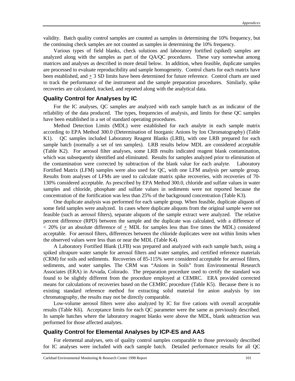validity. Batch quality control samples are counted as samples in determining the 10% frequency, but the continuing check samples are not counted as samples in determining the 10% frequency.

Various types of field blanks, check solutions and laboratory fortified (spiked) samples are analyzed along with the samples as part of the QA/QC procedures. These vary somewhat among matrices and analyses as described in more detail below. In addition, when feasible, duplicate samples are processed to evaluate reproducibility and sample homogeneity. Control charts for each matrix have been established, and + 3 SD limits have been determined for future reference. Control charts are used to track the performance of the instrument and the sample preparation procedures. Similarly, spike recoveries are calculated, tracked, and reported along with the analytical data.

#### **Quality Control for Analyses by IC**

For the IC analyses, QC samples are analyzed with each sample batch as an indicator of the reliability of the data produced. The types, frequencies of analysis, and limits for these QC samples have been established in a set of standard operating procedures.

Method Detection Limits (MDL) were established for each analyte in each sample matrix according to EPA Method 300.0 (Determination of Inorganic Anions by Ion Chromatography) (Table K1). QC samples included Laboratory Reagent Blanks (LRB), with one LRB prepared for each sample batch (normally a set of ten samples). LRB results below MDL are considered acceptable (Table K2). For aerosol filter analyses, some LRB results indicated reagent blank contamination, which was subsequently identified and eliminated. Results for samples analyzed prior to elimination of the contamination were corrected by subtraction of the blank value for each analyte. Laboratory Fortified Matrix (LFM) samples were also used for QC, with one LFM analysis per sample group. Results from analyses of LFMs are used to calculate matrix spike recoveries, with recoveries of 70- 130% considered acceptable. As prescribed by EPA Method 300.0, chloride and sulfate values in water samples and chloride, phosphate and sulfate values in sediments were not reported because the concentration of the fortification was less than 25% of the background concentration (Table K3).

One duplicate analysis was performed for each sample group. When feasible, duplicate aliquots of some field samples were analyzed. In cases where duplicate aliquots from the original sample were not feasible (such as aerosol filters), separate aliquots of the sample extract were analyzed. The relative percent difference (RPD) between the sample and the duplicate was calculated, with a difference of  $<$  20% (or an absolute difference of  $+$  MDL for samples less than five times the MDL) considered acceptable. For aerosol filters, differences between the chloride duplicates were not within limits when the observed values were less than or near the MDL (Table K4).

A Laboratory Fortified Blank (LFB) was prepared and analyzed with each sample batch, using a spiked ultrapure water sample for aerosol filters and water samples, and certified reference materials (CRM) for soils and sediments. Recoveries of 85-115% were considered acceptable for aerosol filters, sediments, and water samples. The CRM was "Anions in Soils" from Environmental Research Associates (ERA) in Arvada, Colorado. The preparation procedure used to certify the standard was found to be slightly different from the procedure employed at CEMRC. ERA provided corrected means for calculations of recoveries based on the CEMRC procedure (Table K5). Because there is no existing standard reference method for extracting solid material for anion analysis by ion chromatography, the results may not be directly comparable.

Low-volume aerosol filters were also analyzed by IC for five cations with overall acceptable results (Table K6). Acceptance limits for each QC parameter were the same as previously described. In sample batches where the laboratory reagent blanks were above the MDL, blank subtraction was performed for those affected analytes.

#### **Quality Control for Elemental Analyses by ICP-ES and AAS**

For elemental analyses, sets of quality control samples comparable to those previously described for IC analyses were included with each sample batch. Detailed performance results for all QC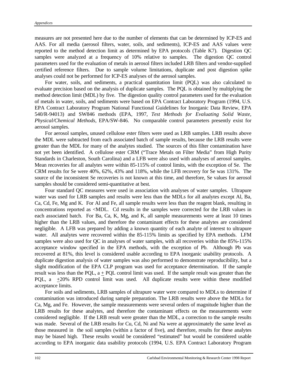measures are not presented here due to the number of elements that can be determined by ICP-ES and AAS. For all media (aerosol filters, water, soils, and sediments), ICP-ES and AAS values were reported to the method detection limit as determined by EPA protocols (Table K7). Digestion QC samples were analyzed at a frequency of 10% relative to samples. The digestion QC control parameters used for the evaluation of metals in aerosol filters included LRB filters and vendor-supplied certified reference filters. Due to sample volume limitations, duplicate and post digestion spike analyses could not be performed for ICP-ES analyses of the aerosol samples.

For water, soils, and sediments, a practical quantitation limit (PQL) was also calculated to evaluate precision based on the analysis of duplicate samples. The PQL is obtained by multiplying the method detection limit (MDL) by five. The digestion quality control parameters used for the evaluation of metals in water, soils, and sediments were based on EPA Contract Laboratory Program (1994, U.S. EPA Contract Laboratory Program National Functional Guidelines for Inorganic Data Review, EPA 540/R-94013) and SW846 methods (EPA, 1997, *Test Methods for Evaluating Solid Waste, Physical/Chemical Methods*, EPA/SW-846. No comparable control parameters presently exist for aerosol samples.

For aerosol samples, unused cellulose ester filters were used as LRB samples. LRB results above the MDL were subtracted from each associated batch of sample results, because the LRB results were greater than the MDL for many of the analytes studied. The sources of this filter contamination have not yet been identified. A cellulose ester CRM ("Trace Metals on Filter Media" from High Purity Standards in Charleston, South Carolina) and a LFB were also used with analyses of aerosol samples. Mean recoveries for all analytes were within 85-115% of control limits, with the exception of Se. The CRM results for Se were 40%, 62%, 43% and 118%, while the LFB recovery for Se was 131%. The source of the inconsistent Se recoveries is not known at this time, and therefore, Se values for aerosol samples should be considered semi-quantitative at best.

Four standard QC measures were used in association with analyses of water samples. Ultrapure water was used for LRB samples and results were less than the MDLs for all analytes except Al, Ba, Ca, Cd, Fe, Mg and K. For Al and Fe, all sample results were less than the reagent blank, resulting in concentrations reported as <MDL. Cd results in the samples were corrected for the LRB values in each associated batch. For Ba, Ca, K, Mg, and K, all sample measurements were at least 10 times higher than the LRB values, and therefore the contaminant effects for these analytes are considered negligible. A LFB was prepared by adding a known quantity of each analyte of interest to ultrapure water. All analytes were recovered within the 85-115% limits as specified by EPA methods. LFM samples were also used for QC in analyses of water samples, with all recoveries within the 85%-115% acceptance window specified in the EPA methods, with the exception of Pb. Although Pb was recovered at 81%, this level is considered usable according to EPA inorganic usability protocols. A duplicate digestion analysis of water samples was also performed to demonstrate reproducibility, but a slight modification of the EPA CLP program was used for acceptance determination. If the sample result was less than the POL,  $a + POL$  control limit was used. If the sample result was greater than the PQL, a +20% RPD control limit was used. All duplicate results were within these modified acceptance limits.

For soils and sediments, LRB samples of ultrapure water were compared to MDLs to determine if contamination was introduced during sample preparation. The LRB results were above the MDLs for Ca, Mg, and Fe. However, the sample measurements were several orders of magnitude higher than the LRB results for these analytes, and therefore the contaminant effects on the measurements were considered negligible. If the LRB result were greater than the MDL, a correction to the sample results was made. Several of the LRB results for Cu, Cd, Ni and Na were at approximately the same level as those measured in the soil samples (within a factor of five), and therefore, results for these analytes may be biased high. These results would be considered "estimated" but would be considered usable according to EPA inorganic data usability protocols (1994, U.S. EPA Contract Laboratory Program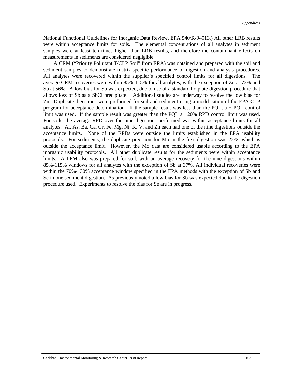National Functional Guidelines for Inorganic Data Review, EPA 540/R-94013.) All other LRB results were within acceptance limits for soils. The elemental concentrations of all analytes in sediment samples were at least ten times higher than LRB results, and therefore the contaminant effects on measurements in sediments are considered negligible.

A CRM ("Priority Pollutant T/CLP Soil" from ERA) was obtained and prepared with the soil and sediment samples to demonstrate matrix-specific performance of digestion and analysis procedures. All analytes were recovered within the supplier's specified control limits for all digestions. The average CRM recoveries were within 85%-115% for all analytes, with the exception of Zn at 73% and Sb at 56%. A low bias for Sb was expected, due to use of a standard hotplate digestion procedure that allows loss of Sb as a SbCl precipitate. Additional studies are underway to resolve the low bias for Zn.Duplicate digestions were preformed for soil and sediment using a modification of the EPA CLP program for acceptance determination. If the sample result was less than the PQL,  $a + PQL$  control limit was used. If the sample result was greater than the POL  $a + 20\%$  RPD control limit was used. For soils, the average RPD over the nine digestions performed was within acceptance limits for all analytes. Al, As, Ba, Ca, Cr, Fe, Mg, Ni, K, V, and Zn each had one of the nine digestions outside the acceptance limits. None of the RPDs were outside the limits established in the EPA usability protocols. For sediments, the duplicate precision for Mo in the first digestion was 22%, which is outside the acceptance limit. However, the Mo data are considered usable according to the EPA inorganic usability protocols. All other duplicate results for the sediments were within acceptance limits. A LFM also was prepared for soil, with an average recovery for the nine digestions within 85%-115% windows for all analytes with the exception of Sb at 37%. All individual recoveries were within the 70%-130% acceptance window specified in the EPA methods with the exception of Sb and Se in one sediment digestion. As previously noted a low bias for Sb was expected due to the digestion procedure used. Experiments to resolve the bias for Se are in progress.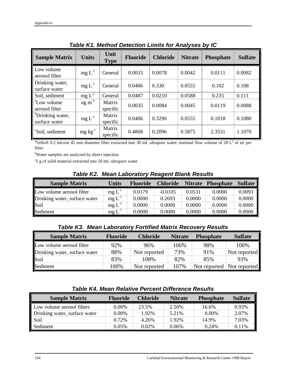| <b>Sample Matrix</b>                          | <b>Units</b>          | Unit<br><b>Type</b> | <b>Fluoride</b> | <b>Chloride</b> | <b>Nitrate</b> | <b>Phosphate</b> | <b>Sulfate</b> |
|-----------------------------------------------|-----------------------|---------------------|-----------------|-----------------|----------------|------------------|----------------|
| Low volume<br>aerosol filter                  | $mg L^{-1}$           | General             | 0.0033          | 0.0078          | 0.0042         | 0.0111           | 0.0082         |
| Drinking water,<br>surface water              | $mg L^{-1}$           | General             | 0.0406          | 0.330           | 0.0555         | 0.102            | 0.108          |
| Soil, sediment                                | $mg L^{-1}$           | General             | 0.0487          | 0.0210          | 0.0588         | 0.235            | 0.111          |
| <sup>a</sup> Low volume<br>aerosol filter     | $\frac{1}{\text{mg}}$ | Matrix<br>specific  | 0.0035          | 0.0084          | 0.0045         | 0.0119           | 0.0088         |
| <sup>b</sup> Drinking water,<br>surface water | $mg L^{-1}$           | Matrix<br>specific  | 0.0406          | 0.3296          | 0.0555         | 0.1018           | 0.1080         |
| <sup>c</sup> Soil, sediment                   | $mg \, kg^{-1}$       | Matrix<br>specific  | 0.4868          | 0.2096          | 0.5875         | 2.3531           | 1.1070         |

*Table K1. Method Detection Limits for Analyses by IC*

 ${}^{a}$ Teflo® 0.2 micron 45 mm diameter filter extracted into 30 mL ultrapure water; nominal flow volume of 28 L<sup>3</sup> of air per filter

<sup>b</sup>Water samples are analyzed by direct injection

c 5 g of solid material extracted into 50 mL ultrapure water

#### *Table K2. Mean Laboratory Reagent Blank Results*

| <b>Sample Matrix</b>          | <b>Units</b> | <b>Fluoride</b> | <b>Chloride</b> | <b>Nitrate</b> | <b>Phosphate</b> | <b>Sulfate</b> |
|-------------------------------|--------------|-----------------|-----------------|----------------|------------------|----------------|
| Low volume aerosol filter     | $mg L^{-1}$  | 0.0179          | $-0.0105$       | 0.0531         | 0.0000           | 0.0093         |
| Drinking water, surface water | $mg L^{-1}$  | 0.0000          | 0.2693          | 0.0000         | 0.0000           | 0.0000         |
| Soil                          | $mg L^{-1}$  | 0.0000          | 0.0000          | 0.0000         | 0.0000           | 0.0000         |
| Sediment                      | $mg L^{-1}$  | 0.0000          | 0.0000          | 0.0000         | 0.0000           | 0.0000         |

### *Table K3. Mean Laboratory Fortified Matrix Recovery Results*

| <b>Sample Matrix</b>          | <b>Fluoride</b> | <b>Chloride</b> | <b>Nitrate</b> | <b>Phosphate</b> | <b>Sulfate</b>            |
|-------------------------------|-----------------|-----------------|----------------|------------------|---------------------------|
| Low volume aerosol filter     | 92%             | 96%             | 106%           | 98%              | 100%                      |
| Drinking water, surface water | 88%             | Not reported    | 73%            | 91%              | Not reported              |
| Soil                          | 83%             | 108%            | 82%            | 85%              | 93%                       |
| Sediment                      | 100%            | Not reported    | 107%           |                  | Not reported Not reported |

#### *Table K4. Mean Relative Percent Difference Results*

| <b>Sample Matrix</b>          | <b>Fluoride</b> | <b>Chloride</b> | <b>Nitrate</b> | <b>Phosphate</b> | <b>Sulfate</b> |
|-------------------------------|-----------------|-----------------|----------------|------------------|----------------|
| Low volume aerosol filters    | $0.00\%$        | 23.5%           | 2.50%          | 16.6%            | 0.93%          |
| Drinking water, surface water | $0.00\%$        | 1.92%           | 5.21%          | $0.00\%$         | 2.07%          |
| Soil                          | 0.72%           | 4.26%           | 1.92%          | 14.9%            | 7.03%          |
| Sediment                      | $0.05\%$        | $0.02\%$        | 0.06%          | 0.24%            | $0.11\%$       |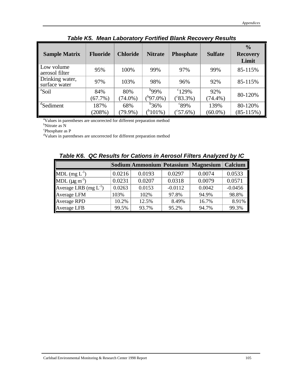| <b>Sample Matrix</b>             | <b>Fluoride</b> | <b>Chloride</b> | <b>Nitrate</b> | <b>Phosphate</b>   | <b>Sulfate</b> | $\frac{0}{0}$<br><b>Recovery</b><br>Limit |
|----------------------------------|-----------------|-----------------|----------------|--------------------|----------------|-------------------------------------------|
| Low volume<br>aerosol filter     | 95%             | 100%            | 99%            | 97%                | 99%            | 85-115%                                   |
| Drinking water,<br>surface water | 97%             | 103%            | 98%            | 96%                | 92%            | 85-115%                                   |
| <sup>a</sup> Soil                | 84%             | 80%             | $^{b}99\%$     | $\degree$ 129%     | 92%            | 80-120%                                   |
|                                  | $(67.7\%)$      | $(74.0\%)$      | $(^{b}97.0\%)$ | $(^{c}83.3\%)$     | $(74.4\%)$     |                                           |
| <sup>d</sup> Sediment            | 187%            | 68%             | $^{b}36%$      | $\degree$ 89%      | 139%           | 80-120%                                   |
|                                  | (208%)          | $(79.9\%)$      | $(^{b}101\%)$  | $(^{\circ}57.6\%)$ | $(60.0\%)$     | $(85-115%)$                               |

*Table K5. Mean Laboratory Fortified Blank Recovery Results*

<sup>a</sup>Values in parentheses are uncorrected for different preparation method

<sup>b</sup>Nitrate as N

<sup>c</sup>Phosphate as P

<sup>d</sup>Values in parentheses are uncorrected for different preparation method

|                              |        |        |           | Sodium Ammonium Potassium Magnesium | Calcium   |
|------------------------------|--------|--------|-----------|-------------------------------------|-----------|
| MDL $(mg L^{-1})$            | 0.0216 | 0.0193 | 0.0297    | 0.0074                              | 0.0533    |
| MDL $(\mu g \text{ m}^{-3})$ | 0.0231 | 0.0207 | 0.0318    | 0.0079                              | 0.0571    |
| Average LRB $(mg L^{-1})$    | 0.0263 | 0.0153 | $-0.0112$ | 0.0042                              | $-0.0456$ |
| Average LFM                  | 103%   | 102%   | 97.8%     | 94.9%                               | 98.8%     |
| <b>Average RPD</b>           | 10.2%  | 12.5%  | 8.49%     | 16.7%                               | 8.91%     |
| Average LFB                  | 99.5%  | 93.7%  | 95.2%     | 94.7%                               | 99.3%     |

*Table K6. QC Results for Cations in Aerosol Filters Analyzed by IC*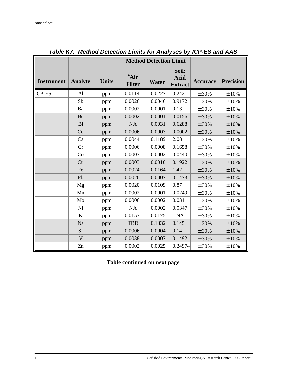|                   |                |              | <b>Method Detection Limit</b>     |              |                                        |                 |                  |
|-------------------|----------------|--------------|-----------------------------------|--------------|----------------------------------------|-----------------|------------------|
| <b>Instrument</b> | <b>Analyte</b> | <b>Units</b> | <sup>a</sup> Air<br><b>Filter</b> | <b>Water</b> | Soil:<br><b>Acid</b><br><b>Extract</b> | <b>Accuracy</b> | <b>Precision</b> |
| <b>ICP-ES</b>     | $\mathbf{A}$   | ppm          | 0.0114                            | 0.0227       | 0.242                                  | ± 30%           | ±10%             |
|                   | Sb             | ppm          | 0.0026                            | 0.0046       | 0.9172                                 | ± 30%           | $\pm$ 10%        |
|                   | Ba             | ppm          | 0.0002                            | 0.0001       | 0.13                                   | ± 30%           | ±10%             |
|                   | Be             | ppm          | 0.0002                            | 0.0001       | 0.0156                                 | ± 30%           | ±10%             |
|                   | Bi             | ppm          | <b>NA</b>                         | 0.0031       | 0.6288                                 | ± 30%           | ±10%             |
|                   | Cd             | ppm          | 0.0006                            | 0.0003       | 0.0002                                 | ± 30%           | $\pm$ 10%        |
|                   | Ca             | ppm          | 0.0044                            | 0.1189       | 2.08                                   | ± 30%           | ±10%             |
|                   | Cr             | ppm          | 0.0006                            | 0.0008       | 0.1658                                 | ± 30%           | ±10%             |
|                   | Co             | ppm          | 0.0007                            | 0.0002       | 0.0440                                 | ± 30%           | ±10%             |
|                   | Cu             | ppm          | 0.0003                            | 0.0010       | 0.1922                                 | ± 30%           | ±10%             |
|                   | Fe             | ppm          | 0.0024                            | 0.0164       | 1.42                                   | ± 30%           | $\pm$ 10%        |
|                   | Pb             | ppm          | 0.0026                            | 0.0007       | 0.1473                                 | ± 30%           | ±10%             |
|                   | Mg             | ppm          | 0.0020                            | 0.0109       | 0.87                                   | ± 30%           | $\pm$ 10%        |
|                   | Mn             | ppm          | 0.0002                            | 0.0001       | 0.0249                                 | ± 30%           | ±10%             |
|                   | Mo             | ppm          | 0.0006                            | 0.0002       | 0.031                                  | ± 30%           | ±10%             |
|                   | Ni             | ppm          | <b>NA</b>                         | 0.0002       | 0.0347                                 | ± 30%           | ±10%             |
|                   | $\bf K$        | ppm          | 0.0153                            | 0.0175       | NA                                     | ± 30%           | ±10%             |
|                   | Na             | ppm          | <b>TBD</b>                        | 0.1332       | 0.145                                  | ± 30%           | ±10%             |
|                   | Sr             | ppm          | 0.0006                            | 0.0004       | 0.14                                   | ± 30%           | ±10%             |
|                   | $\mathbf{V}$   | ppm          | 0.0038                            | 0.0007       | 0.1492                                 | ± 30%           | $\pm$ 10%        |
|                   | Zn             | ppm          | 0.0002                            | 0.0025       | 0.24974                                | ± 30%           | ±10%             |

*Table K7. Method Detection Limits for Analyses by ICP-ES and AAS*

**Table continued on next page**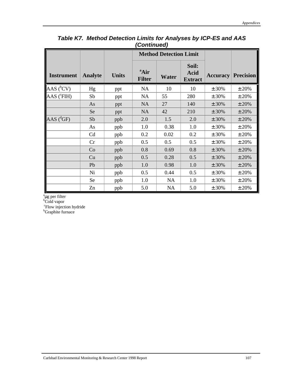|                   |                |              | <u>vuitiinutu </u>                |                               |                                 |                 |                  |
|-------------------|----------------|--------------|-----------------------------------|-------------------------------|---------------------------------|-----------------|------------------|
|                   |                |              |                                   | <b>Method Detection Limit</b> |                                 |                 |                  |
| <b>Instrument</b> | <b>Analyte</b> | <b>Units</b> | <sup>a</sup> Air<br><b>Filter</b> | Water                         | Soil:<br>Acid<br><b>Extract</b> | <b>Accuracy</b> | <b>Precision</b> |
| AAS $(^{b}CV)$    | Hg             | ppt          | <b>NA</b>                         | 10                            | 10                              | ± 30%           | ± 20%            |
| AAS ('FIH)        | Sb             | ppt          | <b>NA</b>                         | 55                            | 280                             | ± 30%           | ±20%             |
|                   | As             | ppt          | <b>NA</b>                         | 27                            | 140                             | ± 30%           | ± 20%            |
|                   | Se             | ppt          | <b>NA</b>                         | 42                            | 210                             | ± 30%           | ± 20%            |
| $AAS(^{d}GF)$     | Sb             | ppb          | 2.0                               | 1.5                           | 2.0                             | ± 30%           | ± 20%            |
|                   | As             | ppb          | 1.0                               | 0.38                          | 1.0                             | ± 30%           | ±20%             |
|                   | Cd             | ppb          | 0.2                               | 0.02                          | 0.2                             | ± 30%           | ±20%             |
|                   | Cr             | ppb          | 0.5                               | 0.5                           | 0.5                             | ± 30%           | ±20%             |
|                   | Co             | ppb          | 0.8                               | 0.69                          | 0.8                             | ± 30%           | ± 20%            |
|                   | Cu             | ppb          | 0.5                               | 0.28                          | 0.5                             | ± 30%           | ± 20%            |
|                   | Pb             | ppb          | 1.0                               | 0.98                          | 1.0                             | ± 30%           | ± 20%            |
|                   | Ni             | ppb          | 0.5                               | 0.44                          | 0.5                             | ± 30%           | ±20%             |
|                   | <b>Se</b>      | ppb          | 1.0                               | <b>NA</b>                     | 1.0                             | ± 30%           | ± 20%            |
|                   | Zn             | ppb          | 5.0                               | <b>NA</b>                     | 5.0                             | ± 30%           | $\pm$ 20%        |

### *Table K7. Method Detection Limits for Analyses by ICP-ES and AAS (Continued)*

<sup>a</sup>μg per filter

<sup>b</sup>Cold vapor

<sup>c</sup>Flow injection hydride

<sup>b</sup>Graphite furnace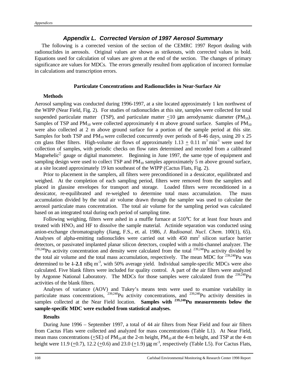#### *Appendix L. Corrected Version of 1997 Aerosol Summary*

 The following is a corrected version of the section of the CEMRC 1997 Report dealing with radionuclides in aerosols. Original values are shown as strikeouts, with corrected values in bold. Equations used for calculation of values are given at the end of the section. The changes of primary significance are values for MDCs. The errors generally resulted from application of incorrect formulae in calculations and transcription errors.

#### **Particulate Concentrations and Radionuclides in Near-Surface Air**

#### **Methods**

Aerosol sampling was conducted during 1996-1997, at a site located approximately 1 km northwest of the WIPP (Near Field, Fig. 2). For studies of radionuclides at this site, samples were collected for total suspended particulate matter (TSP), and particulate matter  $\langle 10 \text{ µm}$  aerodynamic diameter (PM<sub>10</sub>). Samples of TSP and  $PM_{10}$  were collected approximately 4 m above ground surface. Samples of  $PM_{10}$ were also collected at 2 m above ground surface for a portion of the sample period at this site. Samples for both TSP and PM<sub>10</sub> were collected concurrently over periods of 8-46 days, using 20 x 25 cm glass fiber filters. High-volume air flows of approximately  $1.13 + 0.11$  m<sup>3</sup> min<sup>-1</sup> were used for collection of samples, with periodic checks on flow rates determined and recorded from a calibrated Magnehelic<sup>®</sup> gauge or digital manometer. Beginning in June 1997, the same type of equipment and sampling design were used to collect TSP and  $PM_{10}$  samples approximately 5 m above ground surface, at a site located approximately 19 km southeast of the WIPP (Cactus Flats, Fig. 2).

Prior to placement in the samplers, all filters were preconditioned in a dessicator, equilibrated and weighed. At the completion of each sampling period, filters were removed from the samplers and placed in glassine envelopes for transport and storage. Loaded filters were reconditioned in a dessicator, re-equilibrated and re-weighed to determine total mass accumulation. The mass accumulation divided by the total air volume drawn through the sampler was used to calculate the aerosol particulate mass concentration. The total air volume for the sampling period was calculated based on an integrated total during each period of sampling time.

Following weighing, filters were ashed in a muffle furnace at 510°C for at least four hours and treated with  $HNO<sub>3</sub>$  and HF to dissolve the sample material. Actinide separation was conducted using anion-exchange chromatography (Jiang, F.S., et. al. 1986, *J. Radioanal. Nucl. Chem.* 100(1), 65). Analyses of alpha-emitting radionuclides were carried out with 450 mm<sup>2</sup> silicon surface barrier detectors, or passivated implanted planar silicon detectors, coupled with a multi-channel analyzer. The  $239,240$ Pu activity concentration and density were calculated from the total  $239,240$ Pu activity divided by the total air volume and the total mass accumulation, respectively. The mean MDC for  $^{239,240}$ Pu was determined to be  $\pm 2.1$  nBq m<sup>-3</sup>, with 50% average yield. Individual sample-specific MDCs were also calculated. Five blank filters were included for quality control. A part of the air filters were analyzed by Argonne National Laboratory. The MDCs for those samples were calculated from the <sup>239,240</sup>Pu activities of the blank filters.

Analyses of variance (AOV) and Tukey's means tests were used to examine variability in particulate mass concentrations, <sup>239,240</sup>Pu activity concentrations, and <sup>239,240</sup>Pu activity densities in samples collected at the Near Field location. **Samples with 239,240Pu measurements below the sample-specific MDC were excluded from statistical analyses.**

#### **Results**

During June 1996 – September 1997, a total of 44 air filters from Near Field and four air filters from Cactus Flats were collected and analyzed for mass concentrations (Table L1). At Near Field, mean mass concentrations (+SE) of  $PM_{10}$  at the 2-m height,  $PM_{10}$  at the 4-m height, and TSP at the 4-m height were 11.9 (+0.7), 12.2 (+0.6) and 23.0 (+1.9)  $\mu$ g m<sup>-3</sup>, respectively (Table L5). For Cactus Flats,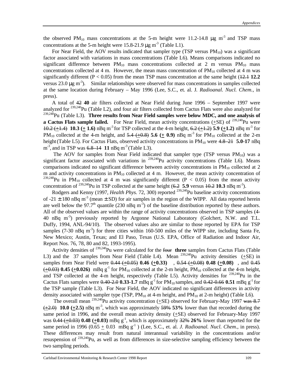the observed PM<sub>10</sub> mass concentrations at the 5-m height were 11.2-14.8  $\mu$ g m<sup>-3</sup> and TSP mass concentrations at the 5-m height were 15.8-21.9  $\mu$ g m<sup>-3</sup> (Table L1).

For Near Field, the AOV results indicated that sampler type (TSP versus  $PM_{10}$ ) was a significant factor associated with variations in mass concentrations (Table L6). Means comparisons indicated no significant difference between  $PM_{10}$  mass concentrations collected at 2 m versus  $PM_{10}$  mass concentrations collected at 4 m. However, the mean mass concentration of  $PM_{10}$  collected at 4 m was significantly different  $(P < 0.05)$  from the mean TSP mass concentration at the same height  $(12.1 12.2)$ versus 23.0 μg m<sup>-3</sup>). Similar relationships were observed for mass concentrations in samples collected at the same location during February – May 1996 (Lee, S.C., et. al. J*. Radioanal. Nucl. Chem.*, in press).

A total of 42 **40** air filters collected at Near Field during June 1996 – September 1997 were analyzed for <sup>239,240</sup>Pu (Table L2), and four air filters collected from Cactus Flats were also analyzed for <sup>239,240</sup>Pu (Table L3). **Three results from Near Field samples were below MDC, and one analysis of a Cactus Flats sample failed.** For Near Field, mean activity concentrations  $(+SE)$  of  $^{239,240}$ Pu were 10.2 ( $+1.4$ ) **10.3** ( $+1.6$ ) nBq m<sup>-3</sup> for TSP collected at the 4-m height,  $6.2$  ( $+1.2$ ) **5.9** ( $+1.2$ ) nBq m<sup>-3</sup> for PM<sub>10</sub> collected at the 4-m height, and  $5.4 (+0.8)$  5.6  $(+ 0.9)$  nBq m<sup>-3</sup> for PM<sub>10</sub> collected at the 2-m height (Table L5). For Cactus Flats, observed activity concentrations in PM<sub>10</sub> were 4.8–21 **5.0-17** nBq m<sup>-3</sup>, and in TSP was 6.8 14 11 nBq m<sup>-3</sup> (Table L3).

The AOV for samples from Near Field indicated that sampler type (TSP versus  $PM_{10}$ ) was a significant factor associated with variations in  $^{239,240}$ Pu activity concentrations (Table L6). Means comparisons indicated no significant difference between activity concentrations in  $PM_{10}$  collected at 2 m and activity concentrations in  $PM_{10}$  collected at 4 m. However, the mean activity concentration of <sup>239,240</sup>Pu in PM<sub>10</sub> collected at 4 m was significantly different (P < 0.05) from the mean activity concentration of  $^{239,240}$ Pu in TSP collected at the same height  $(6.2 \text{ 5.9} \text{ versus } 10.2 \text{ 10.3} \text{ nBq m}^3)$ .

Rodgers and Kenny (1997, *Health Phys.* 72, 300) reported <sup>239,240</sup>Pu baseline activity concentrations of -21  $\pm$  180 nBq m<sup>-3</sup> (mean  $\pm$  SD) for air samples in the region of the WIPP. All data reported herein are well below the 97.7<sup>th</sup> quantile (230 nBq m<sup>-3</sup>) of the baseline distribution reported by these authors. All of the observed values are within the range of activity concentrations observed in TSP samples (4- 40 nBq m-3) previously reported by Argonne National Laboratory (Golchert, N.W. and T.L. Duffy, 1994, ANL-94/10). The observed values also are similar to those reported by EPA for TSP samples  $(7-30 \text{ nBg m}^{-3})$  for three cities within 160-500 miles of the WIPP site, including Santa Fe, New Mexico; Austin, Texas; and El Paso, Texas (U.S. EPA, Office of Radiation and Indoor Air, Report Nos. 76, 78, 80 and 82, 1993-1995).

Activity densities of <sup>239,240</sup>Pu were calculated for the four **three** samples from Cactus Flats (Table L3) and the 37 samples from Near Field (Table L4). Mean  $^{239,240}$ Pu activity densities ( $\pm$ SE) in samples from Near Field were 0.44 (+0.05) **0.46 (+0.33)** , 0.54 (+0.08) **0.48 (+0.08)** , and 0.45  $(+0.03)$  0.45  $(+0.026)$  mBq g<sup>-1</sup> for PM<sub>10</sub> collected at the 2-m height, PM<sub>10</sub> collected at the 4-m height, and TSP collected at the  $\overline{4}$ -m height, respectively (Table L5). Activity densities for  $^{239,240}$ Pu in the Cactus Flats samples were  $0.40 - 2.0$  0.33-1.7 mBq g<sup>-1</sup> for PM<sub>10</sub> samples, and  $0.42 - 0.66$  0.51 mBq g<sup>-1</sup> for the TSP sample (Table L3). For Near Field, the AOV indicated no significant differences in activity density associated with sampler type (TSP,  $PM_{10}$  at 4-m height, and  $PM_{10}$  at 2-m height) (Table L6).

The overall mean <sup>239,240</sup>Pu activity concentration  $(+SE)$  observed for February-May 1997 was 8.7  $(+2.0)$  **10.0**  $(+2.5)$  nBq m<sup>-3</sup>, which was approximately  $59\%$  53% lower than that recorded during the same period in 1996, and the overall mean activity density  $(+SE)$  observed for February-May 1997 was  $0.44$  ( $\pm 0.03$ ) **0.48** ( $\pm 0.03$ ) mBq g<sup>-1</sup>, which is approximately  $32\%$  26% lower than reported for the same period in 1996 ( $0.65 \pm 0.03$  mBq g<sup>-1</sup>) (Lee, S.C., et. al. *J. Radioanal. Nucl. Chem.*, in press). These differences may result from natural interannual variability in the concentrations and/or resuspension of <sup>239,240</sup>Pu, as well as from differences in size-selective sampling efficiency between the two sampling periods.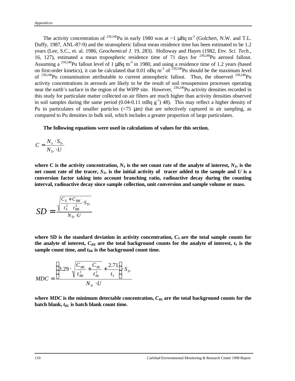The activity concentration of <sup>239,240</sup>Pu in early 1980 was at  $\sim$ 1  $\mu$ Bq m<sup>-3</sup> (Golchert, N.W. and T.L. Duffy, 1987, ANL-87-9) and the stratospheric fallout mean residence time has been estimated to be 1.2 years (Lee, S.C., et. al. 1986, *Geochemical J.* 19, 283). Holloway and Hayes (1982, *Env. Sci. Tech*., 16, 127), estimated a mean tropospheric residence time of 71 days for <sup>239,240</sup>Pu aerosol fallout. Assuming a <sup>239,240</sup>Pu fallout level of 1  $\mu$ Bq m<sup>-3</sup> in 1980, and using a residence time of 1.2 years (based on first-order kinetics), it can be calculated that 0.01 nBq m<sup>-3</sup> of  $\frac{239,240}{P}$ Pu should be the maximum level of  $^{239,240}$ Pu contamination attributable to current atmospheric fallout. Thus, the observed  $^{239,240}$ Pu activity concentrations in aerosols are likely to be the result of soil resuspension processes operating near the earth's surface in the region of the WIPP site. However, <sup>239,240</sup>Pu activity densities recorded in this study for particulate matter collected on air filters are much higher than activity densities observed in soil samples during the same period  $(0.04-0.11 \text{ mBq g}^{-1})$  48). This may reflect a higher density of Pu in particulates of smaller particles  $\left(\frac{5}{15} \text{ }\mu\text{m}\right)$  that are selectively captured in air sampling, as compared to Pu densities in bulk soil, which includes a greater proportion of large particulates.

**The following equations were used in calculations of values for this section.**

$$
C = \frac{N_s \cdot S_{Tr}}{N_{Tr} \cdot U}
$$

where C is the activity concentration,  $N_S$  is the net count rate of the analyte of interest,  $N_T$  is the net count rate of the tracer,  $S_T$  is the initial activity of tracer added to the sample and  $U$  is a **conversion factor taking into account branching ratio, radioactive decay during the counting interval, radioactive decay since sample collection, unit conversion and sample volume or mass.**

$$
SD = \frac{\sqrt{\frac{C_s + C_{BK}}{t_S^2} \cdot S_{Tr}}}{N_{Tr} \cdot U}
$$

where SD is the standard deviation in activity concentration,  $C<sub>S</sub>$  are the total sample counts for the analyte of interest,  $C_{BK}$  are the total background counts for the analyte of interest,  $t_S$  is the sample count time, and  $t_{BK}$  is the background count time.

$$
MDC = \frac{\left(3.29 \cdot \sqrt{\frac{C_{BK}}{t_{BK}^2} + \frac{C_{BL}}{t_{BL}^2}} + \frac{2.71}{t_S}\right) \cdot S_{Tr}}{N_{Tr} \cdot U}
$$

**where** *MDC* **is the minimum detectable concentration,** *CBL* **are the total background counts for the batch blank,** *tBL* **is batch blank count time.**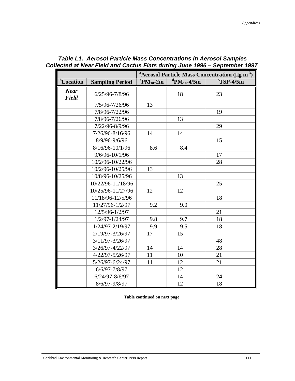|                             |                        | <sup>a</sup> Aerosol Particle Mass Concentration ( $\mu$ g m <sup>-3</sup> ) |                               |                         |  |  |  |
|-----------------------------|------------------------|------------------------------------------------------------------------------|-------------------------------|-------------------------|--|--|--|
| <sup>b</sup> Location       | <b>Sampling Period</b> | ${}^{\rm c}$ PM <sub>10</sub> -2m                                            | ${}^d$ PM <sub>10</sub> -4/5m | $\mathrm{^{e}TSP-}4/5m$ |  |  |  |
| <b>Near</b><br><b>Field</b> | $6/25/96 - 7/8/96$     |                                                                              | 18                            | 23                      |  |  |  |
|                             | 7/5/96-7/26/96         | 13                                                                           |                               |                         |  |  |  |
|                             | 7/8/96-7/22/96         |                                                                              |                               | 19                      |  |  |  |
|                             | 7/8/96-7/26/96         |                                                                              | 13                            |                         |  |  |  |
|                             | 7/22/96-8/9/96         |                                                                              |                               | 29                      |  |  |  |
|                             | 7/26/96-8/16/96        | 14                                                                           | 14                            |                         |  |  |  |
|                             | 8/9/96-9/6/96          |                                                                              |                               | 15                      |  |  |  |
|                             | 8/16/96-10/1/96        | 8.6                                                                          | 8.4                           |                         |  |  |  |
|                             | 9/6/96-10/1/96         |                                                                              |                               | 17                      |  |  |  |
|                             | 10/2/96-10/22/96       |                                                                              |                               | 28                      |  |  |  |
|                             | 10/2/96-10/25/96       | 13                                                                           |                               |                         |  |  |  |
|                             | 10/8/96-10/25/96       |                                                                              | 13                            |                         |  |  |  |
|                             | 10/22/96-11/18/96      |                                                                              |                               | 25                      |  |  |  |
|                             | 10/25/96-11/27/96      | 12                                                                           | 12                            |                         |  |  |  |
|                             | 11/18/96-12/5/96       |                                                                              |                               | 18                      |  |  |  |
|                             | 11/27/96-1/2/97        | 9.2                                                                          | 9.0                           |                         |  |  |  |
|                             | 12/5/96-1/2/97         |                                                                              |                               | 21                      |  |  |  |
|                             | $1/2/97 - 1/24/97$     | 9.8                                                                          | 9.7                           | 18                      |  |  |  |
|                             | 1/24/97-2/19/97        | 9.9                                                                          | 9.5                           | 18                      |  |  |  |
|                             | 2/19/97-3/26/97        | 17                                                                           | 15                            |                         |  |  |  |
|                             | 3/11/97-3/26/97        |                                                                              |                               | 48                      |  |  |  |
|                             | 3/26/97-4/22/97        | 14                                                                           | 14                            | 28                      |  |  |  |
|                             | 4/22/97-5/26/97        | 11                                                                           | 10                            | 21                      |  |  |  |
|                             | 5/26/97-6/24/97        | 11                                                                           | 12                            | 21                      |  |  |  |
|                             | 6/6/97-7/8/97          |                                                                              | 12                            |                         |  |  |  |
|                             | 6/24/97-8/6/97         |                                                                              | 14                            | 24                      |  |  |  |
|                             | 8/6/97-9/8/97          |                                                                              | 12                            | 18                      |  |  |  |

### *Table L1. Aerosol Particle Mass Concentrations in Aerosol Samples Collected at Near Field and Cactus Flats during June 1996 – September 1997*

**Table continued on next page**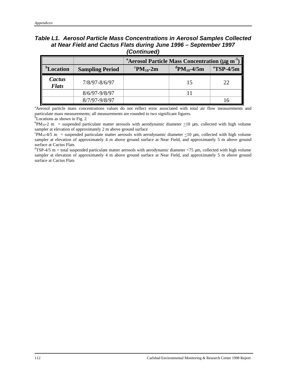#### *Table L1. Aerosol Particle Mass Concentrations in Aerosol Samples Collected at Near Field and Cactus Flats during June 1996 – September 1997 (Continued)*

|                        |                        | <sup>a</sup> Aerosol Particle Mass Concentration (µg m <sup>-3</sup> ) |                                     |                         |  |  |  |  |  |  |
|------------------------|------------------------|------------------------------------------------------------------------|-------------------------------------|-------------------------|--|--|--|--|--|--|
| <sup>b</sup> Location  | <b>Sampling Period</b> | ${}^{\rm c}{\rm PM}_{10}$ -2m                                          | <sup>d</sup> PM <sub>10</sub> -4/5m | $\mathrm{^{e}TSP-}4/5m$ |  |  |  |  |  |  |
| Cactus<br><b>Flats</b> | 7/8/97-8/6/97          |                                                                        |                                     | 22                      |  |  |  |  |  |  |
|                        | $8/6/97 - 9/8/97$      |                                                                        |                                     |                         |  |  |  |  |  |  |
|                        | 8/7/97-9/8/97          |                                                                        |                                     |                         |  |  |  |  |  |  |

aAerosol particle mass concentrations values do not reflect error associated with total air flow measurements and particulate mass measurements; all measurements are rounded to two significant figures.

 $b$ Locations as shown in Fig. 2

 $\rm{^{b}PM_{10-2}}$  m = suspended particulate matter aerosols with aerodynamic diameter  $\leq10$  µm, collected with high volume sampler at elevation of approximately 2 m above ground surface

 $\mathrm{PM}_{10}$ -4/5 m = suspended particulate matter aerosols with aerodynamic diameter  $\leq$ 10 µm, collected with high volume sampler at elevation of approximately 4 m above ground surface at Near Field, and approximately 5 m above ground surface at Cactus Flats

 ${}^{d}TSP-4/5$  m = total suspended particulate matter aerosols with aerodynamic diameter <75  $\mu$ m, collected with high volume sampler at elevation of approximately 4 m above ground surface at Near Field, and approximately 5 m above ground surface at Cactus Flats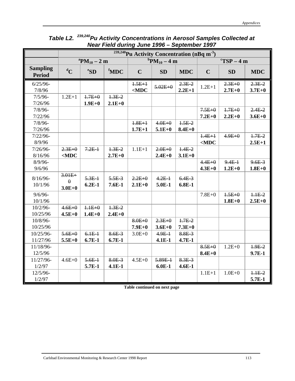|                                  | Ouplus 1997<br><sup>239,240</sup> Pu Activity Concentration (nBq m <sup>-3</sup> ) |                      |            |                             |             |            |                                      |            |            |  |
|----------------------------------|------------------------------------------------------------------------------------|----------------------|------------|-----------------------------|-------------|------------|--------------------------------------|------------|------------|--|
|                                  |                                                                                    |                      |            |                             |             |            | $\mathrm{c}T\mathrm{SP}-4\mathrm{m}$ |            |            |  |
|                                  |                                                                                    | ${}^{a}PM_{10} - 2m$ |            | $\rm{^{b}PM_{10}} - 4 \, m$ |             |            |                                      |            |            |  |
| <b>Sampling</b><br><b>Period</b> | ${}^dC$                                                                            | eSD                  | fMDC       | $\mathbf C$                 | <b>SD</b>   | <b>MDC</b> | $\mathbf C$                          | <b>SD</b>  | <b>MDC</b> |  |
| $6/25/96$ -                      |                                                                                    |                      |            | $1.5E+1$                    | $5.02E + 0$ | $2.3E-2$   | $1.2E + 1$                           | $2.3E + 0$ | $2.3E-2$   |  |
| 7/8/96                           |                                                                                    |                      |            | $<$ MDC                     |             | $2.2E+1$   |                                      | $2.7E+0$   | $3.7E+0$   |  |
| $7/5/96 -$                       | $1.2E + 1$                                                                         | $1.7E + 0$           | $1.3E-2$   |                             |             |            |                                      |            |            |  |
| 7/26/96                          |                                                                                    | $1.9E+0$             | $2.1E+0$   |                             |             |            |                                      |            |            |  |
| $7/8/96 -$                       |                                                                                    |                      |            |                             |             |            | $7.5E + 0$                           | $1.7E + 0$ | $2.4E-2$   |  |
| 7/22/96                          |                                                                                    |                      |            |                             |             |            | $7.2E+0$                             | $2.2E+0$   | $3.6E + 0$ |  |
| $7/8/96 -$                       |                                                                                    |                      |            | $1.8E + 1$                  | $4.0E + 0$  | $1.5E-2$   |                                      |            |            |  |
| 7/26/96                          |                                                                                    |                      |            | $1.7E+1$                    | $5.1E+0$    | $8.4E + 0$ |                                      |            |            |  |
| $7/22/96-$                       |                                                                                    |                      |            |                             |             |            | $1.4E + 1$                           | $4.9E + 0$ | $1.7E-2$   |  |
| 8/9/96                           |                                                                                    |                      |            |                             |             |            | $<$ MDC                              |            | $2.5E+1$   |  |
| $7/26/96$ -                      | $2.3E + 0$                                                                         | $7.2E-1$             | $1.3E-2$   | $1.1E+1$                    | $2.0E + 0$  | $1.4E-2$   |                                      |            |            |  |
| 8/16/96                          | $<$ MDC                                                                            |                      | $2.7E+0$   |                             | $2.4E + 0$  | $3.1E+0$   |                                      |            |            |  |
| $8/9/96$ -                       |                                                                                    |                      |            |                             |             |            | $4.4E + 0$                           | $9.4E+$    | $9.6E-3$   |  |
| 9/6/96                           |                                                                                    |                      |            |                             |             |            | $4.3E + 0$                           | $1.2E + 0$ | $1.8E + 0$ |  |
| $8/16/96$ -                      | $3.01E +$                                                                          | $5.3E+$              | $5.5E-3$   | $2.2E + 0$                  | $4.2E-1$    | $6.4E-3$   |                                      |            |            |  |
| 10/1/96                          | $\theta$                                                                           | $6.2E-1$             | $7.6E-1$   | $2.1E+0$                    | 5.0E-1      | $6.8E-1$   |                                      |            |            |  |
|                                  | $3.0E+0$                                                                           |                      |            |                             |             |            |                                      |            |            |  |
| $9/6/96$ -                       |                                                                                    |                      |            |                             |             |            | $7.8E + 0$                           | $1.5E + 0$ | $1.1E-2$   |  |
| 10/1/96                          |                                                                                    |                      |            |                             |             |            |                                      | $1.8E+0$   | $2.5E+0$   |  |
| $10/2/96 -$                      | $4.6E + 0$                                                                         | $1.1E + 0$           | $1.3E-2$   |                             |             |            |                                      |            |            |  |
| 10/25/96                         | $4.5E + 0$                                                                         | $1.4E + 0$           | $2.4E + 0$ |                             |             |            |                                      |            |            |  |
| 10/8/96-                         |                                                                                    |                      |            | $8.0E + 0$                  | $2.3E + 0$  | $1.7E-2$   |                                      |            |            |  |
| 10/25/96                         |                                                                                    |                      |            | $7.9E + 0$                  | $3.6E + 0$  | $7.3E + 0$ |                                      |            |            |  |
| 10/25/96-                        | $5.6E + 0$                                                                         | $6.1E-1$             | $8.6E-3$   | $3.0E + 0$                  | $4.9E+$     | 8.8E 3     |                                      |            |            |  |
| 11/27/96                         | $5.5E + 0$                                                                         | $6.7E-1$             | $6.7E-1$   |                             | $4.1E-1$    | $4.7E-1$   |                                      |            |            |  |
| 11/18/96-                        |                                                                                    |                      |            |                             |             |            | $8.5E + 0$                           | $1.2E + 0$ | $1.9E-2$   |  |
| 12/5/96                          |                                                                                    |                      |            |                             |             |            | $8.4E + 0$                           |            | $9.7E-1$   |  |
| 11/27/96-                        | $4.6E + 0$                                                                         | $5.6E-1$             | $8.0E-3$   | $4.5E + 0$                  | 5.89E-1     | $8.3E-3$   |                                      |            |            |  |
| 1/2/97                           |                                                                                    | 5.7E-1               | $4.1E-1$   |                             | $6.0E-1$    | $4.6E-1$   |                                      |            |            |  |
| 12/5/96-                         |                                                                                    |                      |            |                             |             |            | $1.1E+1$                             | $1.0E + 0$ | $1.1E-2$   |  |
| 1/2/97                           |                                                                                    |                      |            |                             |             |            |                                      |            | 5.7E-1     |  |

*Table L2. 239,240Pu Activity Concentrations in Aerosol Samples Collected at Near Field during June 1996 – September 1997*

**Table continued on next page**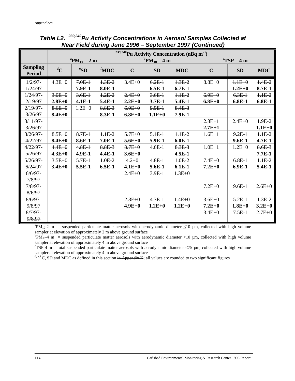|                                  | $\sqrt[239,240]$ Pu Activity Concentration (nBq m <sup>-3</sup> ) |                      |                     |                      |            |            |             |                                      |            |  |  |
|----------------------------------|-------------------------------------------------------------------|----------------------|---------------------|----------------------|------------|------------|-------------|--------------------------------------|------------|--|--|
|                                  |                                                                   | ${}^{a}PM_{10} - 2m$ |                     | ${}^{b}PM_{10} - 4m$ |            |            |             | $\mathrm{C}T\mathrm{SP}-4\mathrm{m}$ |            |  |  |
| <b>Sampling</b><br><b>Period</b> | ${}^dC$                                                           | ${}^e$ SD            | ${}^{\text{f}}$ MDC | $\mathbf C$          | SD         | <b>MDC</b> | $\mathbf C$ | <b>SD</b>                            | <b>MDC</b> |  |  |
| $1/2/97 -$                       | $4.3E + 0$                                                        | $7.0E-1$             | $1.3E-2$            | $3.4E + 0$           | $6.2E-1$   | $1.3E-2$   | $8.8E + 0$  | $1.1E + 0$                           | $1.4E-2$   |  |  |
| 1/24/97                          |                                                                   | 7.9E-1               | 8.0E-1              |                      | $6.5E-1$   | $6.7E-1$   |             | $1.2E+0$                             | 8.7E-1     |  |  |
| $1/24/97 -$                      | $3.0E + 0$                                                        | $3.6E +$             | $1.2E-2$            | $2.4E + 0$           | $3.6E +$   | $1.1E-2$   | $6.9E + 0$  | $6.3E+$                              | $1.1E-2$   |  |  |
| 2/19/97                          | $2.8E + 0$                                                        | $4.1E-1$             | 5.4E-1              | $2.2E+0$             | 3.7E-1     | 5.4E-1     | $6.8E + 0$  | $6.8E-1$                             | $6.8E-1$   |  |  |
| $2/19/97 -$                      | $8.6E + 0$                                                        | $1.2E + 0$           | $8.8E-3$            | $6.9E + 0$           | $9.9E+$    | $8.4E-3$   |             |                                      |            |  |  |
| 3/26/97                          | $8.4E + 0$                                                        |                      | 8.3E-1              | $6.8E + 0$           | $1.1E+0$   | 7.9E-1     |             |                                      |            |  |  |
| $3/11/97 -$                      |                                                                   |                      |                     |                      |            |            | $2.8E + 1$  | $2.4E + 0$                           | $1.9E-2$   |  |  |
| 3/26/97                          |                                                                   |                      |                     |                      |            |            | $2.7E+1$    |                                      | $1.1E+0$   |  |  |
| $3/26/97 -$                      | $8.5E + 0$                                                        | $8.7E-1$             | $1.1E-2$            | $5.7E + 0$           | $5.1E-1$   | $1.1E-2$   | $1.6E+1$    | $9.2E-1$                             | $1.1E-2$   |  |  |
| 4/22/97                          | $8.4E + 0$                                                        | 8.6E-1               | $7.0E-1$            | $5.6E + 0$           | 5.9E-1     | $6.0E-1$   |             | $9.6E-1$                             | $4.7E-1$   |  |  |
| $4/22/97 -$                      | $4.4E + 0$                                                        | $4.8E-1$             | $8.8E-3$            | $3.7E + 0$           | $4.6E-1$   | $8.3E-3$   | $1.0E + 1$  | $1.2E + 0$                           | $8.6E-3$   |  |  |
| 5/26/97                          | $4.3E+0$                                                          | 4.9E-1               | $4.4E-1$            | $3.6E + 0$           |            | $4.5E-1$   |             |                                      | 7.7E-1     |  |  |
| $5/26/97 -$                      | $3.5E + 0$                                                        | $5.7E-1$             | $4.0E-2$            | $4.2 + 0$            | $4.8E-1$   | $1.0E-2$   | $7.4E + 0$  | $6.8E-1$                             | $1.1E-2$   |  |  |
| 6/24/97                          | $3.4E + 0$                                                        | 5.5E-1               | $6.5E-1$            | $4.1E+0$             | 5.6E-1     | $6.1E-1$   | $7.2E+0$    | $6.9E-1$                             | 5.4E-1     |  |  |
| $6/6/97-$                        |                                                                   |                      |                     | $2.4E + 0$           | $3.9E+$    | $1.3E + 0$ |             |                                      |            |  |  |
| 7/8/97                           |                                                                   |                      |                     |                      |            |            |             |                                      |            |  |  |
| $7/8/97-$                        |                                                                   |                      |                     |                      |            |            | $7.2E + 0$  | $9.6E +$                             | $2.6E + 0$ |  |  |
| 8/6/97                           |                                                                   |                      |                     |                      |            |            |             |                                      |            |  |  |
| $8/6/97 -$                       |                                                                   |                      |                     | $2.8E + 0$           | $4.3E-1$   | $1.4E + 0$ | $3.6E + 0$  | $5.2E - 1$                           | $1.3E-2$   |  |  |
| 9/8/97                           |                                                                   |                      |                     | $4.9E+0$             | $1.2E + 0$ | $1.2E+0$   | $7.2E + 0$  | $1.8E+0$                             | $3.2E+0$   |  |  |
| $8/7/97-$                        |                                                                   |                      |                     |                      |            |            | $3.4E + 0$  | $7.5E+$                              | $2.7E + 0$ |  |  |
| 9/8.97                           |                                                                   |                      |                     |                      |            |            |             |                                      |            |  |  |

*Table L2. 239,240Pu Activity Concentrations in Aerosol Samples Collected at Near Field during June 1996 – September 1997 (Continued)*

 ${}^{a}PM_{10}$ -2 m = suspended particulate matter aerosols with aerodynamic diameter  $\leq$ 10 µm, collected with high volume sampler at elevation of approximately 2 m above ground surface

 ${}^{\text{b}}P\text{M}_{10}$ -4 m = suspended particulate matter aerosols with aerodynamic diameter  $\leq$ 10 µm, collected with high volume sampler at elevation of approximately 4 m above ground surface

 $\text{CTSP-4}$  m = total suspended particulate matter aerosols with aerodynamic diameter <75 µm, collected with high volume sampler at elevation of approximately 4 m above ground surface

<sup>d, e, f</sup>C, SD and MDC as defined in this section in Appendix K; all values are rounded to two significant figures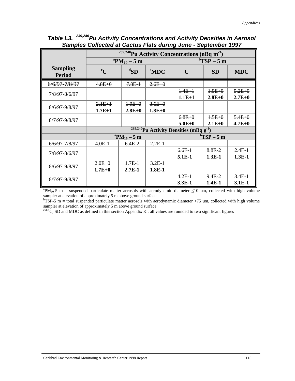|                                  |                        | $\frac{239,240}{239,240}$ Pu Activity Concentrations (nBq m <sup>-3</sup> ) |                        |                                                        |                        |                        |  |  |  |  |  |
|----------------------------------|------------------------|-----------------------------------------------------------------------------|------------------------|--------------------------------------------------------|------------------------|------------------------|--|--|--|--|--|
|                                  |                        | ${}^{\rm a}{\rm PM}_{10} - 5$ m                                             |                        | $\mathrm{^{b}TSP-5~m}$                                 |                        |                        |  |  |  |  |  |
| <b>Sampling</b><br><b>Period</b> | $\rm ^{c}C$            | ${}^{\rm d}$ SD                                                             | ${}^{\rm e}$ MDC       | $\mathbf C$                                            | <b>SD</b>              | <b>MDC</b>             |  |  |  |  |  |
| 6/6/97-7/8/97                    | $4.8E + 0$             | $7.8E+$                                                                     | $2.6E + 0$             |                                                        |                        |                        |  |  |  |  |  |
| 7/8/97-8/6/97                    |                        |                                                                             |                        | $1.4E + 1$<br>$1.1E+1$                                 | $4.9E+0$<br>$2.8E + 0$ | $5.2E + 0$<br>$2.7E+0$ |  |  |  |  |  |
| 8/6/97-9/8/97                    | $2.1E+1$<br>$1.7E+1$   | $1.9E + 0$<br>$2.8E + 0$                                                    | $3.6E + 0$<br>$1.8E+0$ |                                                        |                        |                        |  |  |  |  |  |
| 8/7/97-9/8/97                    |                        |                                                                             |                        | $6.8E + 0$<br>$5.0E + 0$                               | $1.5E + 0$<br>$2.1E+0$ | $5.4E + 0$<br>$4.7E+0$ |  |  |  |  |  |
|                                  |                        |                                                                             |                        | $239,240$ Pu Activity Densities (mBq g <sup>-1</sup> ) |                        |                        |  |  |  |  |  |
|                                  |                        | ${}^{\rm a}{\rm PM}_{10} - 5$ m                                             |                        | ${}^{\rm b}TSP-5$ m                                    |                        |                        |  |  |  |  |  |
| 6/6/97-7/8/97                    | $4.0E+$                | $6.4E-2$                                                                    | $2.2E-1$               |                                                        |                        |                        |  |  |  |  |  |
| 7/8/97-8/6/97                    |                        |                                                                             |                        | $6.6E-1$<br>5.1E-1                                     | $8.8E-2$<br>$1.3E-1$   | $2.4E-1$<br>$1.3E-1$   |  |  |  |  |  |
| 8/6/97-9/8/97                    | $2.0E + 0$<br>$1.7E+0$ | $1.7E-1$<br>$2.7E-1$                                                        | $3.2E+$<br>$1.8E-1$    |                                                        |                        |                        |  |  |  |  |  |
| 8/7/97-9/8/97                    |                        |                                                                             |                        | $4.2E-1$<br>$3.3E-1$                                   | $9.4E-2$<br>$1.4E-1$   | $3.4E - 1$<br>$3.1E-1$ |  |  |  |  |  |

### *Table L3. 239,240Pu Activity Concentrations and Activity Densities in Aerosol Samples Collected at Cactus Flats during June - September 1997*

<sup>a</sup>PM<sub>10</sub>-5 m = suspended particulate matter aerosols with aerodynamic diameter  $\leq$ 10 µm, collected with high volume sampler at elevation of approximately 5 m above ground surface

 $bTSP-5$  m = total suspended particulate matter aerosols with aerodynamic diameter <75  $\mu$ m, collected with high volume sampler at elevation of approximately 5 m above ground surface

 $c, d, e$  C, SD and MDC as defined in this section Appendix K; all values are rounded to two significant figures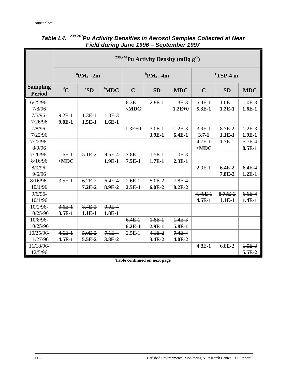|                                  | <sup>239,240</sup> Pu Activity Density (mBq g <sup>-1</sup> ) |                                   |                     |             |                                       |            |             |                                             |            |  |
|----------------------------------|---------------------------------------------------------------|-----------------------------------|---------------------|-------------|---------------------------------------|------------|-------------|---------------------------------------------|------------|--|
|                                  |                                                               | <sup>a</sup> PM <sub>10</sub> -2m |                     |             | ${}^{\mathrm{b}}\mathrm{PM}_{10}$ -4m |            |             | $\mathrm{^{c}T}\overline{\mathrm{SP}}$ -4 m |            |  |
| <b>Sampling</b><br><b>Period</b> | ${}^dC$                                                       | eSD                               | ${}^{\text{f}}$ MDC | $\mathbf C$ | <b>SD</b>                             | <b>MDC</b> | $\mathbf C$ | <b>SD</b>                                   | <b>MDC</b> |  |
| $6/25/96$ -                      |                                                               |                                   |                     | $8.3E +$    | $2.8E-1$                              | $1.3E-3$   | $5.4E-1$    | $1.0E-1$                                    | $4.0E-3$   |  |
| 7/8/96                           |                                                               |                                   |                     | $<$ MDC     |                                       | $1.2E + 0$ | 5.3E-1      | $1.2E-1$                                    | $1.6E-1$   |  |
| $7/5/96 -$                       | $9.2E+$                                                       | $1.3E-1$                          | $1.0E-3$            |             |                                       |            |             |                                             |            |  |
| 7/26/96                          | $9.0E-1$                                                      | $1.5E-1$                          | $1.6E-1$            |             |                                       |            |             |                                             |            |  |
| $7/8/96 -$                       |                                                               |                                   |                     | $1.3E + 0$  | $3.0E-1$                              | $1.2E-3$   | $3.9E+$     | $8.7E-2$                                    | $1.2E-3$   |  |
| 7/22/96                          |                                                               |                                   |                     |             | 3.9E-1                                | $6.4E-1$   | $3.7 - 1$   | $1.1E-1$                                    | $1.9E-1$   |  |
| $7/22/96-$                       |                                                               |                                   |                     |             |                                       |            | $4.7E-1$    | $1.7E-1$                                    | $5.7E-4$   |  |
| 8/9/96                           |                                                               |                                   |                     |             |                                       |            | $<$ MDC     |                                             | 8.5E-1     |  |
| $7/26/96$ -                      | $1.6E-1$                                                      | $5.1E-2$                          | $9.5E-4$            | $7.8E+$     | $1.5E-1$                              | $1.0E-3$   |             |                                             |            |  |
| 8/16/96                          | $<$ MDC                                                       |                                   | $1.9E-1$            | $7.5E-1$    | $1.7E-1$                              | $2.3E-1$   |             |                                             |            |  |
| $8/9/96$ -                       |                                                               |                                   |                     |             |                                       |            | $2.9E-1$    | $6.4E-2$                                    | $6.4E-4$   |  |
| 9/6/96                           |                                                               |                                   |                     |             |                                       |            |             | 7.8E-2                                      | $1.2E-1$   |  |
| $8/16/96$ -                      | $3.5E-1$                                                      | $6.2E-2$                          | $6.4E-4$            | $2.6E +$    | $5.0E-2$                              | $7.8E-4$   |             |                                             |            |  |
| 10/1/96                          |                                                               | $7.2E-2$                          | 8.9E-2              | $2.5E-1$    | $6.0E-2$                              | 8.2E-2     |             |                                             |            |  |
| $9/6/96$ -                       |                                                               |                                   |                     |             |                                       |            | $4.48E - 1$ | 8.78E-2                                     | $6.6E-4$   |  |
| 10/1/96                          |                                                               |                                   |                     |             |                                       |            | $4.5E-1$    | $1.1E-1$                                    | $1.4E-1$   |  |
| $10/2/96$ -                      | $3.6E +$                                                      | $8.4E-2$                          | 9.9E-4              |             |                                       |            |             |                                             |            |  |
| 10/25/96                         | $3.5E-1$                                                      | $1.1E-1$                          | $1.8E-1$            |             |                                       |            |             |                                             |            |  |
| 10/8/96-                         |                                                               |                                   |                     | $6.4E-1$    | $1.8E-1$                              | $1.4E-3$   |             |                                             |            |  |
| 10/25/96                         |                                                               |                                   |                     | $6.2E-1$    | $2.9E-1$                              | 5.8E-1     |             |                                             |            |  |
| 10/25/96-                        | $4.6E+$                                                       | $5.0E-2$                          | $7.1E-4$            | $2.5E-1$    | $4.1E-2$                              | $7.4E-4$   |             |                                             |            |  |
| 11/27/96                         | $4.5E-1$                                                      | 5.5E-2                            | 3.8E-2              |             | $3.4E-2$                              | $4.0E-2$   |             |                                             |            |  |
| 11/18/96-                        |                                                               |                                   |                     |             |                                       |            | $4.8E-1$    | $6.8E-2$                                    | $1.0E-3$   |  |
| 12/5/96                          |                                                               |                                   |                     |             |                                       |            |             |                                             | 5.5E-2     |  |

### *Table L4. 239,240Pu Activity Densities in Aerosol Samples Collected at Near Field during June 1996 – September 1997*

**Table continued on next page**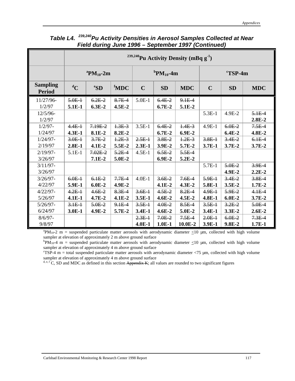|                                  | <sup>239,240</sup> Pu Activity Density (mBq g <sup>-1</sup> ) |                                       |                  |             |                                       |            |             |                     |            |  |
|----------------------------------|---------------------------------------------------------------|---------------------------------------|------------------|-------------|---------------------------------------|------------|-------------|---------------------|------------|--|
|                                  |                                                               | ${}^{\mathrm{a}}\mathrm{PM}_{10}$ -2m |                  |             | ${}^{\mathrm{b}}\mathrm{PM}_{10}$ -4m |            |             | $\mathrm{c}$ TSP-4m |            |  |
| <b>Sampling</b><br><b>Period</b> | $\rm ^dC$                                                     | ${}^e$ SD                             | <sup>f</sup> MDC | $\mathbf C$ | <b>SD</b>                             | <b>MDC</b> | $\mathbf C$ | <b>SD</b>           | <b>MDC</b> |  |
| 11/27/96-                        | $5.0E-1$                                                      | $6.2E-2$                              | $8.7E-4$         | $5.0E-1$    | $6.4E-2$                              | $9.1E-4$   |             |                     |            |  |
| 1/2/97                           | 5.1E-1                                                        | $6.3E-2$                              | $4.5E-2$         |             | $6.7E-2$                              | 5.1E-2     |             |                     |            |  |
| $12/5/96-$                       |                                                               |                                       |                  |             |                                       |            | $5.3E-1$    | 4.9E-2              | $5.1E-4$   |  |
| 1/2/97                           |                                                               |                                       |                  |             |                                       |            |             |                     | $2.8E-2$   |  |
| $1/2/97$ -                       | $4.4E-1$                                                      | $7.19E-2$                             | $1.3E-3$         | $3.5E-1$    | $6.4E-2$                              | $1.4E-3$   | $4.9E-1$    | $6.0E-2$            | $7.5E-4$   |  |
| 1/24/97                          | $4.3E-1$                                                      | 8.1E-2                                | $8.2E-2$         |             | $6.7E-2$                              | $6.9E-2$   |             | $6.4E-2$            | $4.8E-2$   |  |
| $1/24/97 -$                      | $3.0E-1$                                                      | $3.7E-2$                              | $1.2E-3$         | $2.5E+$     | $3.8E-2$                              | $1.2E-3$   | $3.8E-1$    | $3.4E-2$            | $6.1E-4$   |  |
| 2/19/97                          | $2.8E-1$                                                      | $4.1E-2$                              | 5.5E-2           | $2.3E-1$    | 3.9E-2                                | 5.7E-2     | $3.7E-1$    | 3.7E-2              | $3.7E-2$   |  |
| $2/19/97 -$                      | 5.1E-1                                                        | $7.02E - 2$                           | $5.2E-4$         | $4.5E-1$    | $6.5E-2$                              | $5.5E-4$   |             |                     |            |  |
| 3/26/97                          |                                                               | $7.1E-2$                              | 5.0E-2           |             | $6.9E-2$                              | $5.2E-2$   |             |                     |            |  |
| $3/11/97 -$                      |                                                               |                                       |                  |             |                                       |            | $5.7E-1$    | $5.0E-2$            | $3.9E-4$   |  |
| 3/26/97                          |                                                               |                                       |                  |             |                                       |            |             | $4.9E-2$            | $2.2E-2$   |  |
| $3/26/97 -$                      | $6.0E-1$                                                      | $6.1E-2$                              | $7.7E-4$         | $4.0E-1$    | $3.6E-2$                              | $7.6E-4$   | $5.9E+$     | $3.4E-2$            | $3.8E-4$   |  |
| 4/22/97                          | 5.9E-1                                                        | $6.0E-2$                              | 4.9E-2           |             | $4.1E-2$                              | $4.3E-2$   | 5.8E-1      | $3.5E-2$            | $1.7E-2$   |  |
| $4/22/97 -$                      | $4.2E-1$                                                      | $4.6E-2$                              | $8.3E-4$         | $3.6E +$    | $4.5E-2$                              | $8.2E-4$   | $4.9E+$     | $5.9E-2$            | $4.1E-4$   |  |
| 5/26/97                          | $4.1E-1$                                                      | $4.7E-2$                              | $4.1E-2$         | $3.5E-1$    | $4.6E-2$                              | $4.5E-2$   | $4.8E-1$    | $6.0E-2$            | $3.7E-2$   |  |
| $5/26/97 -$                      | $3.1E+$                                                       | $5.0E-2$                              | $9.1E-4$         | $3.5E+$     | $4.0E-2$                              | $8.5E-4$   | $3.5E+$     | $3.2E - 2$          | $5.0E-4$   |  |
| 6/24/97                          | $3.0E-1$                                                      | 4.9E-2                                | 5.7E-2           | $3.4E-1$    | $4.6E-2$                              | 5.0E-2     | $3.4E-1$    | $3.3E-2$            | $2.6E-2$   |  |
| $8/6/97 -$                       |                                                               |                                       |                  | $2.3E-1$    | $7.0E-2$                              | $7.5E-4$   | $2.0E-1$    | $6.0E-2$            | $7.3E-4$   |  |
| 9/8/97                           |                                                               |                                       |                  | $4.0E-1$    | $1.0E-1$                              | $10.0E-2$  | 3.9E-1      | $9.8E-2$            | $1.7E-1$   |  |

*Table L4. 239,240Pu Activity Densities in Aerosol Samples Collected at Near Field during June 1996 – September 1997 (Continued)*

<sup>a</sup>PM<sub>10</sub>-2 m = suspended particulate matter aerosols with aerodynamic diameter  $\leq$ 10 µm, collected with high volume sampler at elevation of approximately 2 m above ground surface

 ${}^{\text{b}}\text{PM}_{10}$ -4 m = suspended particulate matter aerosols with aerodynamic diameter  $\leq$ 10 µm, collected with high volume sampler at elevation of approximately 4 m above ground surface

 $\text{CTSP-4}$  m = total suspended particulate matter aerosols with aerodynamic diameter <75 µm, collected with high volume sampler at elevation of approximately 4 m above ground surface

 $\mathbf{d}, \mathbf{e}, \mathbf{f} \in \mathbf{C}$ , SD and MDC as defined in this section Appendix K; all values are rounded to two significant figures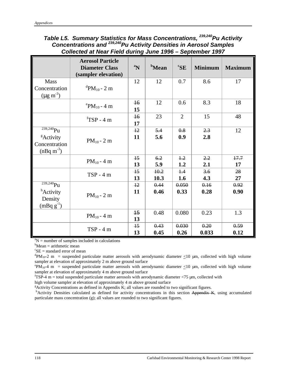### *Table L5. Summary Statistics for Mass Concentrations, 239,240Pu Activity Concentrations and 239,240Pu Activity Densities in Aerosol Samples Collected at Near Field during June 1996 – September 1997*

|                                                                                            | <b>Aerosol Particle</b><br><b>Diameter Class</b><br>(sampler elevation) | $\boldsymbol{a_N}$    | <b>b</b> Mean | ${}^{\mathrm{c}}\mathbf{SE}$ | <b>Minimum</b> | <b>Maximum</b> |
|--------------------------------------------------------------------------------------------|-------------------------------------------------------------------------|-----------------------|---------------|------------------------------|----------------|----------------|
| <b>Mass</b><br>Concentration<br>$(\mu g \, m^{-3})$                                        | <sup>d</sup> PM <sub>10</sub> - 2 m                                     | 12                    | 12            | 0.7                          | 8.6            | 17             |
|                                                                                            | $P_{P}M_{10} - 4$ m                                                     | $\overline{16}$<br>15 | 12            | 0.6                          | 8.3            | 18             |
|                                                                                            | ${}^{\text{f}}$ TSP - 4 m                                               | $\overline{16}$<br>17 | 23            | $\overline{2}$               | 15             | 48             |
| $\frac{1}{239,240}$ Pu<br><sup>g</sup> Activity<br>Concentration<br>$(nBq \text{ m}^{-3})$ | $PM_{10} - 2 m$                                                         | $+2$<br>11            | 5.4<br>5.6    | 0.8<br>0.9                   | 2.3<br>2.8     | 12             |
|                                                                                            | $PM_{10} - 4 m$                                                         | $\overline{15}$<br>13 | 6.2<br>5.9    | $+2$<br>1.2                  | 2.2<br>2.1     | 17.7<br>17     |
|                                                                                            | $TSP - 4m$                                                              | $\overline{15}$<br>13 | 10.2<br>10.3  | $+4$<br>1.6                  | 3.6<br>4.3     | 28<br>27       |
| $\frac{1}{239,240}$ Pu<br><sup>h</sup> Activity<br>Density<br>$(mBq g^{-1})$               | $PM_{10} - 2m$                                                          | $+2$<br>11            | 0.44<br>0.46  | 0.050<br>0.33                | 0.16<br>0.28   | 0.92<br>0.90   |
|                                                                                            | $PM_{10} - 4 m$                                                         | 45<br>13              | 0.48          | 0.080                        | 0.23           | 1.3            |
|                                                                                            | $TSP - 4m$                                                              | $+5$<br>13            | 0.43<br>0.45  | 0.030<br>0.26                | 0.20<br>0.033  | 0.59<br>0.12   |

 ${}^{a}N$  = number of samples included in calculations

 $b$ Mean = arithmetic mean

 ${}^c$ SE = standard error of mean

 $\mathrm{d}P\text{M}_{10}$ -2 m = suspended particulate matter aerosols with aerodynamic diameter  $\leq$ 10 µm, collected with high volume sampler at elevation of approximately 2 m above ground surface

<sup>e</sup>PM<sub>10</sub>-4 m = suspended particulate matter aerosols with aerodynamic diameter  $\leq$ 10 µm, collected with high volume sampler at elevation of approximately 4 m above ground surface

 $f$ TSP-4 m = total suspended particulate matter aerosols with aerodynamic diameter  $\langle$ 75  $\mu$ m, collected with

high volume sampler at elevation of approximately 4 m above ground surface

 ${}^{\text{g}}$ Activity Concentrations as defined in Appendix K; all values are rounded to two significant figures.

hActivity Densities calculated as defined for activity concentrations in this section Appendix K, using accumulated particulate mass concentration (g); all values are rounded to two significant figures.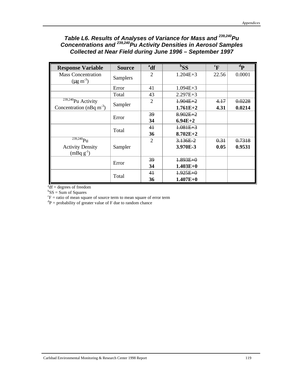### *Table L6. Results of Analyses of Variance for Mass and 239,240Pu Concentrations and 239,240Pu Activity Densities in Aerosol Samples Collected at Near Field during June 1996 – September 1997*

| <b>Response Variable</b>                                                       | <b>Source</b>   | <sup>a</sup> df | ${}^{b}SS$                 | ${}^c\mathbf{F}$ | ${}^d$ P         |
|--------------------------------------------------------------------------------|-----------------|-----------------|----------------------------|------------------|------------------|
| <b>Mass Concentration</b><br>$(\mu g \, m^{-3})$                               | <b>Samplers</b> | $\overline{2}$  | $1.204E + 3$               | 22.56            | 0.0001           |
|                                                                                | Error           | 41              | $1.094E + 3$               |                  |                  |
|                                                                                | Total           | 43              | $2.297E + 3$               |                  |                  |
| $\sqrt{\frac{239,240}{P}}$ Pu Activity<br>Concentration (nBq m <sup>-3</sup> ) | Sampler         | $\overline{2}$  | $1.904E + 2$<br>$1.761E+2$ | 4.17<br>4.31     | 0.0228<br>0.0214 |
|                                                                                |                 | 39              | $8.902E + 2$               |                  |                  |
|                                                                                | Error           | 34              | $6.94E+2$                  |                  |                  |
|                                                                                |                 | 41              | $1.081E + 3$               |                  |                  |
|                                                                                | Total           | 36              | $8.702E+2$                 |                  |                  |
| $239,240$ Pu                                                                   |                 | $\overline{2}$  | $3.136E-2$                 | 0.31             | 0.7318           |
| <b>Activity Density</b><br>$(mBq g^{-1})$                                      | Sampler         |                 | 3.970E-3                   | 0.05             | 0.9531           |
|                                                                                |                 | 39              | $1.893E + 0$               |                  |                  |
|                                                                                | Error           | 34              | $1.403E+0$                 |                  |                  |
|                                                                                | Total           | 41              | $1.925E + 0$               |                  |                  |
|                                                                                |                 | 36              | $1.407E+0$                 |                  |                  |

 $a<sup>a</sup>df = degrees of freedom$ 

 ${}^{b}SS = Sum$  of Squares

 ${}^c$ F = ratio of mean square of source term to mean square of error term

 ${}^{d}P$  = probability of greater value of F due to random chance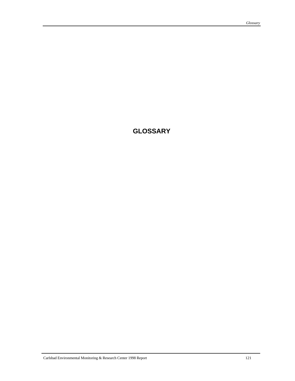# **GLOSSARY**